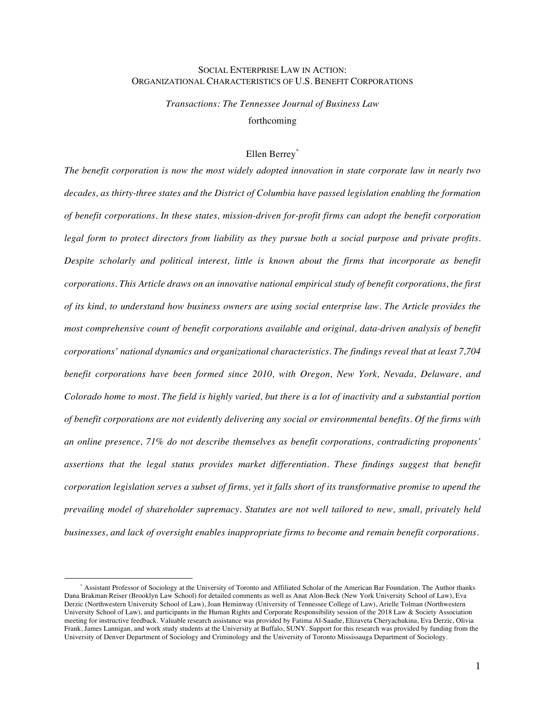## SOCIAL ENTERPRISE LAW IN ACTION: ORGANIZATIONAL CHARACTERISTICS OF U.S. BENEFIT CORPORATIONS

*Transactions: The Tennessee Journal of Business Law* forthcoming

# Ellen Berrey\*

*The benefit corporation is now the most widely adopted innovation in state corporate law in nearly two decades, as thirty-three states and the District of Columbia have passed legislation enabling the formation of benefit corporations. In these states, mission-driven for-profit firms can adopt the benefit corporation legal form to protect directors from liability as they pursue both a social purpose and private profits. Despite scholarly and political interest, little is known about the firms that incorporate as benefit corporations. This Article draws on an innovative national empirical study of benefit corporations, the first of its kind, to understand how business owners are using social enterprise law. The Article provides the most comprehensive count of benefit corporations available and original, data-driven analysis of benefit corporations' national dynamics and organizational characteristics. The findings reveal that at least 7,704 benefit corporations have been formed since 2010, with Oregon, New York, Nevada, Delaware, and Colorado home to most. The field is highly varied, but there is a lot of inactivity and a substantial portion of benefit corporations are not evidently delivering any social or environmental benefits. Of the firms with an online presence, 71% do not describe themselves as benefit corporations, contradicting proponents' assertions that the legal status provides market differentiation. These findings suggest that benefit corporation legislation serves a subset of firms, yet it falls short of its transformative promise to upend the prevailing model of shareholder supremacy. Statutes are not well tailored to new, small, privately held businesses, and lack of oversight enables inappropriate firms to become and remain benefit corporations.* 

<sup>\*</sup> Assistant Professor of Sociology at the University of Toronto and Affiliated Scholar of the American Bar Foundation. The Author thanks Dana Brakman Reiser (Brooklyn Law School) for detailed comments as well as Anat Alon-Beck (New York University School of Law), Eva Derzic (Northwestern University School of Law), Joan Heminway (University of Tennessee College of Law), Arielle Tolman (Northwestern University School of Law), and participants in the Human Rights and Corporate Responsibility session of the 2018 Law & Society Association meeting for instructive feedback. Valuable research assistance was provided by Fatima Al-Saadie, Elizaveta Cheryachukina, Eva Derzic, Olivia Frank, James Lannigan, and work study students at the University at Buffalo, SUNY. Support for this research was provided by funding from the University of Denver Department of Sociology and Criminology and the University of Toronto Mississauga Department of Sociology.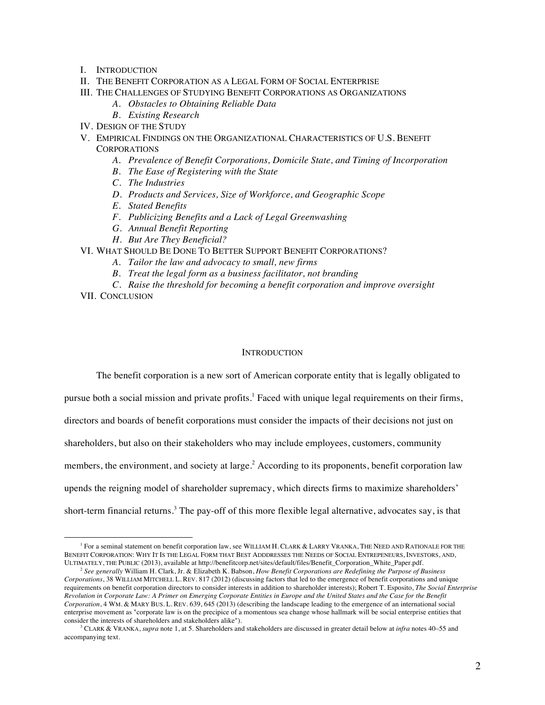- I. INTRODUCTION
- II. THE BENEFIT CORPORATION AS A LEGAL FORM OF SOCIAL ENTERPRISE
- III. THE CHALLENGES OF STUDYING BENEFIT CORPORATIONS AS ORGANIZATIONS
	- *A. Obstacles to Obtaining Reliable Data*
	- *B. Existing Research*
- IV. DESIGN OF THE STUDY
- V. EMPIRICAL FINDINGS ON THE ORGANIZATIONAL CHARACTERISTICS OF U.S. BENEFIT **CORPORATIONS** 
	- *A. Prevalence of Benefit Corporations, Domicile State, and Timing of Incorporation*
	- *B. The Ease of Registering with the State*
	- *C. The Industries*
	- *D. Products and Services, Size of Workforce, and Geographic Scope*
	- *E. Stated Benefits*
	- *F. Publicizing Benefits and a Lack of Legal Greenwashing*
	- *G. Annual Benefit Reporting*
	- *H. But Are They Beneficial?*
- VI. WHAT SHOULD BE DONE TO BETTER SUPPORT BENEFIT CORPORATIONS?
	- *A. Tailor the law and advocacy to small, new firms*
	- *B. Treat the legal form as a business facilitator, not branding*
	- *C. Raise the threshold for becoming a benefit corporation and improve oversight*
- VII. CONCLUSION

<u>.</u>

## **INTRODUCTION**

The benefit corporation is a new sort of American corporate entity that is legally obligated to

pursue both a social mission and private profits.1 Faced with unique legal requirements on their firms,

directors and boards of benefit corporations must consider the impacts of their decisions not just on

shareholders, but also on their stakeholders who may include employees, customers, community

members, the environment, and society at large.<sup>2</sup> According to its proponents, benefit corporation law

upends the reigning model of shareholder supremacy, which directs firms to maximize shareholders'

short-term financial returns.<sup>3</sup> The pay-off of this more flexible legal alternative, advocates say, is that

<sup>&</sup>lt;sup>1</sup> For a seminal statement on benefit corporation law, see WILLIAM H. CLARK & LARRY VRANKA, THE NEED AND RATIONALE FOR THE BENEFIT CORPORATION: WHY IT IS THE LEGAL FORM THAT BEST ADDDRESSES THE NEEDS OF SOCIAL ENTREPENEURS, INVESTORS, AND, ULTIMATELY, THE PUBLIC (2013), available at http://benefitcorp.net/sites/default/files/Benefit\_Corporation\_White\_Paper.pdf.

<sup>2</sup> *See generally* William H. Clark, Jr. & Elizabeth K. Babson, *How Benefit Corporations are Redefining the Purpose of Business Corporations*, 38 WILLIAM MITCHELL L. REV. 817 (2012) (discussing factors that led to the emergence of benefit corporations and unique requirements on benefit corporation directors to consider interests in addition to shareholder interests); Robert T. Esposito, *The Social Enterprise Revolution in Corporate Law: A Primer on Emerging Corporate Entities in Europe and the United States and the Case for the Benefit Corporation*, 4 WM. & MARY BUS. L. REV. 639, 645 (2013) (describing the landscape leading to the emergence of an international social enterprise movement as "corporate law is on the precipice of a momentous sea change whose hallmark will be social enterprise entities that consider the interests of shareholders and stakeholders alike").

<sup>3</sup> CLARK & VRANKA, *supra* note 1, at 5. Shareholders and stakeholders are discussed in greater detail below at *infra* notes 40–55 and accompanying text.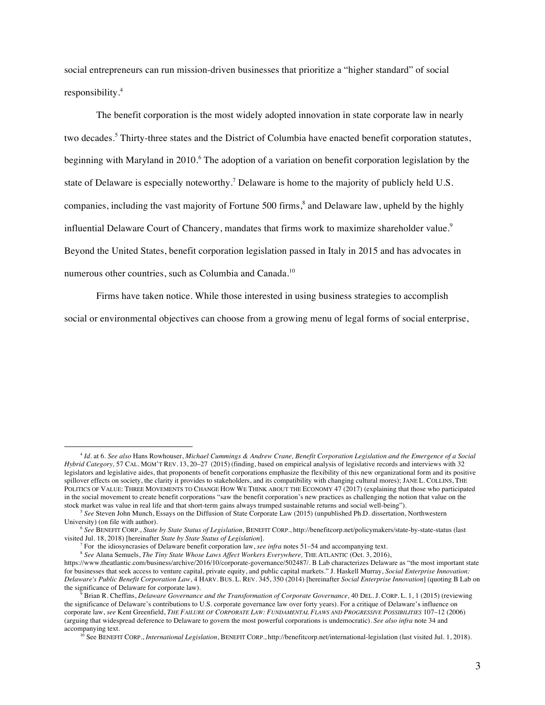social entrepreneurs can run mission-driven businesses that prioritize a "higher standard" of social responsibility.<sup>4</sup>

The benefit corporation is the most widely adopted innovation in state corporate law in nearly two decades.<sup>5</sup> Thirty-three states and the District of Columbia have enacted benefit corporation statutes, beginning with Maryland in 2010.<sup>6</sup> The adoption of a variation on benefit corporation legislation by the state of Delaware is especially noteworthy.<sup>7</sup> Delaware is home to the majority of publicly held U.S. companies, including the vast majority of Fortune 500 firms,<sup>8</sup> and Delaware law, upheld by the highly influential Delaware Court of Chancery, mandates that firms work to maximize shareholder value.<sup>9</sup> Beyond the United States, benefit corporation legislation passed in Italy in 2015 and has advocates in numerous other countries, such as Columbia and Canada.<sup>10</sup>

Firms have taken notice. While those interested in using business strategies to accomplish

social or environmental objectives can choose from a growing menu of legal forms of social enterprise,

<sup>4</sup> *Id*. at 6. *See also* Hans Rowhouser, *Michael Cummings & Andrew Crane, Benefit Corporation Legislation and the Emergence of a Social Hybrid Category,* 57 CAL. MGM'T REV. 13, 20–27 (2015) (finding, based on empirical analysis of legislative records and interviews with 32 legislators and legislative aides, that proponents of benefit corporations emphasize the flexibility of this new organizational form and its positive spillover effects on society, the clarity it provides to stakeholders, and its compatibility with changing cultural mores); JANE L. COLLINS, THE POLITICS OF VALUE: THREE MOVEMENTS TO CHANGE HOW WE THINK ABOUT THE ECONOMY 47 (2017) (explaining that those who participated in the social movement to create benefit corporations "saw the benefit corporation's new practices as challenging the notion that value on the stock market was value in real life and that short-term gains always trumped sustainable returns and social well-being").

<sup>5</sup> *See* Steven John Munch, Essays on the Diffusion of State Corporate Law (2015) (unpublished Ph.D. dissertation, Northwestern University) (on file with author).

<sup>6</sup> *See* BENEFIT CORP., *State by State Status of Legislation*, BENEFIT CORP., http://benefitcorp.net/policymakers/state-by-state-status (last

<sup>&</sup>lt;sup>7</sup> For the idiosyncrasies of Delaware benefit corporation law, *see infra* notes 51–54 and accompanying text.

<sup>8</sup> *See* Alana Semuels, *The Tiny State Whose Laws Affect Workers Everywhere,* THE ATLANTIC (Oct. 3, 2016),

https://www.theatlantic.com/business/archive/2016/10/corporate-governance/502487/. B Lab characterizes Delaware as "the most important state for businesses that seek access to venture capital, private equity, and public capital markets." J. Haskell Murray, *Social Enterprise Innovation: Delaware's Public Benefit Corporation Law*, 4 HARV. BUS. L. REV. 345, 350 (2014) [hereinafter *Social Enterprise Innovation*] (quoting B Lab on the significance of Delaware for corporate law).

<sup>9</sup> Brian R. Cheffins, *Delaware Governance and the Transformation of Corporate Governance,* 40 DEL. J. CORP. L. 1, 1 (2015) (reviewing the significance of Delaware's contributions to U.S. corporate governance law over forty years). For a critique of Delaware's influence on corporate law, *see* Kent Greenfield, *THE FAILURE OF CORPORATE LAW: FUNDAMENTAL FLAWS AND PROGRESSIVE POSSIBILITIES* 107–12 (2006) (arguing that widespread deference to Delaware to govern the most powerful corporations is undemocratic). *See also infra* note 34 and accompanying text.

<sup>10</sup> See BENEFIT CORP., *International Legislation*, BENEFIT CORP., http://benefitcorp.net/international-legislation (last visited Jul. 1, 2018).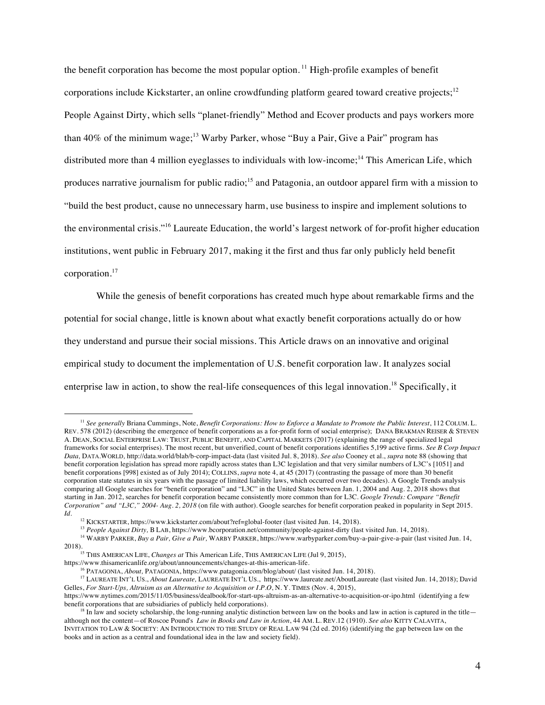the benefit corporation has become the most popular option.<sup>11</sup> High-profile examples of benefit corporations include Kickstarter, an online crowdfunding platform geared toward creative projects;<sup>12</sup> People Against Dirty, which sells "planet-friendly" Method and Ecover products and pays workers more than 40% of the minimum wage;<sup>13</sup> Warby Parker, whose "Buy a Pair, Give a Pair" program has distributed more than 4 million eyeglasses to individuals with low-income;<sup>14</sup> This American Life, which produces narrative journalism for public radio;<sup>15</sup> and Patagonia, an outdoor apparel firm with a mission to "build the best product, cause no unnecessary harm, use business to inspire and implement solutions to the environmental crisis."<sup>16</sup> Laureate Education, the world's largest network of for-profit higher education institutions, went public in February 2017, making it the first and thus far only publicly held benefit corporation.<sup>17</sup>

While the genesis of benefit corporations has created much hype about remarkable firms and the potential for social change, little is known about what exactly benefit corporations actually do or how they understand and pursue their social missions. This Article draws on an innovative and original empirical study to document the implementation of U.S. benefit corporation law. It analyzes social enterprise law in action, to show the real-life consequences of this legal innovation.<sup>18</sup> Specifically, it

<sup>&</sup>lt;sup>11</sup> See generally Briana Cummings, Note, *Benefit Corporations: How to Enforce a Mandate to Promote the Public Interest*, 112 COLUM. L. REV. 578 (2012) (describing the emergence of benefit corporations as a for-profit form of social enterprise); DANA BRAKMAN REISER & STEVEN A. DEAN, SOCIAL ENTERPRISE LAW: TRUST, PUBLIC BENEFIT, AND CAPITAL MARKETS (2017) (explaining the range of specialized legal frameworks for social enterprises). The most recent, but unverified, count of benefit corporations identifies 5,199 active firms. *See B Corp Impact Data,* DATA.WORLD*,* http://data.world/blab/b-corp-impact-data (last visited Jul. 8, 2018). *See also* Cooney et al., *supra* note 88 (showing that benefit corporation legislation has spread more rapidly across states than L3C legislation and that very similar numbers of L3C's [1051] and benefit corporations [998] existed as of July 2014); COLLINS, *supra* note 4, at 45 (2017) (contrasting the passage of more than 30 benefit corporation state statutes in six years with the passage of limited liability laws, which occurred over two decades). A Google Trends analysis comparing all Google searches for "benefit corporation" and "L3C" in the United States between Jan. 1, 2004 and Aug. 2, 2018 shows that starting in Jan. 2012, searches for benefit corporation became consistently more common than for L3C. *Google Trends: Compare "Benefit Corporation" and "L3C," 2004- Aug. 2, 2018* (on file with author). Google searches for benefit corporation peaked in popularity in Sept 2015. *Id.*

<sup>&</sup>lt;sup>12</sup> KICKSTARTER, https://www.kickstarter.com/about?ref=global-footer (last visited Jun. 14, 2018).<br><sup>13</sup> People Against Dirty, B LAB, https://www.bcorporation.net/community/people-against-dirty (last visited Jun. 14, 2018

<sup>14</sup> WARBY PARKER, *Buy a Pair, Give a Pair,* WARBY PARKER, https://www.warbyparker.com/buy-a-pair-give-a-pair (last visited Jun. 14, 2018).<br><sup>15</sup> THIS AMERICAN LIFE, *Changes at* This American Life, THIS AMERICAN LIFE (Jul 9, 2015),<br>https://www.thisamericanlife.org/about/announcements/changes-at-this-american-life.

<sup>&</sup>lt;sup>16</sup> PATAGONIA, *About*, PATAGONIA, https://www.patagonia.com/blog/about/ (last visited Jun. 14, 2018).

<sup>17</sup> LAUREATE INT'L US., *About Laureate,* LAUREATE INT'L US., https://www.laureate.net/AboutLaureate (last visited Jun. 14, 2018); David Gelles, *For Start-Ups, Altruism as an Alternative to Acquisition or I.P.O*, N. Y. TIMES (Nov. 4, 2015),

https://www.nytimes.com/2015/11/05/business/dealbook/for-start-ups-altruism-as-an-alternative-to-acquisition-or-ipo.html (identifying a few

 $^{18}$  In law and society scholarship, the long-running analytic distinction between law on the books and law in action is captured in the title although not the content—of Roscoe Pound's *Law in Books and Law in Action*, 44 AM. L. REV.12 (1910). *See also* KITTY CALAVITA, INVITATION TO LAW & SOCIETY: AN INTRODUCTION TO THE STUDY OF REAL LAW 94 (2d ed. 2016) (identifying the gap between law on the books and in action as a central and foundational idea in the law and society field).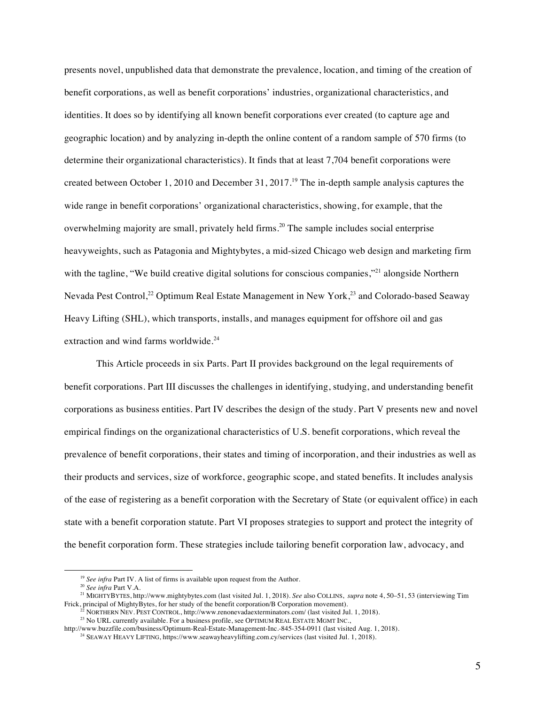presents novel, unpublished data that demonstrate the prevalence, location, and timing of the creation of benefit corporations, as well as benefit corporations' industries, organizational characteristics, and identities. It does so by identifying all known benefit corporations ever created (to capture age and geographic location) and by analyzing in-depth the online content of a random sample of 570 firms (to determine their organizational characteristics). It finds that at least 7,704 benefit corporations were created between October 1, 2010 and December 31, 2017.<sup>19</sup> The in-depth sample analysis captures the wide range in benefit corporations' organizational characteristics, showing, for example, that the overwhelming majority are small, privately held firms.<sup>20</sup> The sample includes social enterprise heavyweights, such as Patagonia and Mightybytes, a mid-sized Chicago web design and marketing firm with the tagline, "We build creative digital solutions for conscious companies,"<sup>21</sup> alongside Northern Nevada Pest Control,<sup>22</sup> Optimum Real Estate Management in New York,<sup>23</sup> and Colorado-based Seaway Heavy Lifting (SHL), which transports, installs, and manages equipment for offshore oil and gas extraction and wind farms worldwide.<sup>24</sup>

This Article proceeds in six Parts. Part II provides background on the legal requirements of benefit corporations. Part III discusses the challenges in identifying, studying, and understanding benefit corporations as business entities. Part IV describes the design of the study. Part V presents new and novel empirical findings on the organizational characteristics of U.S. benefit corporations, which reveal the prevalence of benefit corporations, their states and timing of incorporation, and their industries as well as their products and services, size of workforce, geographic scope, and stated benefits. It includes analysis of the ease of registering as a benefit corporation with the Secretary of State (or equivalent office) in each state with a benefit corporation statute. Part VI proposes strategies to support and protect the integrity of the benefit corporation form. These strategies include tailoring benefit corporation law, advocacy, and

1

<sup>23</sup> No URL currently available. For a business profile, see OPTIMUM REAL ESTATE MGMT INC.,

<sup>19</sup> *See infra* Part IV. A list of firms is available upon request from the Author.

<sup>20</sup> *See infra* Part V.A.

<sup>21</sup> MIGHTYBYTES, http://www.mightybytes.com (last visited Jul. 1, 2018). *See* also COLLINS, *supra* note 4, 50–51, 53 (interviewing Tim Frick, principal of MightyBytes, for her study of the benefit corporation/B Corporation movement).<br><sup>22</sup> NORTHERN NEV. PEST CONTROL, http://www.renonevadaexterminators.com/ (last visited Jul. 1, 2018).

http://www.buzzfile.com/business/Optimum-Real-Estate-Management-Inc.-845-354-0911 (last visited Aug. 1, 2018).

<sup>&</sup>lt;sup>24</sup> SEAWAY HEAVY LIFTING, https://www.seawayheavylifting.com.cy/services (last visited Jul. 1, 2018).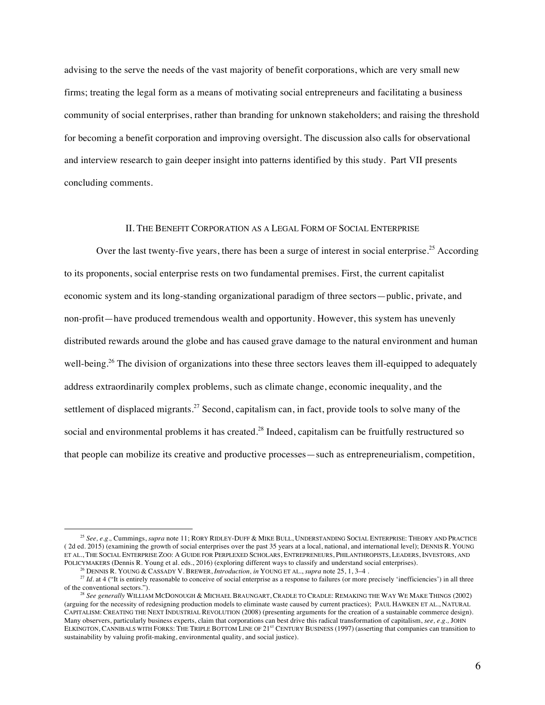advising to the serve the needs of the vast majority of benefit corporations, which are very small new firms; treating the legal form as a means of motivating social entrepreneurs and facilitating a business community of social enterprises, rather than branding for unknown stakeholders; and raising the threshold for becoming a benefit corporation and improving oversight. The discussion also calls for observational and interview research to gain deeper insight into patterns identified by this study. Part VII presents concluding comments.

### II. THE BENEFIT CORPORATION AS A LEGAL FORM OF SOCIAL ENTERPRISE

Over the last twenty-five years, there has been a surge of interest in social enterprise.<sup>25</sup> According to its proponents, social enterprise rests on two fundamental premises. First, the current capitalist economic system and its long-standing organizational paradigm of three sectors—public, private, and non-profit—have produced tremendous wealth and opportunity. However, this system has unevenly distributed rewards around the globe and has caused grave damage to the natural environment and human well-being.<sup>26</sup> The division of organizations into these three sectors leaves them ill-equipped to adequately address extraordinarily complex problems, such as climate change, economic inequality, and the settlement of displaced migrants.<sup>27</sup> Second, capitalism can, in fact, provide tools to solve many of the social and environmental problems it has created.<sup>28</sup> Indeed, capitalism can be fruitfully restructured so that people can mobilize its creative and productive processes—such as entrepreneurialism, competition,

<sup>25</sup> *See, e.g.,* Cummings, *supra* note 11; RORY RIDLEY-DUFF & MIKE BULL, UNDERSTANDING SOCIAL ENTERPRISE: THEORY AND PRACTICE ( 2d ed. 2015) (examining the growth of social enterprises over the past 35 years at a local, national, and international level); DENNIS R. YOUNG ET AL., THE SOCIAL ENTERPRISE ZOO: A GUIDE FOR PERPLEXED SCHOLARS, ENTREPRENEURS, PHILANTHROPISTS, LEADERS, INVESTORS, AND POLICYMAKERS (Dennis R. Young et al. eds., 2016) (exploring different ways to classify and understand social enterprises).

<sup>26</sup> DENNIS R. YOUNG & CASSADY V. BREWER, *Introduction, in* YOUNG ET AL., *supra* note 25, 1, 3–4 .

<sup>&</sup>lt;sup>27</sup> *Id.* at 4 ("It is entirely reasonable to conceive of social enterprise as a response to failures (or more precisely 'inefficiencies') in all three of the conventional sectors.").

<sup>28</sup> *See generally* WILLIAM MCDONOUGH & MICHAEL BRAUNGART, CRADLE TO CRADLE: REMAKING THE WAY WE MAKE THINGS (2002) (arguing for the necessity of redesigning production models to eliminate waste caused by current practices); PAUL HAWKEN ET AL., NATURAL CAPITALISM: CREATING THE NEXT INDUSTRIAL REVOLUTION (2008) (presenting arguments for the creation of a sustainable commerce design). Many observers, particularly business experts, claim that corporations can best drive this radical transformation of capitalism, *see, e.g.,* JOHN ELKINGTON, CANNIBALS WITH FORKS: THE TRIPLE BOTTOM LINE OF 21<sup>st</sup> CENTURY BUSINESS (1997) (asserting that companies can transition to sustainability by valuing profit-making, environmental quality, and social justice).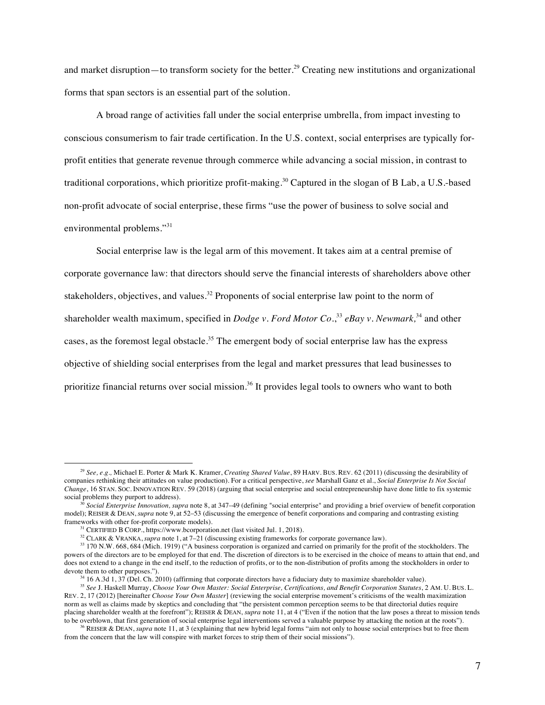and market disruption—to transform society for the better.<sup>29</sup> Creating new institutions and organizational forms that span sectors is an essential part of the solution.

A broad range of activities fall under the social enterprise umbrella, from impact investing to conscious consumerism to fair trade certification. In the U.S. context, social enterprises are typically forprofit entities that generate revenue through commerce while advancing a social mission, in contrast to traditional corporations, which prioritize profit-making. <sup>30</sup> Captured in the slogan of B Lab, a U.S.-based non-profit advocate of social enterprise, these firms "use the power of business to solve social and environmental problems."<sup>31</sup>

Social enterprise law is the legal arm of this movement. It takes aim at a central premise of corporate governance law: that directors should serve the financial interests of shareholders above other stakeholders, objectives, and values.<sup>32</sup> Proponents of social enterprise law point to the norm of shareholder wealth maximum, specified in *Dodge v. Ford Motor Co.*, <sup>33</sup> *eBay v. Newmark,*<sup>34</sup> and other cases, as the foremost legal obstacle.<sup>35</sup> The emergent body of social enterprise law has the express objective of shielding social enterprises from the legal and market pressures that lead businesses to prioritize financial returns over social mission.<sup>36</sup> It provides legal tools to owners who want to both

<sup>29</sup> *See, e.g.,* Michael E. Porter & Mark K. Kramer, *Creating Shared Value*, 89 HARV. BUS. REV. 62 (2011) (discussing the desirability of companies rethinking their attitudes on value production). For a critical perspective, *see* Marshall Ganz et al., *Social Enterprise Is Not Social Change*, 16 STAN. SOC. INNOVATION REV. 59 (2018) (arguing that social enterprise and social entrepreneurship have done little to fix systemic social problems they purport to address).

<sup>30</sup> *Social Enterprise Innovation, supra* note 8, at 347–49 (defining "social enterprise" and providing a brief overview of benefit corporation model); REISER & DEAN, *supra* note 9, at 52–53 (discussing the emergence of benefit corporations and comparing and contrasting existing frameworks with other for-profit corporate models).

 $31$  CERTIFIED B CORP., https://www.bcorporation.net (last visited Jul. 1, 2018).

<sup>32</sup> CLARK & VRANKA, *supra* note 1, at 7–21 (discussing existing frameworks for corporate governance law).

<sup>33</sup> 170 N.W. 668, 684 (Mich. 1919) ("A business corporation is organized and carried on primarily for the profit of the stockholders. The powers of the directors are to be employed for that end. The discretion of directors is to be exercised in the choice of means to attain that end, and does not extend to a change in the end itself, to the reduction of profits, or to the non-distribution of profits among the stockholders in order to devote them to other purposes.").

 $34$  16 A.3d 1,  $37$  (Del. Ch. 2010) (affirming that corporate directors have a fiduciary duty to maximize shareholder value).

<sup>35</sup> *See* J. Haskell Murray, *Choose Your Own Master: Social Enterprise, Certifications, and Benefit Corporation Statutes*, 2 AM. U. BUS. L. REV. 2, 17 (2012) [hereinafter *Choose Your Own Master*] (reviewing the social enterprise movement's criticisms of the wealth maximization norm as well as claims made by skeptics and concluding that "the persistent common perception seems to be that directorial duties require placing shareholder wealth at the forefront"); REISER & DEAN, *supra* note 11, at 4 ("Even if the notion that the law poses a threat to mission tends to be overblown, that first generation of social enterprise legal interventions served a valuable purpose by attacking the notion at the roots").

<sup>&</sup>lt;sup>36</sup> REISER & DEAN, *supra* note 11, at 3 (explaining that new hybrid legal forms "aim not only to house social enterprises but to free them from the concern that the law will conspire with market forces to strip them of their social missions").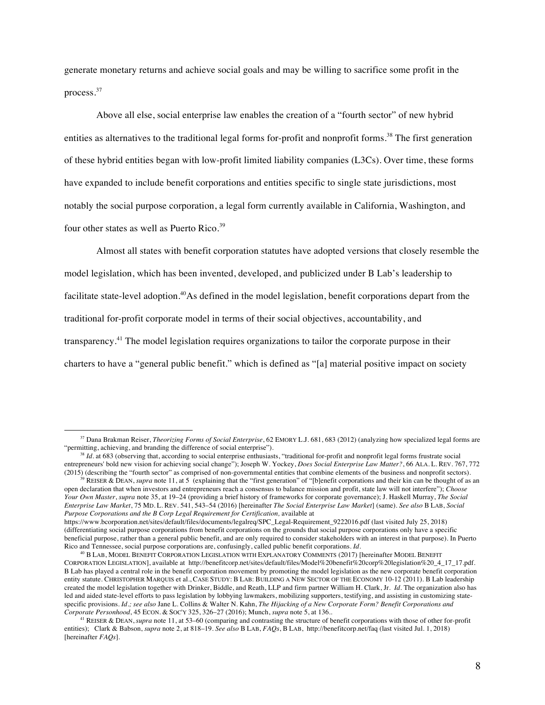generate monetary returns and achieve social goals and may be willing to sacrifice some profit in the process.<sup>37</sup>

Above all else, social enterprise law enables the creation of a "fourth sector" of new hybrid entities as alternatives to the traditional legal forms for-profit and nonprofit forms.<sup>38</sup> The first generation of these hybrid entities began with low-profit limited liability companies (L3Cs). Over time, these forms have expanded to include benefit corporations and entities specific to single state jurisdictions, most notably the social purpose corporation, a legal form currently available in California, Washington, and four other states as well as Puerto Rico.<sup>39</sup>

Almost all states with benefit corporation statutes have adopted versions that closely resemble the model legislation, which has been invented, developed, and publicized under B Lab's leadership to facilitate state-level adoption.<sup>40</sup>As defined in the model legislation, benefit corporations depart from the traditional for-profit corporate model in terms of their social objectives, accountability, and transparency.<sup>41</sup> The model legislation requires organizations to tailor the corporate purpose in their charters to have a "general public benefit." which is defined as "[a] material positive impact on society

1

REISER & DEAN, *supra* note 11, at 5 (explaining that the "first generation" of "[b]enefit corporations and their kin can be thought of as an open declaration that when investors and entrepreneurs reach a consensus to balance mission and profit, state law will not interfere"); *Choose Your Own Master*, *supra* note 35, at 19–24 (providing a brief history of frameworks for corporate governance); J. Haskell Murray, *The Social Enterprise Law Market*, 75 MD. L. REV. 541, 543–54 (2016) [hereinafter *The Social Enterprise Law Market*] (same). *See also* B LAB, *Social Purpose Corporations and the B Corp Legal Requirement for Certification, available at* https://www.bcorporation.net/sites/default/files/documents/legalreq/SPC\_Legal-Requirement\_9222016.pdf (last visited July 25, 2018)

<sup>&</sup>lt;sup>37</sup> Dana Brakman Reiser, *Theorizing Forms of Social Enterprise*, 62 EMORY L.J. 681, 683 (2012) (analyzing how specialized legal forms are "permitting, achieving, and branding the difference of social enterprise").

 $^{18}$  *Id.* at 683 (observing that, according to social enterprise enthusiasts, "traditional for-profit and nonprofit legal forms frustrate social entrepreneurs' bold new vision for achieving social change"); Joseph W. Yockey, *Does Social Enterprise Law Matter?*, 66 ALA. L. REV. 767, 772 (2015) (describing the "fourth sector" as comprised of non-governmental entities that combine elements of the business and nonprofit sectors).

<sup>(</sup>differentiating social purpose corporations from benefit corporations on the grounds that social purpose corporations only have a specific beneficial purpose, rather than a general public benefit, and are only required to consider stakeholders with an interest in that purpose). In Puerto Rico and Tennessee, social purpose corporations are, confusingly, called public benefit corporations. *Id.* 

<sup>40</sup> B LAB, MODEL BENEFIT CORPORATION LEGISLATION WITH EXPLANATORY COMMENTS (2017) [hereinafter MODEL BENEFIT CORPORATION LEGISLATION], available at http://benefitcorp.net/sites/default/files/Model%20benefit%20corp%20legislation%20\_4\_17\_17.pdf. B Lab has played a central role in the benefit corporation movement by promoting the model legislation as the new corporate benefit corporation entity statute. CHRISTOPHER MARQUIS et al., CASE STUDY: B LAB: BUILDING A NEW SECTOR OF THE ECONOMY 10-12 (2011). B Lab leadership created the model legislation together with Drinker, Biddle, and Reath, LLP and firm partner William H. Clark, Jr. *Id.* The organization also has led and aided state-level efforts to pass legislation by lobbying lawmakers, mobilizing supporters, testifying, and assisting in customizing statespecific provisions. *Id*.*; see also* Jane L. Collins & Walter N. Kahn, *The Hijacking of a New Corporate Form? Benefit Corporations and Corporate Personhood*, 45 ECON. & SOC'Y 325, 326–27 (2016); Munch, *supra* note 5, at 136..

<sup>41</sup> REISER & DEAN, *supra* note 11, at 53–60 (comparing and contrasting the structure of benefit corporations with those of other for-profit entities); Clark & Babson, *supra* note 2, at 818–19. *See also* B LAB, *FAQs*, B LAB, http://benefitcorp.net/faq (last visited Jul. 1, 2018) [hereinafter *FAQs*]*.*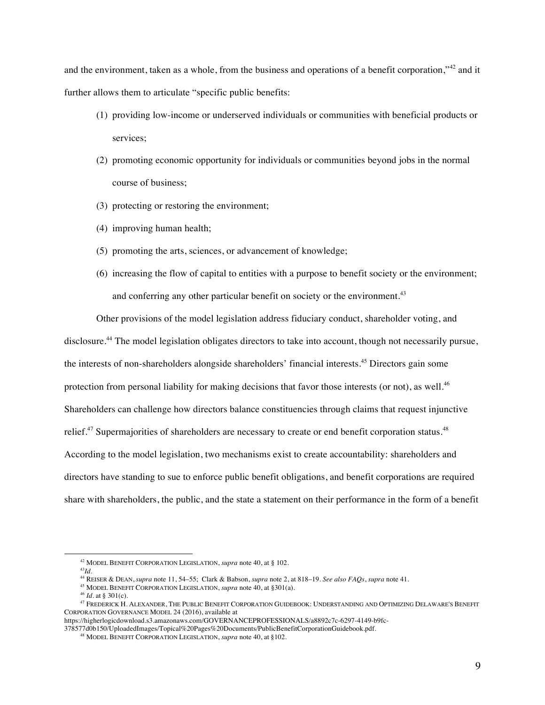and the environment, taken as a whole, from the business and operations of a benefit corporation,"<sup>42</sup> and it further allows them to articulate "specific public benefits:

- (1) providing low-income or underserved individuals or communities with beneficial products or services;
- (2) promoting economic opportunity for individuals or communities beyond jobs in the normal course of business;
- (3) protecting or restoring the environment;
- (4) improving human health;
- (5) promoting the arts, sciences, or advancement of knowledge;
- (6) increasing the flow of capital to entities with a purpose to benefit society or the environment; and conferring any other particular benefit on society or the environment.<sup>43</sup>

Other provisions of the model legislation address fiduciary conduct, shareholder voting, and disclosure.44 The model legislation obligates directors to take into account, though not necessarily pursue, the interests of non-shareholders alongside shareholders' financial interests. <sup>45</sup> Directors gain some protection from personal liability for making decisions that favor those interests (or not), as well.<sup>46</sup> Shareholders can challenge how directors balance constituencies through claims that request injunctive relief.<sup>47</sup> Supermajorities of shareholders are necessary to create or end benefit corporation status.<sup>48</sup> According to the model legislation, two mechanisms exist to create accountability: shareholders and directors have standing to sue to enforce public benefit obligations, and benefit corporations are required share with shareholders, the public, and the state a statement on their performance in the form of a benefit

<sup>42</sup> MODEL BENEFIT CORPORATION LEGISLATION, *supra* note 40, at § 102.

<sup>43</sup>*Id.*

<sup>44</sup> REISER & DEAN, *supra* note 11, 54–55; Clark & Babson, *supra* note 2, at 818–19. *See also FAQs*, *supra* note 41.

<sup>45</sup> MODEL BENEFIT CORPORATION LEGISLATION, *supra* note 40, at §301(a).

<sup>46</sup> *Id.* at § 301(c).

<sup>47</sup> FREDERICK H. ALEXANDER, THE PUBLIC BENEFIT CORPORATION GUIDEBOOK: UNDERSTANDING AND OPTIMIZING DELAWARE'S BENEFIT CORPORATION GOVERNANCE MODEL 24 (2016), available at

https://higherlogicdownload.s3.amazonaws.com/GOVERNANCEPROFESSIONALS/a8892c7c-6297-4149-b9fc-378577d0b150/UploadedImages/Topical%20Pages%20Documents/PublicBenefitCorporationGuidebook.pdf.

<sup>48</sup> MODEL BENEFIT CORPORATION LEGISLATION, *supra* note 40, at §102.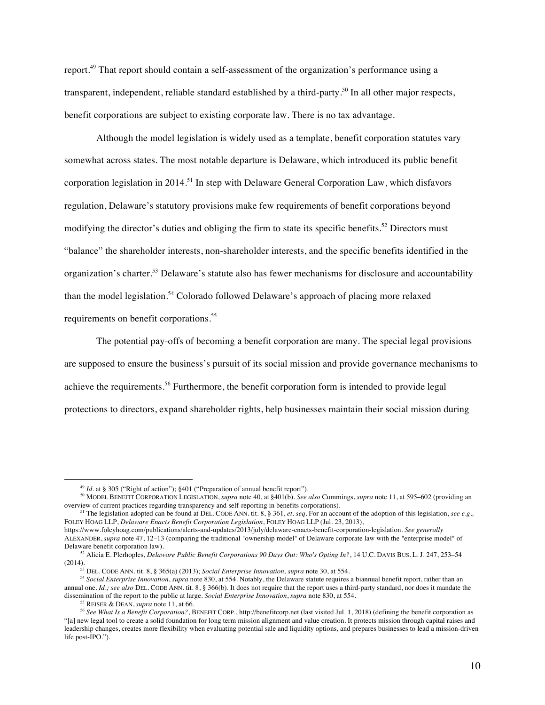report. <sup>49</sup> That report should contain a self-assessment of the organization's performance using a transparent, independent, reliable standard established by a third-party.<sup>50</sup> In all other major respects, benefit corporations are subject to existing corporate law. There is no tax advantage.

Although the model legislation is widely used as a template, benefit corporation statutes vary somewhat across states. The most notable departure is Delaware, which introduced its public benefit corporation legislation in 2014.<sup>51</sup> In step with Delaware General Corporation Law, which disfavors regulation, Delaware's statutory provisions make few requirements of benefit corporations beyond modifying the director's duties and obliging the firm to state its specific benefits.<sup>52</sup> Directors must "balance" the shareholder interests, non-shareholder interests, and the specific benefits identified in the organization's charter.53 Delaware's statute also has fewer mechanisms for disclosure and accountability than the model legislation.<sup>54</sup> Colorado followed Delaware's approach of placing more relaxed requirements on benefit corporations.<sup>55</sup>

The potential pay-offs of becoming a benefit corporation are many. The special legal provisions are supposed to ensure the business's pursuit of its social mission and provide governance mechanisms to achieve the requirements.<sup>56</sup> Furthermore, the benefit corporation form is intended to provide legal protections to directors, expand shareholder rights, help businesses maintain their social mission during

<sup>&</sup>lt;sup>49</sup> *Id.* at § 305 ("Right of action"); §401 ("Preparation of annual benefit report").

<sup>50</sup> MODEL BENEFIT CORPORATION LEGISLATION, *supra* note 40, at §401(b). *See also* Cummings, *supra* note 11, at 595–602 (providing an overview of current practices regarding transparency and self-reporting in benefits corporations).

<sup>&</sup>lt;sup>51</sup> The legislation adopted can be found at DEL. CODE ANN. tit. 8, § 361, *et. seq.* For an account of the adoption of this legislation, *see e.g.*, FOLEY HOAG LLP, *Delaware Enacts Benefit Corporation Legislation*, FOLEY HOAG LLP (Jul. 23, 2013),

https://www.foleyhoag.com/publications/alerts-and-updates/2013/july/delaware-enacts-benefit-corporation-legislation. *See generally*  ALEXANDER, *supra* note 47, 12–13 (comparing the traditional "ownership model" of Delaware corporate law with the "enterprise model" of Delaware benefit corporation law).

<sup>&</sup>lt;sup>52</sup> Alicia E. Plerhoples, *Delaware Public Benefit Corporations 90 Days Out: Who's Opting In?*, 14 U.C. DAVIS BUS. L. J. 247, 253–54 (2014).

<sup>53</sup> DEL. CODE ANN. tit. 8, § 365(a) (2013); *Social Enterprise Innovation, supra* note 30, at 554.

<sup>54</sup> *Social Enterprise Innovation*, *supra* note 830, at 554. Notably, the Delaware statute requires a biannual benefit report, rather than an annual one. *Id.; see also* DEL. CODE ANN. tit. 8, § 366(b). It does not require that the report uses a third-party standard, nor does it mandate the dissemination of the report to the public at large. *Social Enterprise Innovation*, *supra* note 830, at 554.

<sup>&</sup>lt;sup>56</sup> See What Is a Benefit Corporation?, BENEFIT CORP., http://benefitcorp.net (last visited Jul. 1, 2018) (defining the benefit corporation as "[a] new legal tool to create a solid foundation for long term mission alignment and value creation. It protects mission through capital raises and leadership changes, creates more flexibility when evaluating potential sale and liquidity options, and prepares businesses to lead a mission-driven life post-IPO.").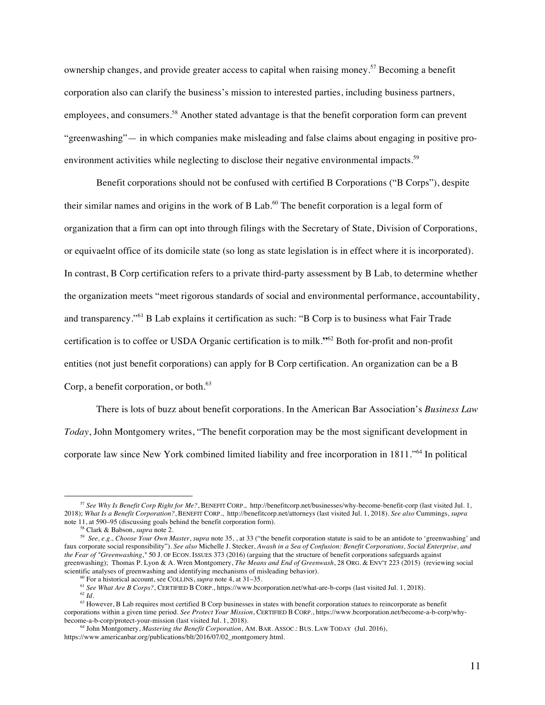ownership changes, and provide greater access to capital when raising money.<sup>57</sup> Becoming a benefit corporation also can clarify the business's mission to interested parties, including business partners, employees, and consumers.<sup>58</sup> Another stated advantage is that the benefit corporation form can prevent "greenwashing"— in which companies make misleading and false claims about engaging in positive proenvironment activities while neglecting to disclose their negative environmental impacts.<sup>59</sup>

Benefit corporations should not be confused with certified B Corporations ("B Corps"), despite their similar names and origins in the work of B Lab.<sup>60</sup> The benefit corporation is a legal form of organization that a firm can opt into through filings with the Secretary of State, Division of Corporations, or equivaelnt office of its domicile state (so long as state legislation is in effect where it is incorporated). In contrast, B Corp certification refers to a private third-party assessment by B Lab, to determine whether the organization meets "meet rigorous standards of social and environmental performance, accountability, and transparency."<sup>61</sup> B Lab explains it certification as such: "B Corp is to business what Fair Trade certification is to coffee or USDA Organic certification is to milk.**"**<sup>62</sup> Both for-profit and non-profit entities (not just benefit corporations) can apply for B Corp certification. An organization can be a B Corp, a benefit corporation, or both. $^{63}$ 

There is lots of buzz about benefit corporations. In the American Bar Association's *Business Law Today*, John Montgomery writes, "The benefit corporation may be the most significant development in corporate law since New York combined limited liability and free incorporation in 1811."<sup>64</sup> In political

<sup>57</sup> *See Why Is Benefit Corp Right for Me?*, BENEFIT CORP., http://benefitcorp.net/businesses/why-become-benefit-corp (last visited Jul. 1, 2018); *What Is a Benefit Corporation?*, BENEFIT CORP., http://benefitcorp.net/attorneys (last visited Jul. 1, 2018). *See also* Cummings, *supra*  note 11, at 590–95 (discussing goals behind the benefit corporation form).

<sup>58</sup> Clark & Babson, *supra* note 2.

<sup>59</sup> *See, e.g., Choose Your Own Master*, *supra* note 35, , at 33 ("the benefit corporation statute is said to be an antidote to 'greenwashing' and faux corporate social responsibility"). *See also* Michelle J. Stecker, *Awash in a Sea of Confusion: Benefit Corporations, Social Enterprise, and the Fear of "Greenwashing*,*"* 50 J. OF ECON. ISSUES 373 (2016) (arguing that the structure of benefit corporations safeguards against greenwashing); Thomas P. Lyon & A. Wren Montgomery, *The Means and End of Greenwash*, 28 ORG. & ENV'T 223 (2015) (reviewing social scientific analyses of greenwashing and identifying mechanisms of misleading behavior).<br><sup>60</sup> For a historical account, see COLLINS, *supra* note 4, at 31–35.

<sup>&</sup>lt;sup>61</sup> See What Are B Corps?, CERTIFIED B CORP., https://www.bcorporation.net/what-are-b-corps (last visited Jul. 1, 2018). <sup>62</sup> *Id*.

<sup>&</sup>lt;sup>63</sup> However, B Lab requires most certified B Corp businesses in states with benefit corporation statues to reincorporate as benefit corporations within a given time period. *See Protect Your Mission*, CERTIFIED B CORP., https://www.bcorporation.net/become-a-b-corp/whybecome-a-b-corp/protect-your-mission (last visited Jul. 1, 2018).

<sup>64</sup> John Montgomery, *Mastering the Benefit Corporation*, AM. BAR. ASSOC.: BUS. LAW TODAY (Jul. 2016), https://www.americanbar.org/publications/blt/2016/07/02\_montgomery.html.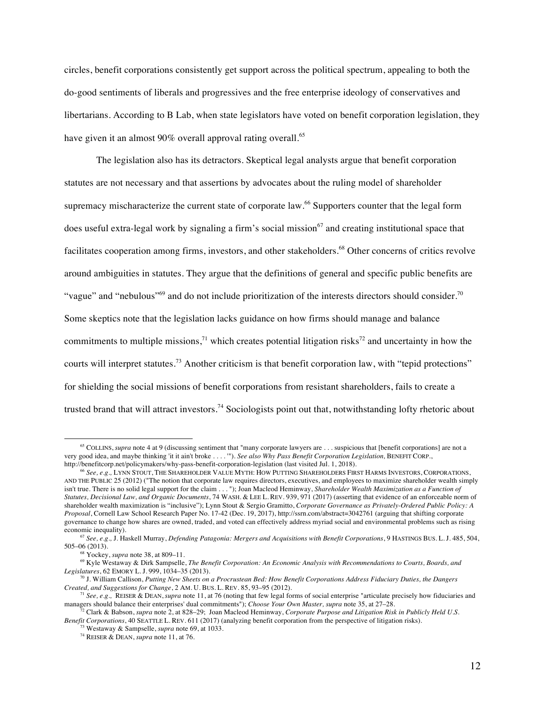circles, benefit corporations consistently get support across the political spectrum, appealing to both the do-good sentiments of liberals and progressives and the free enterprise ideology of conservatives and libertarians. According to B Lab, when state legislators have voted on benefit corporation legislation, they have given it an almost 90% overall approval rating overall.<sup>65</sup>

The legislation also has its detractors. Skeptical legal analysts argue that benefit corporation statutes are not necessary and that assertions by advocates about the ruling model of shareholder supremacy mischaracterize the current state of corporate law.<sup>66</sup> Supporters counter that the legal form does useful extra-legal work by signaling a firm's social mission<sup>67</sup> and creating institutional space that facilitates cooperation among firms, investors, and other stakeholders. <sup>68</sup> Other concerns of critics revolve around ambiguities in statutes. They argue that the definitions of general and specific public benefits are "vague" and "nebulous"<sup>69</sup> and do not include prioritization of the interests directors should consider.<sup>70</sup> Some skeptics note that the legislation lacks guidance on how firms should manage and balance commitments to multiple missions,<sup>71</sup> which creates potential litigation risks<sup>72</sup> and uncertainty in how the courts will interpret statutes.<sup>73</sup> Another criticism is that benefit corporation law, with "tepid protections" for shielding the social missions of benefit corporations from resistant shareholders, fails to create a trusted brand that will attract investors.<sup>74</sup> Sociologists point out that, notwithstanding lofty rhetoric about

<sup>&</sup>lt;sup>65</sup> COLLINS, *supra* note 4 at 9 (discussing sentiment that "many corporate lawyers are . . . suspicious that [benefit corporations] are not a very good idea, and maybe thinking 'it it ain't broke . . . . '"). *See also Why Pass Benefit Corporation Legislation,* BENEFIT CORP., http://benefitcorp.net/policymakers/why-pass-benefit-corporation-legislation (last visited Jul. 1, 2018).

<sup>66</sup> *See, e.g.,* LYNN STOUT, THE SHAREHOLDER VALUE MYTH: HOW PUTTING SHAREHOLDERS FIRST HARMS INVESTORS, CORPORATIONS, AND THE PUBLIC 25 (2012) ("The notion that corporate law requires directors, executives, and employees to maximize shareholder wealth simply isn't true. There is no solid legal support for the claim . . . "); Joan Macleod Heminway, *Shareholder Wealth Maximization as a Function of Statutes, Decisional Law, and Organic Documents*, 74 WASH. & LEE L. REV. 939, 971 (2017) (asserting that evidence of an enforceable norm of shareholder wealth maximization is "inclusive"); Lynn Stout & Sergio Gramitto, *Corporate Governance as Privately-Ordered Public Policy: A Proposal*, Cornell Law School Research Paper No. 17-42 (Dec. 19, 2017), http://ssrn.com/abstract=3042761 (arguing that shifting corporate governance to change how shares are owned, traded, and voted can effectively address myriad social and environmental problems such as rising economic inequality).

<sup>&</sup>lt;sup>67</sup> See, e.g., J. Haskell Murray, *Defending Patagonia: Mergers and Acquisitions with Benefit Corporations*, 9 HASTINGS BUS. L. J. 485, 504, 505–06 (2013).

<sup>68</sup> Yockey, *supra* note 38, at 809–11.

<sup>69</sup> Kyle Westaway & Dirk Sampselle, *The Benefit Corporation: An Economic Analysis with Recommendations to Courts, Boards, and Legislatures*, 62 EMORY L. J. 999, 1034–35 (2013).

<sup>70</sup> J. William Callison, *Putting New Sheets on a Procrustean Bed: How Benefit Corporations Address Fiduciary Duties, the Dangers Created, and Suggestions for Change*, 2 AM. U. BUS. L. REV. 85, 93–95 (2012).

<sup>71</sup> *See, e.g.,* REISER & DEAN, *supra* note 11, at 76 (noting that few legal forms of social enterprise "articulate precisely how fiduciaries and managers should balance their enterprises' dual commitments"); *Choose Your Own Master, supra* note 35, at 27–28.

<sup>72</sup> Clark & Babson, *supra* note 2, at 828–29; Joan Macleod Heminway, *Corporate Purpose and Litigation Risk in Publicly Held U.S. Benefit Corporations*, 40 SEATTLE L. REV. 611 (2017) (analyzing benefit corporation from the perspective of litigation risks).

<sup>73</sup> Westaway & Sampselle, *supra* note 69, at 1033.

<sup>74</sup> REISER & DEAN, *supra* note 11, at 76.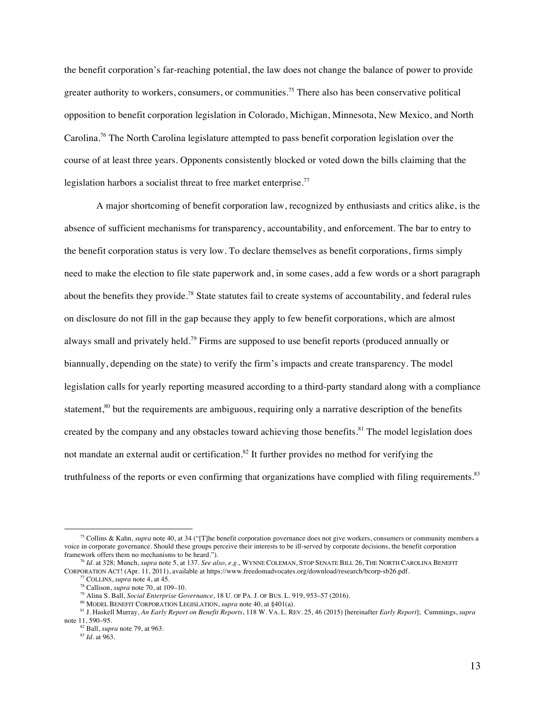the benefit corporation's far-reaching potential, the law does not change the balance of power to provide greater authority to workers, consumers, or communities. <sup>75</sup> There also has been conservative political opposition to benefit corporation legislation in Colorado, Michigan, Minnesota, New Mexico, and North Carolina.76 The North Carolina legislature attempted to pass benefit corporation legislation over the course of at least three years. Opponents consistently blocked or voted down the bills claiming that the legislation harbors a socialist threat to free market enterprise.<sup>77</sup>

A major shortcoming of benefit corporation law, recognized by enthusiasts and critics alike, is the absence of sufficient mechanisms for transparency, accountability, and enforcement. The bar to entry to the benefit corporation status is very low. To declare themselves as benefit corporations, firms simply need to make the election to file state paperwork and, in some cases, add a few words or a short paragraph about the benefits they provide.<sup>78</sup> State statutes fail to create systems of accountability, and federal rules on disclosure do not fill in the gap because they apply to few benefit corporations, which are almost always small and privately held.<sup>79</sup> Firms are supposed to use benefit reports (produced annually or biannually, depending on the state) to verify the firm's impacts and create transparency. The model legislation calls for yearly reporting measured according to a third-party standard along with a compliance statement,<sup>80</sup> but the requirements are ambiguous, requiring only a narrative description of the benefits created by the company and any obstacles toward achieving those benefits.<sup>81</sup> The model legislation does not mandate an external audit or certification.<sup>82</sup> It further provides no method for verifying the truthfulness of the reports or even confirming that organizations have complied with filing requirements.<sup>83</sup>

<sup>75</sup> Collins & Kahn, *supra* note 40, at 34 ("[T]he benefit corporation governance does not give workers, consumers or community members a voice in corporate governance. Should these groups perceive their interests to be ill-served by corporate decisions, the benefit corporation framework offers them no mechanisms to be heard.").

<sup>76</sup> *Id.* at 328; Munch, *supra* note 5, at 137. *See also, e.g.,* WYNNE COLEMAN, STOP SENATE BILL 26, THE NORTH CAROLINA BENEFIT CORPORATION ACT! (Apr. 11, 2011), available at https://www.freedomadvocates.org/download/research/bcorp-sb26.pdf. 77 COLLINS, *supra* note 4, at 45.

<sup>78</sup> Callison, *supra* note 70, at 109–10.

<sup>79</sup> Alina S. Ball, *Social Enterprise Governance*, 18 U. OF PA. J. OF BUS. L. 919, 953–57 (2016).

<sup>80</sup> MODEL BENEFIT CORPORATION LEGISLATION, *supra* note 40, at §401(a).

<sup>81</sup> J. Haskell Murray, *An Early Report on Benefit Reports*, 118 W. VA. L. REV. 25, 46 (2015) [hereinafter *Early Report*]; Cummings, *supra*  note 11, 590–95.

<sup>82</sup> Ball, *supra* note 79, at 963.

<sup>83</sup> *Id.* at 963.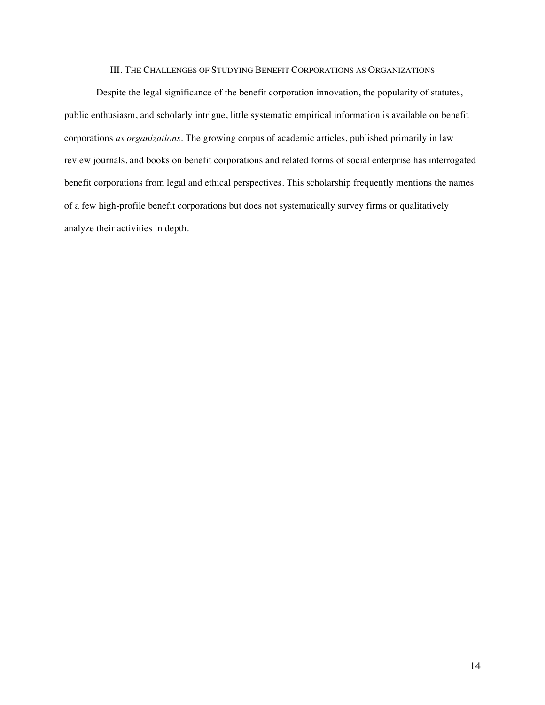# III. THE CHALLENGES OF STUDYING BENEFIT CORPORATIONS AS ORGANIZATIONS

Despite the legal significance of the benefit corporation innovation, the popularity of statutes, public enthusiasm, and scholarly intrigue, little systematic empirical information is available on benefit corporations *as organizations*. The growing corpus of academic articles, published primarily in law review journals, and books on benefit corporations and related forms of social enterprise has interrogated benefit corporations from legal and ethical perspectives. This scholarship frequently mentions the names of a few high-profile benefit corporations but does not systematically survey firms or qualitatively analyze their activities in depth.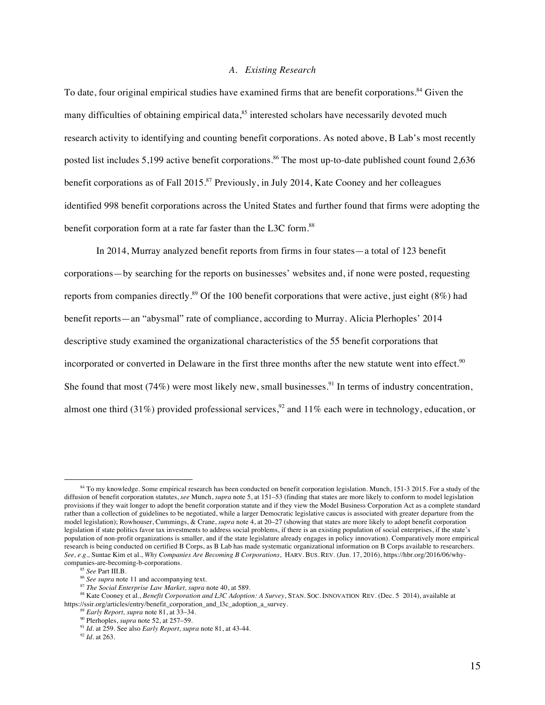## *A. Existing Research*

To date, four original empirical studies have examined firms that are benefit corporations.<sup>84</sup> Given the many difficulties of obtaining empirical data,<sup>85</sup> interested scholars have necessarily devoted much research activity to identifying and counting benefit corporations. As noted above, B Lab's most recently posted list includes 5,199 active benefit corporations.<sup>86</sup> The most up-to-date published count found 2,636 benefit corporations as of Fall  $2015$ .<sup>87</sup> Previously, in July 2014, Kate Cooney and her colleagues identified 998 benefit corporations across the United States and further found that firms were adopting the benefit corporation form at a rate far faster than the L3C form.<sup>88</sup>

In 2014, Murray analyzed benefit reports from firms in four states—a total of 123 benefit corporations—by searching for the reports on businesses' websites and, if none were posted, requesting reports from companies directly.<sup>89</sup> Of the 100 benefit corporations that were active, just eight (8%) had benefit reports—an "abysmal" rate of compliance, according to Murray. Alicia Plerhoples' 2014 descriptive study examined the organizational characteristics of the 55 benefit corporations that incorporated or converted in Delaware in the first three months after the new statute went into effect.<sup>90</sup> She found that most (74%) were most likely new, small businesses.<sup>91</sup> In terms of industry concentration, almost one third (31%) provided professional services,<sup>92</sup> and 11% each were in technology, education, or

<sup>&</sup>lt;sup>84</sup> To my knowledge. Some empirical research has been conducted on benefit corporation legislation. Munch, 151-3 2015. For a study of the diffusion of benefit corporation statutes, *see* Munch, *supra* note 5, at 151–53 (finding that states are more likely to conform to model legislation provisions if they wait longer to adopt the benefit corporation statute and if they view the Model Business Corporation Act as a complete standard rather than a collection of guidelines to be negotiated, while a larger Democratic legislative caucus is associated with greater departure from the model legislation); Rowhouser, Cummings, & Crane, *supra* note 4, at 20–27 (showing that states are more likely to adopt benefit corporation legislation if state politics favor tax investments to address social problems, if there is an existing population of social enterprises, if the state's population of non-profit organizations is smaller, and if the state legislature already engages in policy innovation). Comparatively more empirical research is being conducted on certified B Corps, as B Lab has made systematic organizational information on B Corps available to researchers. *See, e.g.,* Suntae Kim et al., *Why Companies Are Becoming B Corporations*, HARV. BUS. REV. (Jun. 17, 2016), https://hbr.org/2016/06/whycompanies-are-becoming-b-corporations.

<sup>85</sup> *See* Part III.B.

<sup>86</sup> *See supra* note 11 and accompanying text.

<sup>87</sup> *The Social Enterprise Law Market, supra* note 40, at 589.

<sup>88</sup> Kate Cooney et al., *Benefit Corporation and L3C Adoption: A Survey*, STAN. SOC. INNOVATION REV. (Dec. 5 2014), available at https://ssir.org/articles/entry/benefit\_corporation\_and\_l3c\_adoption\_a\_survey.

<sup>89</sup> *Early Report, supra* note 81, at 33–34.

<sup>90</sup> Plerhoples, *supra* note 52, at 257–59.

<sup>91</sup> *Id.* at 259. See also *Early Report, supra* note 81, at 43-44.

<sup>92</sup> *Id.* at 263.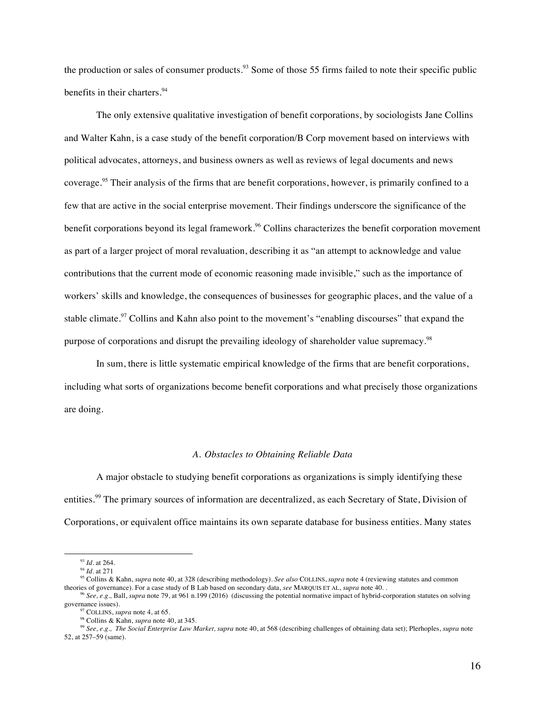the production or sales of consumer products.<sup>93</sup> Some of those 55 firms failed to note their specific public benefits in their charters.<sup>94</sup>

The only extensive qualitative investigation of benefit corporations, by sociologists Jane Collins and Walter Kahn, is a case study of the benefit corporation/B Corp movement based on interviews with political advocates, attorneys, and business owners as well as reviews of legal documents and news coverage. <sup>95</sup> Their analysis of the firms that are benefit corporations, however, is primarily confined to a few that are active in the social enterprise movement. Their findings underscore the significance of the benefit corporations beyond its legal framework.<sup>96</sup> Collins characterizes the benefit corporation movement as part of a larger project of moral revaluation, describing it as "an attempt to acknowledge and value contributions that the current mode of economic reasoning made invisible," such as the importance of workers' skills and knowledge, the consequences of businesses for geographic places, and the value of a stable climate.<sup>97</sup> Collins and Kahn also point to the movement's "enabling discourses" that expand the purpose of corporations and disrupt the prevailing ideology of shareholder value supremacy.<sup>98</sup>

In sum, there is little systematic empirical knowledge of the firms that are benefit corporations, including what sorts of organizations become benefit corporations and what precisely those organizations are doing.

#### *A. Obstacles to Obtaining Reliable Data*

A major obstacle to studying benefit corporations as organizations is simply identifying these entities.<sup>99</sup> The primary sources of information are decentralized, as each Secretary of State, Division of Corporations, or equivalent office maintains its own separate database for business entities. Many states

<sup>93</sup> *Id.* at 264.

<sup>94</sup> *Id.* at 271

<sup>&</sup>lt;sup>95</sup> Collins & Kahn, *supra* note 40, at 328 (describing methodology). *See also* COLLINS, *supra* note 4 (reviewing statutes and common theories of governance). For a case study of B Lab based on secondary data, *see* MAR

<sup>&</sup>lt;sup>96</sup> See, e.g., Ball, supra note 79, at 961 n.199 (2016) (discussing the potential normative impact of hybrid-corporation statutes on solving governance issues).<br><sup>97</sup> COLLINS, *supra* note 4, at 65.

<sup>&</sup>lt;sup>98</sup> Collins & Kahn, *supra* note 40, at 345.

<sup>99</sup> *See, e.g., The Social Enterprise Law Market, supra* note 40, at 568 (describing challenges of obtaining data set); Plerhoples, *supra* note 52, at 257–59 (same).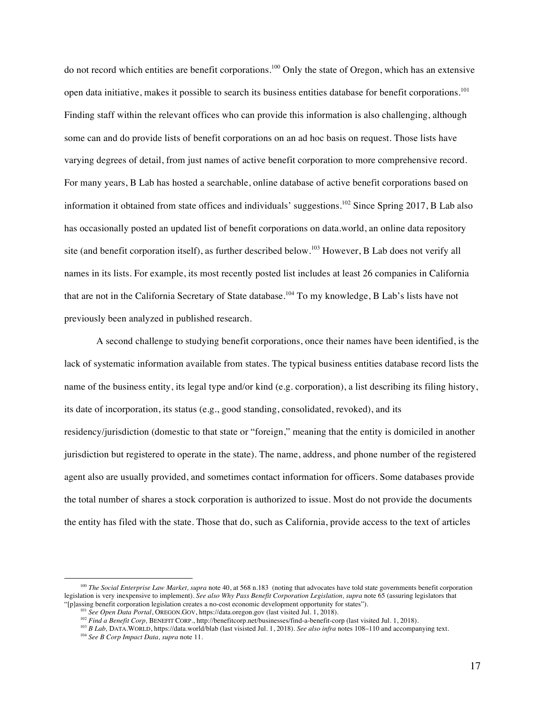do not record which entities are benefit corporations.<sup>100</sup> Only the state of Oregon, which has an extensive open data initiative, makes it possible to search its business entities database for benefit corporations.<sup>101</sup> Finding staff within the relevant offices who can provide this information is also challenging, although some can and do provide lists of benefit corporations on an ad hoc basis on request. Those lists have varying degrees of detail, from just names of active benefit corporation to more comprehensive record. For many years, B Lab has hosted a searchable, online database of active benefit corporations based on information it obtained from state offices and individuals' suggestions.<sup>102</sup> Since Spring 2017, B Lab also has occasionally posted an updated list of benefit corporations on data.world, an online data repository site (and benefit corporation itself), as further described below.<sup>103</sup> However, B Lab does not verify all names in its lists. For example, its most recently posted list includes at least 26 companies in California that are not in the California Secretary of State database. <sup>104</sup> To my knowledge, B Lab's lists have not previously been analyzed in published research.

A second challenge to studying benefit corporations, once their names have been identified, is the lack of systematic information available from states. The typical business entities database record lists the name of the business entity, its legal type and/or kind (e.g. corporation), a list describing its filing history, its date of incorporation, its status (e.g., good standing, consolidated, revoked), and its residency/jurisdiction (domestic to that state or "foreign," meaning that the entity is domiciled in another jurisdiction but registered to operate in the state). The name, address, and phone number of the registered agent also are usually provided, and sometimes contact information for officers. Some databases provide the total number of shares a stock corporation is authorized to issue. Most do not provide the documents the entity has filed with the state. Those that do, such as California, provide access to the text of articles

<sup>&</sup>lt;sup>100</sup> *The Social Enterprise Law Market, supra* note 40, at 568 n.183 (noting that advocates have told state governments benefit corporation legislation is very inexpensive to implement). *See also Why Pass Benefit Corporation Legislation, supra* note 65 (assuring legislators that "[p]assing benefit corporation legislation creates a no-cost economic development opportunity for states").

<sup>101</sup> *See Open Data Portal*, OREGON.GOV, https://data.oregon.gov (last visited Jul. 1, 2018).

<sup>&</sup>lt;sup>102</sup> *Find a Benefit Corp*, BENEFIT CORP., http://benefitcorp.net/businesses/find-a-benefit-corp (last visited Jul. 1, 2018).

<sup>103</sup> *B Lab,* DATA.WORLD, https://data.world/blab (last visisted Jul. 1, 2018). *See also infra* notes 108–110 and accompanying text. 104 *See B Corp Impact Data, supra* note 11.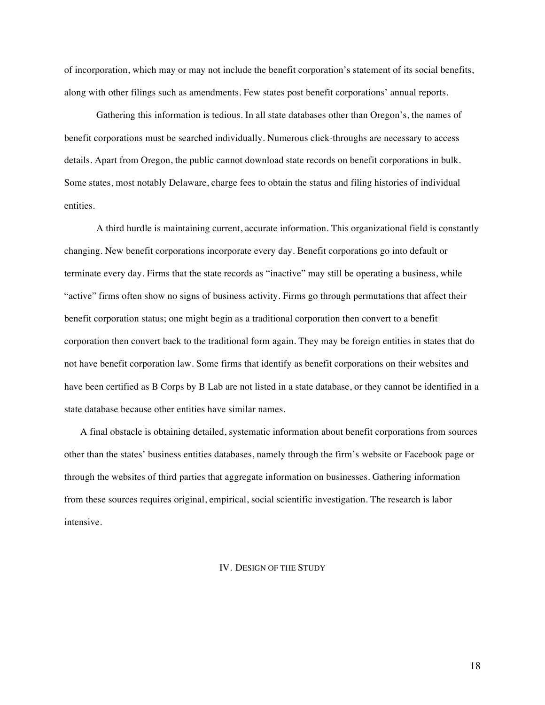of incorporation, which may or may not include the benefit corporation's statement of its social benefits, along with other filings such as amendments. Few states post benefit corporations' annual reports.

Gathering this information is tedious. In all state databases other than Oregon's, the names of benefit corporations must be searched individually. Numerous click-throughs are necessary to access details. Apart from Oregon, the public cannot download state records on benefit corporations in bulk. Some states, most notably Delaware, charge fees to obtain the status and filing histories of individual entities.

A third hurdle is maintaining current, accurate information. This organizational field is constantly changing. New benefit corporations incorporate every day. Benefit corporations go into default or terminate every day. Firms that the state records as "inactive" may still be operating a business, while "active" firms often show no signs of business activity. Firms go through permutations that affect their benefit corporation status; one might begin as a traditional corporation then convert to a benefit corporation then convert back to the traditional form again. They may be foreign entities in states that do not have benefit corporation law. Some firms that identify as benefit corporations on their websites and have been certified as B Corps by B Lab are not listed in a state database, or they cannot be identified in a state database because other entities have similar names.

A final obstacle is obtaining detailed, systematic information about benefit corporations from sources other than the states' business entities databases, namely through the firm's website or Facebook page or through the websites of third parties that aggregate information on businesses. Gathering information from these sources requires original, empirical, social scientific investigation. The research is labor intensive.

## IV. DESIGN OF THE STUDY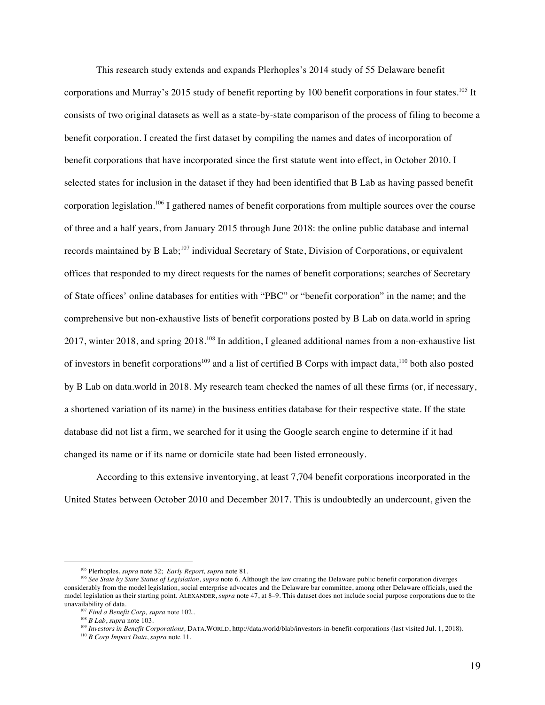This research study extends and expands Plerhoples's 2014 study of 55 Delaware benefit corporations and Murray's 2015 study of benefit reporting by 100 benefit corporations in four states.<sup>105</sup> It consists of two original datasets as well as a state-by-state comparison of the process of filing to become a benefit corporation. I created the first dataset by compiling the names and dates of incorporation of benefit corporations that have incorporated since the first statute went into effect, in October 2010. I selected states for inclusion in the dataset if they had been identified that B Lab as having passed benefit corporation legislation.<sup>106</sup> I gathered names of benefit corporations from multiple sources over the course of three and a half years, from January 2015 through June 2018: the online public database and internal records maintained by B Lab;<sup>107</sup> individual Secretary of State, Division of Corporations, or equivalent offices that responded to my direct requests for the names of benefit corporations; searches of Secretary of State offices' online databases for entities with "PBC" or "benefit corporation" in the name; and the comprehensive but non-exhaustive lists of benefit corporations posted by B Lab on data.world in spring 2017, winter 2018, and spring  $2018$ .<sup>108</sup> In addition, I gleaned additional names from a non-exhaustive list of investors in benefit corporations<sup>109</sup> and a list of certified B Corps with impact data,<sup>110</sup> both also posted by B Lab on data.world in 2018. My research team checked the names of all these firms (or, if necessary, a shortened variation of its name) in the business entities database for their respective state. If the state database did not list a firm, we searched for it using the Google search engine to determine if it had changed its name or if its name or domicile state had been listed erroneously.

According to this extensive inventorying, at least 7,704 benefit corporations incorporated in the United States between October 2010 and December 2017. This is undoubtedly an undercount, given the

1

<sup>109</sup> Investors in Benefit Corporations, DATA.WORLD, http://data.world/blab/investors-in-benefit-corporations (last visited Jul. 1, 2018).

<sup>105</sup> Plerhoples, *supra* note 52; *Early Report, supra* note 81.

<sup>&</sup>lt;sup>106</sup> See State by State Status of Legislation, *supra* note 6. Although the law creating the Delaware public benefit corporation diverges considerably from the model legislation, social enterprise advocates and the Delaware bar committee, among other Delaware officials, used the model legislation as their starting point. ALEXANDER, *supra* note 47, at 8–9. This dataset does not include social purpose corporations due to the

<sup>&</sup>lt;sup>107</sup> Find a Benefit Corp, supra note 102..

<sup>108</sup> *B Lab*, *supra* note 103.

<sup>110</sup> *B Corp Impact Data*, *supra* note 11.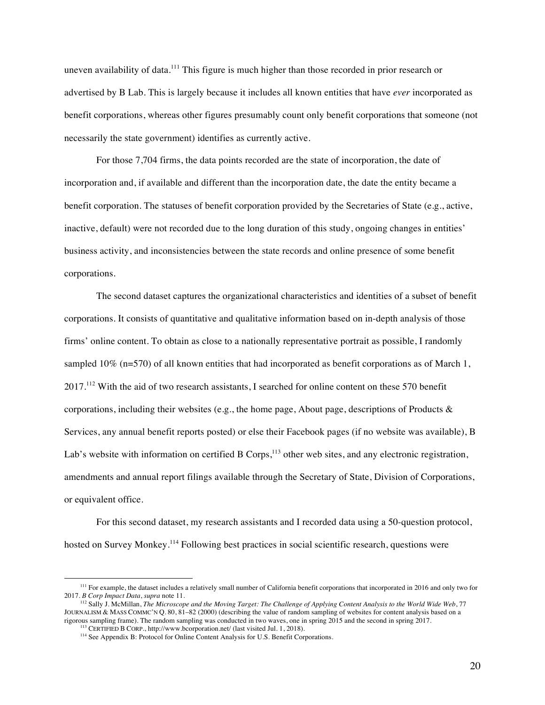uneven availability of data.<sup>111</sup> This figure is much higher than those recorded in prior research or advertised by B Lab. This is largely because it includes all known entities that have *ever* incorporated as benefit corporations, whereas other figures presumably count only benefit corporations that someone (not necessarily the state government) identifies as currently active.

For those 7,704 firms, the data points recorded are the state of incorporation, the date of incorporation and, if available and different than the incorporation date, the date the entity became a benefit corporation. The statuses of benefit corporation provided by the Secretaries of State (e.g., active, inactive, default) were not recorded due to the long duration of this study, ongoing changes in entities' business activity, and inconsistencies between the state records and online presence of some benefit corporations.

The second dataset captures the organizational characteristics and identities of a subset of benefit corporations. It consists of quantitative and qualitative information based on in-depth analysis of those firms' online content. To obtain as close to a nationally representative portrait as possible, I randomly sampled 10% (n=570) of all known entities that had incorporated as benefit corporations as of March 1, 2017.<sup>112</sup> With the aid of two research assistants, I searched for online content on these 570 benefit corporations, including their websites (e.g., the home page, About page, descriptions of Products  $\&$ Services, any annual benefit reports posted) or else their Facebook pages (if no website was available), B Lab's website with information on certified B Corps,<sup>113</sup> other web sites, and any electronic registration, amendments and annual report filings available through the Secretary of State, Division of Corporations, or equivalent office.

For this second dataset, my research assistants and I recorded data using a 50-question protocol, hosted on Survey Monkey.<sup>114</sup> Following best practices in social scientific research, questions were

<sup>&</sup>lt;sup>111</sup> For example, the dataset includes a relatively small number of California benefit corporations that incorporated in 2016 and only two for 2017. *B Corp Impact Data*, *supra* note 11.

<sup>112</sup> Sally J. McMillan, *The Microscope and the Moving Target: The Challenge of Applying Content Analysis to the World Wide Web*, 77 JOURNALISM & MASS COMMC'N Q. 80, 81–82 (2000) (describing the value of random sampling of websites for content analysis based on a rigorous sampling frame). The random sampling was conducted in two waves, one in spring 2015 and the second in spring 2017. 113 CERTIFIED B CORP., http://www.bcorporation.net/ (last visited Jul. 1, 2018).

<sup>&</sup>lt;sup>114</sup> See Appendix B: Protocol for Online Content Analysis for U.S. Benefit Corporations.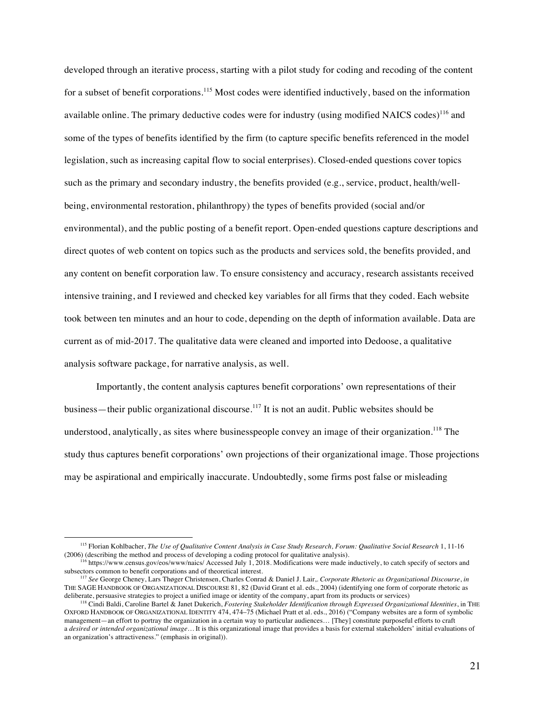developed through an iterative process, starting with a pilot study for coding and recoding of the content for a subset of benefit corporations.<sup>115</sup> Most codes were identified inductively, based on the information available online. The primary deductive codes were for industry (using modified NAICS codes)<sup>116</sup> and some of the types of benefits identified by the firm (to capture specific benefits referenced in the model legislation, such as increasing capital flow to social enterprises). Closed-ended questions cover topics such as the primary and secondary industry, the benefits provided (e.g., service, product, health/wellbeing, environmental restoration, philanthropy) the types of benefits provided (social and/or environmental), and the public posting of a benefit report. Open-ended questions capture descriptions and direct quotes of web content on topics such as the products and services sold, the benefits provided, and any content on benefit corporation law. To ensure consistency and accuracy, research assistants received intensive training, and I reviewed and checked key variables for all firms that they coded. Each website took between ten minutes and an hour to code, depending on the depth of information available. Data are current as of mid-2017. The qualitative data were cleaned and imported into Dedoose, a qualitative analysis software package, for narrative analysis, as well.

Importantly, the content analysis captures benefit corporations' own representations of their business—their public organizational discourse.<sup>117</sup> It is not an audit. Public websites should be understood, analytically, as sites where businesspeople convey an image of their organization.<sup>118</sup> The study thus captures benefit corporations' own projections of their organizational image. Those projections may be aspirational and empirically inaccurate. Undoubtedly, some firms post false or misleading

<sup>115</sup> Florian Kohlbacher, *The Use of Qualitative Content Analysis in Case Study Research, Forum: Qualitative Social Research* 1, 11-16 (2006) (describing the method and process of developing a coding protocol for qualitative analysis).

 $^{116}$  https://www.census.gov/eos/www/naics/ Accessed July 1, 2018. Modifications were made inductively, to catch specify of sectors and subsectors common to benefit corporations and of theoretical interest.

<sup>117</sup> *See* George Cheney, Lars Thøger Christensen, Charles Conrad & Daniel J. Lair,. *Corporate Rhetoric as Organizational Discourse*, *in* THE SAGE HANDBOOK OF ORGANIZATIONAL DISCOURSE 81, 82 (David Grant et al. eds., 2004) (identifying one form of corporate rhetoric as deliberate, persuasive strategies to project a unified image or identity of the company, apart from its products or services)

<sup>118</sup> Cindi Baldi, Caroline Bartel & Janet Dukerich, *Fostering Stakeholder Identification through Expressed Organizational Identities*, in THE OXFORD HANDBOOK OF ORGANIZATIONAL IDENTITY 474, 474–75 (Michael Pratt et al. eds., 2016) ("Company websites are a form of symbolic management—an effort to portray the organization in a certain way to particular audiences… [They] constitute purposeful efforts to craft a *desired or intended organizational image…* It is this organizational image that provides a basis for external stakeholders' initial evaluations of an organization's attractiveness." (emphasis in original)).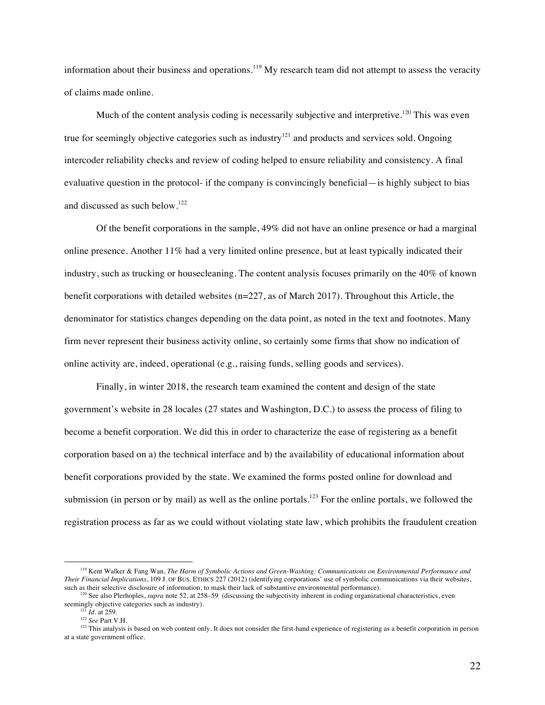information about their business and operations.<sup>119</sup> My research team did not attempt to assess the veracity of claims made online.

Much of the content analysis coding is necessarily subjective and interpretive.<sup>120</sup> This was even true for seemingly objective categories such as industry<sup>121</sup> and products and services sold. Ongoing intercoder reliability checks and review of coding helped to ensure reliability and consistency. A final evaluative question in the protocol- if the company is convincingly beneficial—is highly subject to bias and discussed as such below.122

Of the benefit corporations in the sample, 49% did not have an online presence or had a marginal online presence. Another 11% had a very limited online presence, but at least typically indicated their industry, such as trucking or housecleaning. The content analysis focuses primarily on the 40% of known benefit corporations with detailed websites ( $n=227$ , as of March 2017). Throughout this Article, the denominator for statistics changes depending on the data point, as noted in the text and footnotes. Many firm never represent their business activity online, so certainly some firms that show no indication of online activity are, indeed, operational (e.g., raising funds, selling goods and services).

Finally, in winter 2018, the research team examined the content and design of the state government's website in 28 locales (27 states and Washington, D.C.) to assess the process of filing to become a benefit corporation. We did this in order to characterize the ease of registering as a benefit corporation based on a) the technical interface and b) the availability of educational information about benefit corporations provided by the state. We examined the forms posted online for download and submission (in person or by mail) as well as the online portals.<sup>123</sup> For the online portals, we followed the registration process as far as we could without violating state law, which prohibits the fraudulent creation

<sup>119</sup> Kent Walker & Fang Wan, *The Harm of Symbolic Actions and Green-Washing: Communications on Environmental Performance and Their Financial Implications*, 109 J. OF BUS. ETHICS 227 (2012) (identifying corporations' use of symbolic communications via their websites, such as their selective disclosure of information, to mask their lack of substantive environmental performance).

<sup>&</sup>lt;sup>120</sup> See also Plerhoples, *supra* note 52, at 258–59 (discussing the subjectivity inherent in coding organizational characteristics, even seemingly objective categories such as industry).<br><sup>121</sup> *Id.* at 259.

<sup>122</sup> *See* Part V.H.

<sup>&</sup>lt;sup>123</sup> This analysis is based on web content only. It does not consider the first-hand experience of registering as a benefit corporation in person at a state government office.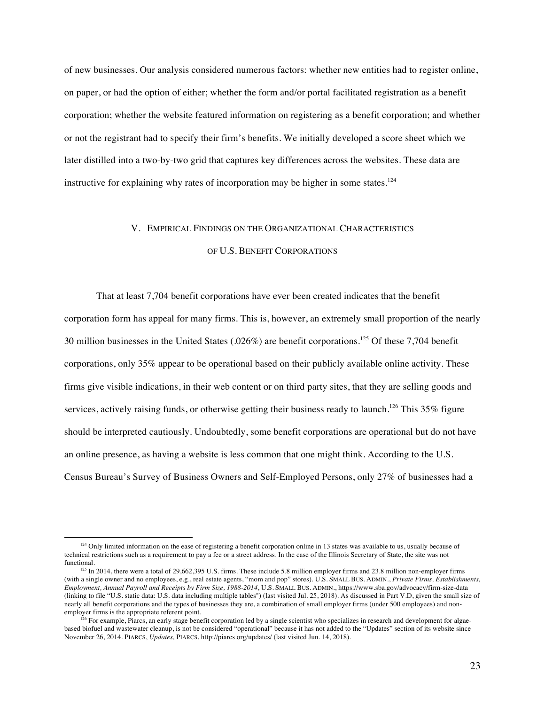of new businesses. Our analysis considered numerous factors: whether new entities had to register online, on paper, or had the option of either; whether the form and/or portal facilitated registration as a benefit corporation; whether the website featured information on registering as a benefit corporation; and whether or not the registrant had to specify their firm's benefits. We initially developed a score sheet which we later distilled into a two-by-two grid that captures key differences across the websites. These data are instructive for explaining why rates of incorporation may be higher in some states.<sup>124</sup>

#### V. EMPIRICAL FINDINGS ON THE ORGANIZATIONAL CHARACTERISTICS

### OF U.S. BENEFIT CORPORATIONS

That at least 7,704 benefit corporations have ever been created indicates that the benefit corporation form has appeal for many firms. This is, however, an extremely small proportion of the nearly 30 million businesses in the United States (.026%) are benefit corporations. <sup>125</sup> Of these 7,704 benefit corporations, only 35% appear to be operational based on their publicly available online activity. These firms give visible indications, in their web content or on third party sites, that they are selling goods and services, actively raising funds, or otherwise getting their business ready to launch.<sup>126</sup> This 35% figure should be interpreted cautiously. Undoubtedly, some benefit corporations are operational but do not have an online presence, as having a website is less common that one might think. According to the U.S. Census Bureau's Survey of Business Owners and Self-Employed Persons, only 27% of businesses had a

 $124$  Only limited information on the ease of registering a benefit corporation online in 13 states was available to us, usually because of technical restrictions such as a requirement to pay a fee or a street address. In the case of the Illinois Secretary of State, the site was not

 $125$  In 2014, there were a total of 29,662,395 U.S. firms. These include 5.8 million employer firms and 23.8 million non-employer firms (with a single owner and no employees, e.g., real estate agents, "mom and pop" stores). U.S. SMALL BUS. ADMIN., *Private Firms, Establishments, Employment, Annual Payroll and Receipts by Firm Size, 1988-2014*, U.S. SMALL BUS. ADMIN., https://www.sba.gov/advocacy/firm-size-data (linking to file "U.S. static data: U.S. data including multiple tables") (last visited Jul. 25, 2018). As discussed in Part V.D, given the small size of nearly all benefit corporations and the types of businesses they are, a combination of small employer firms (under 500 employees) and non-employer firms is the appropriate referent point.

<sup>&</sup>lt;sup>26</sup> For example, Piarcs, an early stage benefit corporation led by a single scientist who specializes in research and development for algaebased biofuel and wastewater cleanup, is not be considered "operational" because it has not added to the "Updates" section of its website since November 26, 2014. PIARCS, *Updates,* PIARCS, http://piarcs.org/updates/ (last visited Jun. 14, 2018).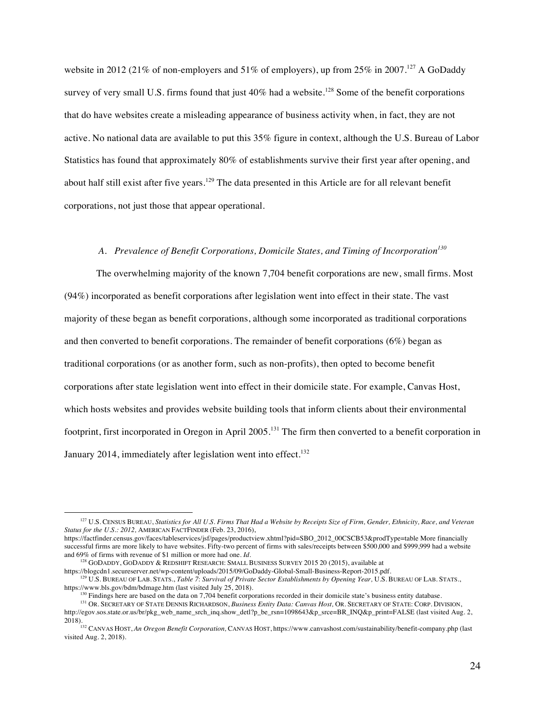website in 2012 (21% of non-employers and 51% of employers), up from 25% in 2007.<sup>127</sup> A GoDaddy survey of very small U.S. firms found that just  $40\%$  had a website.<sup>128</sup> Some of the benefit corporations that do have websites create a misleading appearance of business activity when, in fact, they are not active. No national data are available to put this 35% figure in context, although the U.S. Bureau of Labor Statistics has found that approximately 80% of establishments survive their first year after opening, and about half still exist after five years.<sup>129</sup> The data presented in this Article are for all relevant benefit corporations, not just those that appear operational.

# *A. Prevalence of Benefit Corporations, Domicile States, and Timing of Incorporation<sup>130</sup>*

The overwhelming majority of the known 7,704 benefit corporations are new, small firms. Most (94%) incorporated as benefit corporations after legislation went into effect in their state. The vast majority of these began as benefit corporations, although some incorporated as traditional corporations and then converted to benefit corporations. The remainder of benefit corporations (6%) began as traditional corporations (or as another form, such as non-profits), then opted to become benefit corporations after state legislation went into effect in their domicile state. For example, Canvas Host, which hosts websites and provides website building tools that inform clients about their environmental footprint, first incorporated in Oregon in April 2005.<sup>131</sup> The firm then converted to a benefit corporation in January 2014, immediately after legislation went into effect.<sup>132</sup>

<sup>&</sup>lt;sup>127</sup> U.S. CENSUS BUREAU, *Statistics for All U.S. Firms That Had a Website by Receipts Size of Firm, Gender, Ethnicity, Race, and Veteran Status for the U.S.: 2012,* AMERICAN FACTFINDER (Feb. 23, 2016),

https://factfinder.census.gov/faces/tableservices/jsf/pages/productview.xhtml?pid=SBO\_2012\_00CSCB53&prodType=table More financially successful firms are more likely to have websites. Fifty-two percent of firms with sales/receipts between \$500,000 and \$999,999 had a website and 69% of firms with revenue of \$1 million or more had one. *Id.*

<sup>&</sup>lt;sup>128</sup> GODADDY, GODADDY & REDSHIFT RESEARCH: SMALL BUSINESS SURVEY 2015 20 (2015), available at https://blogcdn1.secureserver.net/wp-content/uploads/2015/09/GoDaddy-Global-Small-Business-Report-2015.pdf.

<sup>129</sup> U.S. BUREAU OF LAB. STATS., *Table 7*: *Survival of Private Sector Establishments by Opening Year,* U.S. BUREAU OF LAB. STATS., https://www.bls.gov/bdm/bdmage.htm (last visited July 25, 2018).<br><sup>130</sup> Findings here are based on the data on 7,704 benefit corporations recorded in their domicile state's business entity database.

<sup>&</sup>lt;sup>131</sup> OR. SECRETARY OF STATE DENNIS RICHARDSON, Business Entity Data: Canvas Host, OR. SECRETARY OF STATE: CORP. DIVISION, http://egov.sos.state.or.us/br/pkg\_web\_name\_srch\_inq.show\_detl?p\_be\_rsn=1098643&p\_srce=BR\_INQ&p\_print=FALSE (last visited Aug. 2,

<sup>2018).132</sup> CANVAS HOST, *An Oregon Benefit Corporation,* CANVAS HOST, https://www.canvashost.com/sustainability/benefit-company.php (last visited Aug. 2, 2018).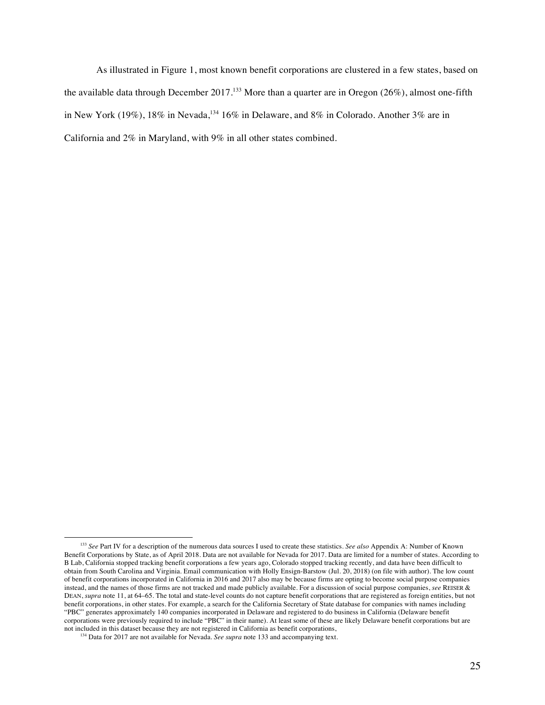As illustrated in Figure 1, most known benefit corporations are clustered in a few states, based on the available data through December 2017.<sup>133</sup> More than a quarter are in Oregon (26%), almost one-fifth in New York (19%), 18% in Nevada,  $^{134}$  16% in Delaware, and 8% in Colorado. Another 3% are in California and 2% in Maryland, with 9% in all other states combined.

<sup>&</sup>lt;u>.</u> <sup>133</sup> See Part IV for a description of the numerous data sources I used to create these statistics. See also Appendix A: Number of Known Benefit Corporations by State, as of April 2018. Data are not available for Nevada for 2017. Data are limited for a number of states. According to B Lab, California stopped tracking benefit corporations a few years ago, Colorado stopped tracking recently, and data have been difficult to obtain from South Carolina and Virginia. Email communication with Holly Ensign-Barstow (Jul. 20, 2018) (on file with author). The low count of benefit corporations incorporated in California in 2016 and 2017 also may be because firms are opting to become social purpose companies instead, and the names of those firms are not tracked and made publicly available. For a discussion of social purpose companies, *see* REISER & DEAN, *supra* note 11, at 64–65. The total and state-level counts do not capture benefit corporations that are registered as foreign entities, but not benefit corporations, in other states. For example, a search for the California Secretary of State database for companies with names including "PBC" generates approximately 140 companies incorporated in Delaware and registered to do business in California (Delaware benefit corporations were previously required to include "PBC" in their name). At least some of these are likely Delaware benefit corporations but are not included in this dataset because they are not registered in California as benefit corporations,

<sup>&</sup>lt;sup>134</sup> Data for 2017 are not available for Nevada. *See supra* note 133 and accompanying text.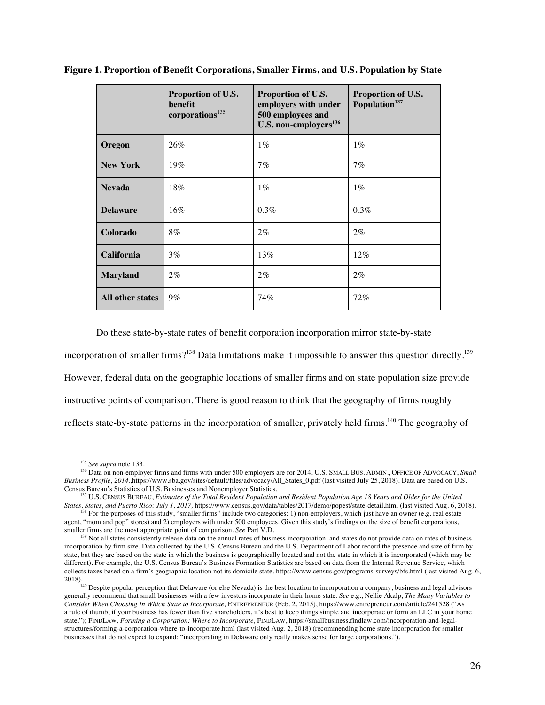|                  | Proportion of U.S.<br>benefit<br>corporations <sup>135</sup> | Proportion of U.S.<br>employers with under<br>500 employees and<br>U.S. non-employers <sup>136</sup> | Proportion of U.S.<br>Population <sup>137</sup> |
|------------------|--------------------------------------------------------------|------------------------------------------------------------------------------------------------------|-------------------------------------------------|
| Oregon           | 26%                                                          | $1\%$                                                                                                | $1\%$                                           |
| <b>New York</b>  | $19\%$                                                       | 7%                                                                                                   | 7%                                              |
| <b>Nevada</b>    | 18%                                                          | $1\%$                                                                                                | $1\%$                                           |
| <b>Delaware</b>  | 16%                                                          | 0.3%                                                                                                 | 0.3%                                            |
| Colorado         | $8\%$                                                        | $2\%$                                                                                                | $2\%$                                           |
| California       | $3\%$                                                        | 13%                                                                                                  | 12%                                             |
| <b>Maryland</b>  | $2\%$                                                        | $2\%$                                                                                                | $2\%$                                           |
| All other states | $9\%$                                                        | 74%                                                                                                  | 72%                                             |

**Figure 1. Proportion of Benefit Corporations, Smaller Firms, and U.S. Population by State**

Do these state-by-state rates of benefit corporation incorporation mirror state-by-state

incorporation of smaller firms?<sup>138</sup> Data limitations make it impossible to answer this question directly.<sup>139</sup> However, federal data on the geographic locations of smaller firms and on state population size provide instructive points of comparison. There is good reason to think that the geography of firms roughly reflects state-by-state patterns in the incorporation of smaller, privately held firms.<sup>140</sup> The geography of

<sup>135</sup> *See supra* note 133.

<sup>136</sup> Data on non-employer firms and firms with under 500 employers are for 2014. U.S. SMALL BUS. ADMIN., OFFICE OF ADVOCACY, *Small Business Profile, 2014.,*https://www.sba.gov/sites/default/files/advocacy/All\_States\_0.pdf (last visited July 25, 2018). Data are based on U.S. Census Bureau's Statistics of U.S. Businesses and Nonemployer Statistics.

<sup>137</sup> U.S. CENSUS BUREAU, *Estimates of the Total Resident Population and Resident Population Age 18 Years and Older for the United States, States, and Puerto Rico: July 1, 2017,* https://www.census.gov/data/tables/2017/demo/popest/state-detail.html (last visited Aug. 6, 2018).

<sup>&</sup>lt;sup>138</sup> For the purposes of this study, "smaller firms" include two categories: 1) non-employers, which just have an owner (e.g. real estate agent, "mom and pop" stores) and 2) employers with under 500 employees. Given this study's findings on the size of benefit corporations, smaller firms are the most appropriate point of comparison. *See* Part V.D.

<sup>&</sup>lt;sup>139</sup> Not all states consistently release data on the annual rates of business incorporation, and states do not provide data on rates of business incorporation by firm size. Data collected by the U.S. Census Bureau and the U.S. Department of Labor record the presence and size of firm by state, but they are based on the state in which the business is geographically located and not the state in which it is incorporated (which may be different). For example, the U.S. Census Bureau's Business Formation Statistics are based on data from the Internal Revenue Service, which collects taxes based on a firm's geographic location not its domicile state. https://www.census.gov/programs-surveys/bfs.html (last visited Aug. 6,

<sup>2018).&</sup>lt;br><sup>140</sup> Despite popular perception that Delaware (or else Nevada) is the best location to incorporation a company, business and legal advisors generally recommend that small businesses with a few investors incorporate in their home state. *See* e.g., Nellie Akalp, *The Many Variables to Consider When Choosing In Which State to Incorporate,* ENTREPRENEUR (Feb. 2, 2015), https://www.entrepreneur.com/article/241528 ("As a rule of thumb, if your business has fewer than five shareholders, it's best to keep things simple and incorporate or form an LLC in your home state."); FINDLAW*, Forming a Corporation: Where to Incorporate,* FINDLAW, https://smallbusiness.findlaw.com/incorporation-and-legalstructures/forming-a-corporation-where-to-incorporate.html (last visited Aug. 2, 2018) (recommending home state incorporation for smaller businesses that do not expect to expand: "incorporating in Delaware only really makes sense for large corporations.").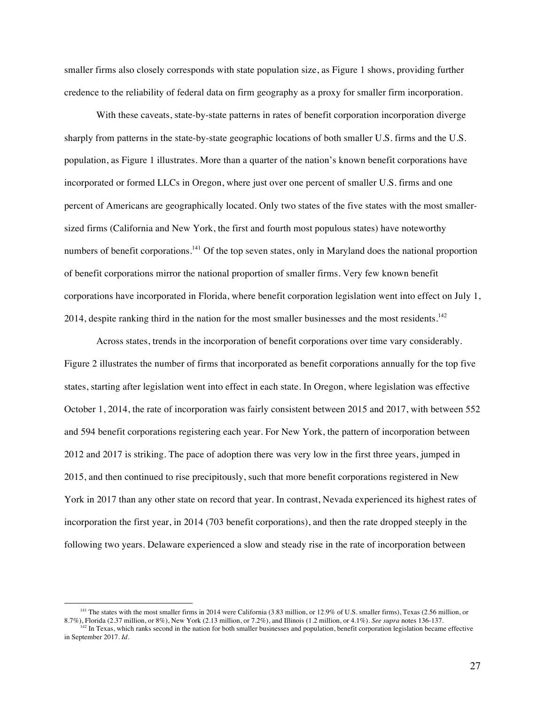smaller firms also closely corresponds with state population size, as Figure 1 shows, providing further credence to the reliability of federal data on firm geography as a proxy for smaller firm incorporation.

With these caveats, state-by-state patterns in rates of benefit corporation incorporation diverge sharply from patterns in the state-by-state geographic locations of both smaller U.S. firms and the U.S. population, as Figure 1 illustrates. More than a quarter of the nation's known benefit corporations have incorporated or formed LLCs in Oregon, where just over one percent of smaller U.S. firms and one percent of Americans are geographically located. Only two states of the five states with the most smallersized firms (California and New York, the first and fourth most populous states) have noteworthy numbers of benefit corporations.<sup>141</sup> Of the top seven states, only in Maryland does the national proportion of benefit corporations mirror the national proportion of smaller firms. Very few known benefit corporations have incorporated in Florida, where benefit corporation legislation went into effect on July 1, 2014, despite ranking third in the nation for the most smaller businesses and the most residents.<sup>142</sup>

Across states, trends in the incorporation of benefit corporations over time vary considerably. Figure 2 illustrates the number of firms that incorporated as benefit corporations annually for the top five states, starting after legislation went into effect in each state. In Oregon, where legislation was effective October 1, 2014, the rate of incorporation was fairly consistent between 2015 and 2017, with between 552 and 594 benefit corporations registering each year. For New York, the pattern of incorporation between 2012 and 2017 is striking. The pace of adoption there was very low in the first three years, jumped in 2015, and then continued to rise precipitously, such that more benefit corporations registered in New York in 2017 than any other state on record that year. In contrast, Nevada experienced its highest rates of incorporation the first year, in 2014 (703 benefit corporations), and then the rate dropped steeply in the following two years. Delaware experienced a slow and steady rise in the rate of incorporation between

<sup>&</sup>lt;sup>141</sup> The states with the most smaller firms in 2014 were California (3.83 million, or 12.9% of U.S. smaller firms), Texas (2.56 million, or 8.7%), Florida (2.37 million, or 8%), New York (2.13 million, or 7.2%), and Illinois (1.2 million, or 4.1%). *See supra* notes 136-137.

 $142$  In Texas, which ranks second in the nation for both smaller businesses and population, benefit corporation legislation became effective in September 2017. *Id.*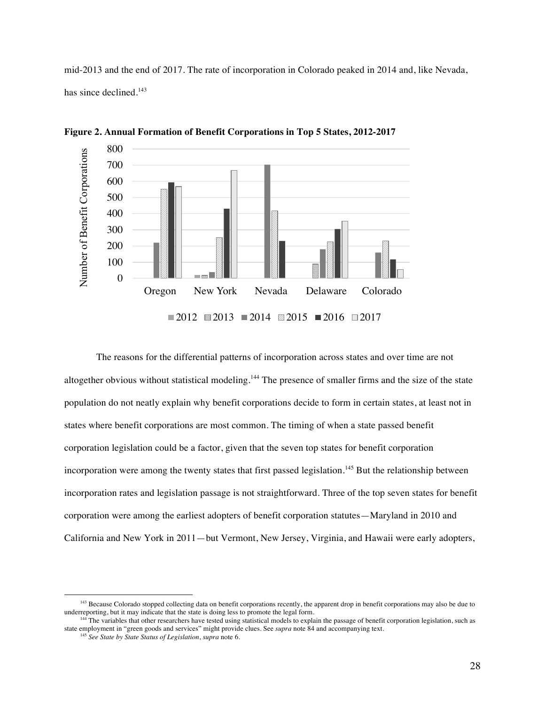mid-2013 and the end of 2017. The rate of incorporation in Colorado peaked in 2014 and, like Nevada, has since declined.<sup>143</sup>



**Figure 2. Annual Formation of Benefit Corporations in Top 5 States, 2012-2017**

The reasons for the differential patterns of incorporation across states and over time are not altogether obvious without statistical modeling.<sup>144</sup> The presence of smaller firms and the size of the state population do not neatly explain why benefit corporations decide to form in certain states, at least not in states where benefit corporations are most common. The timing of when a state passed benefit corporation legislation could be a factor, given that the seven top states for benefit corporation incorporation were among the twenty states that first passed legislation.<sup>145</sup> But the relationship between incorporation rates and legislation passage is not straightforward. Three of the top seven states for benefit corporation were among the earliest adopters of benefit corporation statutes—Maryland in 2010 and California and New York in 2011—but Vermont, New Jersey, Virginia, and Hawaii were early adopters,

<sup>&</sup>lt;sup>143</sup> Because Colorado stopped collecting data on benefit corporations recently, the apparent drop in benefit corporations may also be due to underreporting, but it may indicate that the state is doing less to promote the

The variables that other researchers have tested using statistical models to explain the passage of benefit corporation legislation, such as state employment in "green goods and services" might provide clues. See *supra* note 84 and accompanying text.

<sup>145</sup> *See State by State Status of Legislation*, *supra* note 6.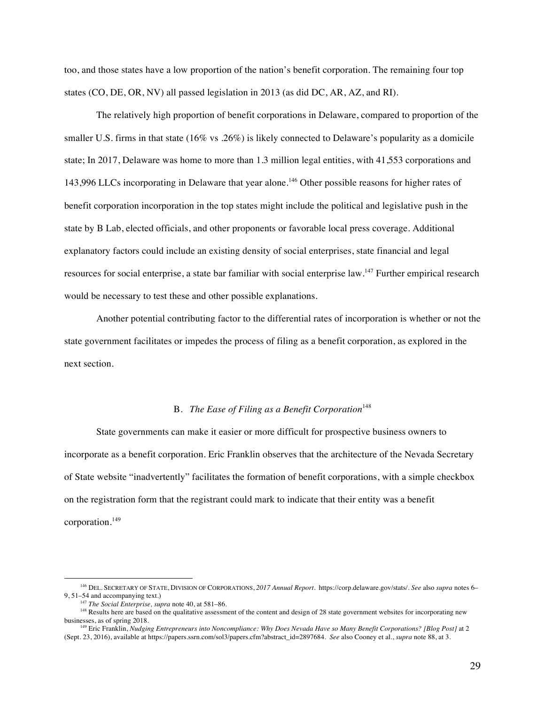too, and those states have a low proportion of the nation's benefit corporation. The remaining four top states (CO, DE, OR, NV) all passed legislation in 2013 (as did DC, AR, AZ, and RI).

The relatively high proportion of benefit corporations in Delaware, compared to proportion of the smaller U.S. firms in that state (16% vs .26%) is likely connected to Delaware's popularity as a domicile state; In 2017, Delaware was home to more than 1.3 million legal entities, with 41,553 corporations and 143,996 LLCs incorporating in Delaware that year alone.<sup>146</sup> Other possible reasons for higher rates of benefit corporation incorporation in the top states might include the political and legislative push in the state by B Lab, elected officials, and other proponents or favorable local press coverage. Additional explanatory factors could include an existing density of social enterprises, state financial and legal resources for social enterprise, a state bar familiar with social enterprise law.<sup>147</sup> Further empirical research would be necessary to test these and other possible explanations.

Another potential contributing factor to the differential rates of incorporation is whether or not the state government facilitates or impedes the process of filing as a benefit corporation, as explored in the next section.

# B. *The Ease of Filing as a Benefit Corporation*<sup>148</sup>

State governments can make it easier or more difficult for prospective business owners to incorporate as a benefit corporation. Eric Franklin observes that the architecture of the Nevada Secretary of State website "inadvertently" facilitates the formation of benefit corporations, with a simple checkbox on the registration form that the registrant could mark to indicate that their entity was a benefit corporation.<sup>149</sup>

<sup>146</sup> DEL. SECRETARY OF STATE, DIVISION OF CORPORATIONS, *2017 Annual Report.* https://corp.delaware.gov/stats/. *See* also *supra* notes 6– 9, 51–54 and accompanying text.)

<sup>147</sup> *The Social Enterprise, supra* note 40, at 581–86.

<sup>&</sup>lt;sup>148</sup> Results here are based on the qualitative assessment of the content and design of 28 state government websites for incorporating new businesses, as of spring 2018.

<sup>149</sup> Eric Franklin, *Nudging Entrepreneurs into Noncompliance: Why Does Nevada Have so Many Benefit Corporations? [Blog Post]* at 2 (Sept. 23, 2016), available at https://papers.ssrn.com/sol3/papers.cfm?abstract\_id=2897684. *See* also Cooney et al., *supra* note 88, at 3.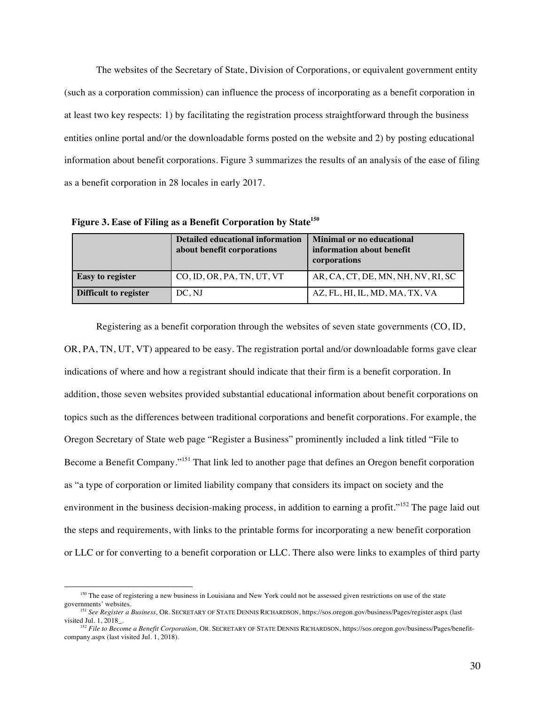The websites of the Secretary of State, Division of Corporations, or equivalent government entity (such as a corporation commission) can influence the process of incorporating as a benefit corporation in at least two key respects: 1) by facilitating the registration process straightforward through the business entities online portal and/or the downloadable forms posted on the website and 2) by posting educational information about benefit corporations. Figure 3 summarizes the results of an analysis of the ease of filing as a benefit corporation in 28 locales in early 2017.

|                         | <b>Detailed educational information</b><br>about benefit corporations | <b>Minimal or no educational</b><br>information about benefit<br>corporations |
|-------------------------|-----------------------------------------------------------------------|-------------------------------------------------------------------------------|
| <b>Easy to register</b> | CO, ID, OR, PA, TN, UT, VT                                            | AR, CA, CT, DE, MN, NH, NV, RI, SC                                            |
| Difficult to register   | DC, NJ                                                                | AZ, FL, HI, IL, MD, MA, TX, VA                                                |

 **Figure 3. Ease of Filing as a Benefit Corporation by State150**

Registering as a benefit corporation through the websites of seven state governments (CO, ID, OR, PA, TN, UT, VT) appeared to be easy. The registration portal and/or downloadable forms gave clear indications of where and how a registrant should indicate that their firm is a benefit corporation. In addition, those seven websites provided substantial educational information about benefit corporations on topics such as the differences between traditional corporations and benefit corporations. For example, the Oregon Secretary of State web page "Register a Business" prominently included a link titled "File to Become a Benefit Company."<sup>151</sup> That link led to another page that defines an Oregon benefit corporation as "a type of corporation or limited liability company that considers its impact on society and the environment in the business decision-making process, in addition to earning a profit."<sup>152</sup> The page laid out the steps and requirements, with links to the printable forms for incorporating a new benefit corporation or LLC or for converting to a benefit corporation or LLC. There also were links to examples of third party

<sup>&</sup>lt;sup>150</sup> The ease of registering a new business in Louisiana and New York could not be assessed given restrictions on use of the state governments' websites.

<sup>&</sup>lt;sup>151</sup> See Register a Business, OR. SECRETARY OF STATE DENNIS RICHARDSON, https://sos.oregon.gov/business/Pages/register.aspx (last visited Jul. 1, 2018\_.

<sup>&</sup>lt;sup>152</sup> File to Become a Benefit Corporation, OR. SECRETARY OF STATE DENNIS RICHARDSON, https://sos.oregon.gov/business/Pages/benefitcompany.aspx (last visited Jul. 1, 2018).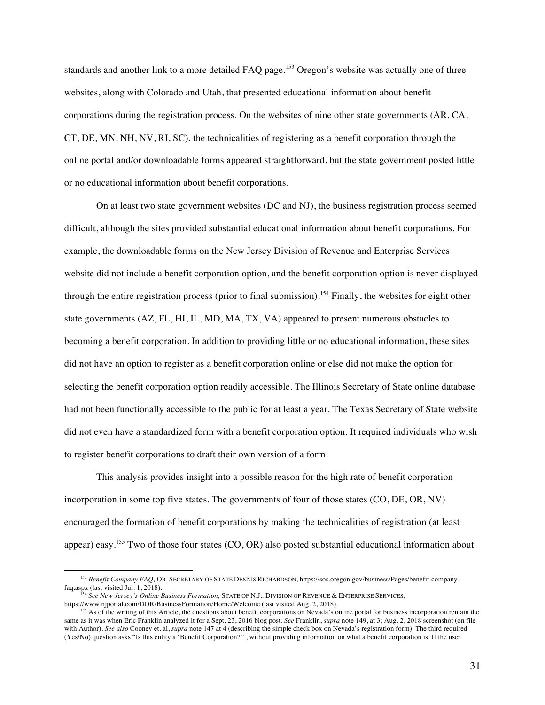standards and another link to a more detailed FAQ page.<sup>153</sup> Oregon's website was actually one of three websites, along with Colorado and Utah, that presented educational information about benefit corporations during the registration process. On the websites of nine other state governments (AR, CA, CT, DE, MN, NH, NV, RI, SC), the technicalities of registering as a benefit corporation through the online portal and/or downloadable forms appeared straightforward, but the state government posted little or no educational information about benefit corporations.

On at least two state government websites (DC and NJ), the business registration process seemed difficult, although the sites provided substantial educational information about benefit corporations. For example, the downloadable forms on the New Jersey Division of Revenue and Enterprise Services website did not include a benefit corporation option, and the benefit corporation option is never displayed through the entire registration process (prior to final submission).<sup>154</sup> Finally, the websites for eight other state governments (AZ, FL, HI, IL, MD, MA, TX, VA) appeared to present numerous obstacles to becoming a benefit corporation. In addition to providing little or no educational information, these sites did not have an option to register as a benefit corporation online or else did not make the option for selecting the benefit corporation option readily accessible. The Illinois Secretary of State online database had not been functionally accessible to the public for at least a year. The Texas Secretary of State website did not even have a standardized form with a benefit corporation option. It required individuals who wish to register benefit corporations to draft their own version of a form.

This analysis provides insight into a possible reason for the high rate of benefit corporation incorporation in some top five states. The governments of four of those states (CO, DE, OR, NV) encouraged the formation of benefit corporations by making the technicalities of registration (at least appear) easy.<sup>155</sup> Two of those four states (CO, OR) also posted substantial educational information about

<sup>153</sup> *Benefit Company FAQ,* OR. SECRETARY OF STATE DENNIS RICHARDSON, https://sos.oregon.gov/business/Pages/benefit-companyfaq.aspx (last visited Jul. 1, 2018).

<sup>154</sup> *See New Jersey's Online Business Formation,* STATE OF N.J.: DIVISION OF REVENUE & ENTERPRISE SERVICES, https://www.njportal.com/DOR/BusinessFormation/Home/Welcome (last visited Aug. 2, 2018).

<sup>&</sup>lt;sup>155</sup> As of the writing of this Article, the questions about benefit corporations on Nevada's online portal for business incorporation remain the same as it was when Eric Franklin analyzed it for a Sept. 23, 2016 blog post. *See* Franklin, *supra* note 149, at 3; Aug. 2, 2018 screenshot (on file with Author). *See also* Cooney et. al, *supra* note 147 at 4 (describing the simple check box on Nevada's registration form). The third required (Yes/No) question asks "Is this entity a 'Benefit Corporation?'", without providing information on what a benefit corporation is. If the user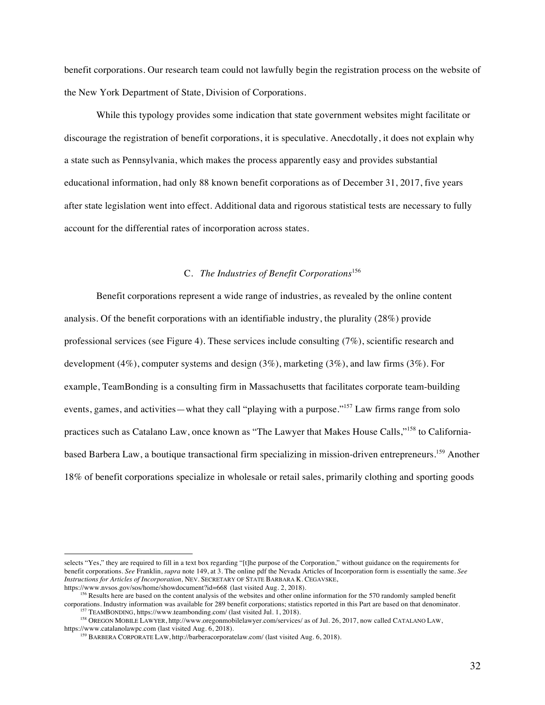benefit corporations. Our research team could not lawfully begin the registration process on the website of the New York Department of State, Division of Corporations.

While this typology provides some indication that state government websites might facilitate or discourage the registration of benefit corporations, it is speculative. Anecdotally, it does not explain why a state such as Pennsylvania, which makes the process apparently easy and provides substantial educational information, had only 88 known benefit corporations as of December 31, 2017, five years after state legislation went into effect. Additional data and rigorous statistical tests are necessary to fully account for the differential rates of incorporation across states.

## C. *The Industries of Benefit Corporations*<sup>156</sup>

Benefit corporations represent a wide range of industries, as revealed by the online content analysis. Of the benefit corporations with an identifiable industry, the plurality (28%) provide professional services (see Figure 4). These services include consulting (7%), scientific research and development  $(4\%)$ , computer systems and design  $(3\%)$ , marketing  $(3\%)$ , and law firms  $(3\%)$ . For example, TeamBonding is a consulting firm in Massachusetts that facilitates corporate team-building events, games, and activities—what they call "playing with a purpose."<sup>157</sup> Law firms range from solo practices such as Catalano Law, once known as "The Lawyer that Makes House Calls,"<sup>158</sup> to Californiabased Barbera Law, a boutique transactional firm specializing in mission-driven entrepreneurs.<sup>159</sup> Another 18% of benefit corporations specialize in wholesale or retail sales, primarily clothing and sporting goods

1

<sup>156</sup> Results here are based on the content analysis of the websites and other online information for the 570 randomly sampled benefit corporations. Industry information was available for 289 benefit corporations; statistics reported in this Part are based on that denominator. <sup>157</sup> TEAMBONDING, https://www.teambonding.com/ (last visited Jul. 1, 2018).

<sup>158</sup> OREGON MOBILE LAWYER, http://www.oregonmobilelawyer.com/services/ as of Jul. 26, 2017, now called CATALANO LAW, https://www.catalanolawpc.com (last visited Aug. 6, 2018).

selects "Yes," they are required to fill in a text box regarding "[t]he purpose of the Corporation," without guidance on the requirements for benefit corporations. *See* Franklin, *supra* note 149, at 3. The online pdf the Nevada Articles of Incorporation form is essentially the same. *See Instructions for Articles of Incorporation,* NEV. SECRETARY OF STATE BARBARA K. CEGAVSKE,

https://www.nvsos.gov/sos/home/showdocument?id=668 (last visited Aug. 2, 2018).

<sup>&</sup>lt;sup>159</sup> BARBERA CORPORATE LAW, http://barberacorporatelaw.com/ (last visited Aug. 6, 2018).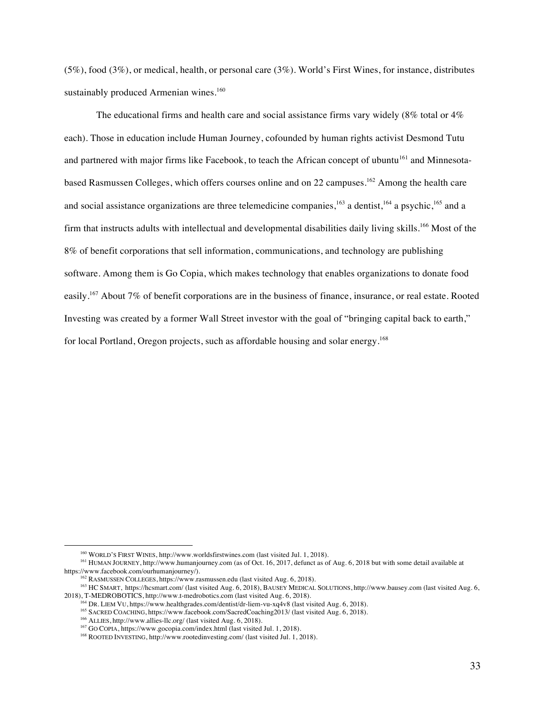(5%), food (3%), or medical, health, or personal care (3%). World's First Wines, for instance, distributes sustainably produced Armenian wines.<sup>160</sup>

The educational firms and health care and social assistance firms vary widely (8% total or 4% each). Those in education include Human Journey, cofounded by human rights activist Desmond Tutu and partnered with major firms like Facebook, to teach the African concept of ubuntu<sup>161</sup> and Minnesotabased Rasmussen Colleges, which offers courses online and on 22 campuses.<sup>162</sup> Among the health care and social assistance organizations are three telemedicine companies,<sup>163</sup> a dentist,<sup>164</sup> a psychic,<sup>165</sup> and a firm that instructs adults with intellectual and developmental disabilities daily living skills.<sup>166</sup> Most of the 8% of benefit corporations that sell information, communications, and technology are publishing software. Among them is Go Copia, which makes technology that enables organizations to donate food easily.167 About 7% of benefit corporations are in the business of finance, insurance, or real estate. Rooted Investing was created by a former Wall Street investor with the goal of "bringing capital back to earth," for local Portland, Oregon projects, such as affordable housing and solar energy.168

<sup>160</sup> WORLD'S FIRST WINES, http://www.worldsfirstwines.com (last visited Jul. 1, 2018).

<sup>&</sup>lt;sup>161</sup> HUMAN JOURNEY, http://www.humanjourney.com (as of Oct. 16, 2017, defunct as of Aug. 6, 2018 but with some detail available at https://www.facebook.com/ourhumanjourney/).

 $h^{162}$  RASMUSSEN COLLEGES, https://www.rasmussen.edu (last visited Aug. 6, 2018).

<sup>163</sup> HC SMART, https://hcsmart.com/ (last visited Aug. 6, 2018), BAUSEY MEDICAL SOLUTIONS, http://www.bausey.com (last visited Aug. 6, 2018), T-MEDROBOTICS, http://www.t-medrobotics.com (last visited Aug. 6, 2018).

<sup>164</sup> DR. LIEM VU, https://www.healthgrades.com/dentist/dr-liem-vu-xq4v8 (last visited Aug. 6, 2018).

<sup>&</sup>lt;sup>165</sup> SACRED COACHING, https://www.facebook.com/SacredCoaching2013/ (last visited Aug. 6, 2018).

<sup>166</sup> ALLIES, http://www.allies-llc.org/ (last visited Aug. 6, 2018).

<sup>&</sup>lt;sup>167</sup> GO COPIA, https://www.gocopia.com/index.html (last visited Jul. 1, 2018).

<sup>&</sup>lt;sup>168</sup> ROOTED INVESTING, http://www.rootedinvesting.com/ (last visited Jul. 1, 2018).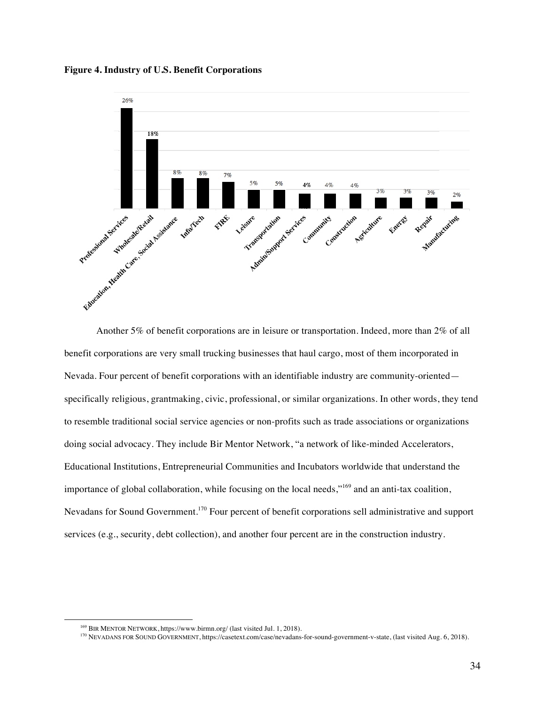**Figure 4. Industry of U.S. Benefit Corporations**



Another 5% of benefit corporations are in leisure or transportation. Indeed, more than 2% of all benefit corporations are very small trucking businesses that haul cargo, most of them incorporated in Nevada. Four percent of benefit corporations with an identifiable industry are community-oriented specifically religious, grantmaking, civic, professional, or similar organizations. In other words, they tend to resemble traditional social service agencies or non-profits such as trade associations or organizations doing social advocacy. They include Bir Mentor Network, "a network of like-minded Accelerators, Educational Institutions, Entrepreneurial Communities and Incubators worldwide that understand the importance of global collaboration, while focusing on the local needs,"<sup>169</sup> and an anti-tax coalition, Nevadans for Sound Government.170 Four percent of benefit corporations sell administrative and support services (e.g., security, debt collection), and another four percent are in the construction industry.

<sup>169</sup> BIR MENTOR NETWORK, https://www.birmn.org/ (last visited Jul. 1, 2018).

<sup>170</sup> NEVADANS FOR SOUND GOVERNMENT, https://casetext.com/case/nevadans-for-sound-government-v-state, (last visited Aug. 6, 2018).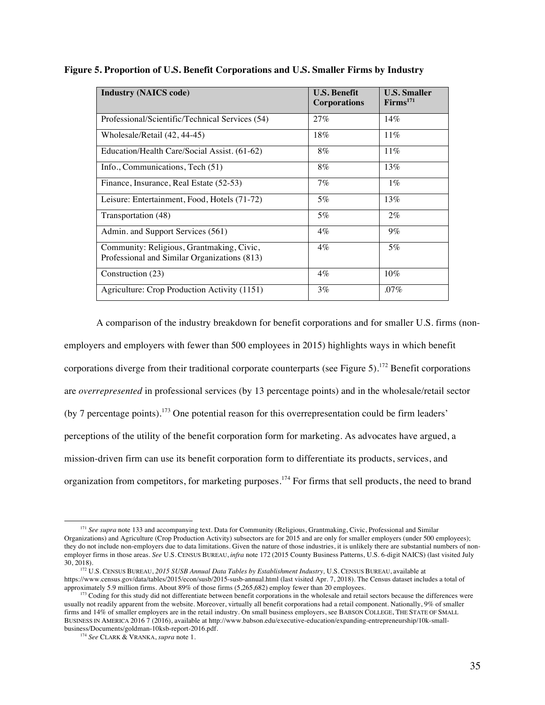| <b>Industry (NAICS code)</b>                                                              | <b>U.S. Benefit</b><br><b>Corporations</b> | <b>U.S. Smaller</b><br>$\textbf{Firms}^{171}$ |
|-------------------------------------------------------------------------------------------|--------------------------------------------|-----------------------------------------------|
| Professional/Scientific/Technical Services (54)                                           | 27%                                        | 14%                                           |
| Wholesale/Retail (42, 44-45)                                                              | 18%                                        | $11\%$                                        |
| Education/Health Care/Social Assist. (61-62)                                              | $8\%$                                      | $11\%$                                        |
| Info., Communications, Tech (51)                                                          | 8%                                         | $13\%$                                        |
| Finance, Insurance, Real Estate (52-53)                                                   | $7\%$                                      | $1\%$                                         |
| Leisure: Entertainment, Food, Hotels (71-72)                                              | $5\%$                                      | $13\%$                                        |
| Transportation (48)                                                                       | 5%                                         | $2\%$                                         |
| Admin. and Support Services (561)                                                         | $4\%$                                      | $9\%$                                         |
| Community: Religious, Grantmaking, Civic,<br>Professional and Similar Organizations (813) | $4\%$                                      | $5\%$                                         |
| Construction (23)                                                                         | $4\%$                                      | 10%                                           |
| Agriculture: Crop Production Activity (1151)                                              | $3\%$                                      | $.07\%$                                       |

### **Figure 5. Proportion of U.S. Benefit Corporations and U.S. Smaller Firms by Industry**

A comparison of the industry breakdown for benefit corporations and for smaller U.S. firms (nonemployers and employers with fewer than 500 employees in 2015) highlights ways in which benefit corporations diverge from their traditional corporate counterparts (see Figure 5). <sup>172</sup> Benefit corporations are *overrepresented* in professional services (by 13 percentage points) and in the wholesale/retail sector (by 7 percentage points).<sup>173</sup> One potential reason for this overrepresentation could be firm leaders' perceptions of the utility of the benefit corporation form for marketing. As advocates have argued, a mission-driven firm can use its benefit corporation form to differentiate its products, services, and organization from competitors, for marketing purposes.<sup>174</sup> For firms that sell products, the need to brand

<sup>&</sup>lt;sup>171</sup> See supra note 133 and accompanying text. Data for Community (Religious, Grantmaking, Civic, Professional and Similar Organizations) and Agriculture (Crop Production Activity) subsectors are for 2015 and are only for smaller employers (under 500 employees); they do not include non-employers due to data limitations. Given the nature of those industries, it is unlikely there are substantial numbers of nonemployer firms in those areas. *See* U.S. CENSUS BUREAU, *infra* note 172 (2015 County Business Patterns, U.S. 6-digit NAICS) (last visited July

<sup>&</sup>lt;sup>172</sup> U.S. CENSUS BUREAU, *2015 SUSB Annual Data Tables by Establishment Industry*, U.S. CENSUS BUREAU, available at https://www.census.gov/data/tables/2015/econ/susb/2015-susb-annual.html (last visited Apr. 7, 2018). The Census dataset includes a total of approximately 5.9 million firms. About 89% of those firms (5,265,682) employ fewer than 20 employees.

<sup>&</sup>lt;sup>173</sup> Coding for this study did not differentiate between benefit corporations in the wholesale and retail sectors because the differences were usually not readily apparent from the website. Moreover, virtually all benefit corporations had a retail component. Nationally, 9% of smaller firms and 14% of smaller employers are in the retail industry. On small business employers, see BABSON COLLEGE, THE STATE OF SMALL BUSINESS IN AMERICA 2016 7 (2016), available at http://www.babson.edu/executive-education/expanding-entrepreneurship/10k-small-<br>business/Documents/goldman-10ksb-report-2016.pdf.

<sup>&</sup>lt;sup>174</sup> See CLARK & VRANKA, *supra* note 1.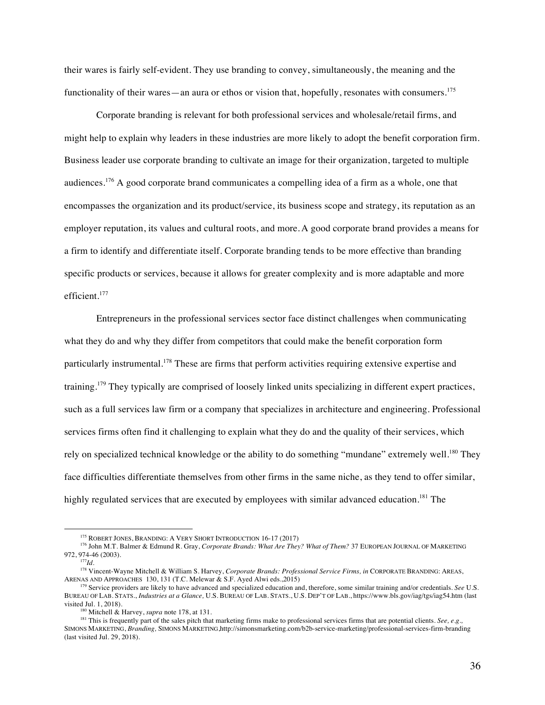their wares is fairly self-evident. They use branding to convey, simultaneously, the meaning and the functionality of their wares—an aura or ethos or vision that, hopefully, resonates with consumers.<sup>175</sup>

Corporate branding is relevant for both professional services and wholesale/retail firms, and might help to explain why leaders in these industries are more likely to adopt the benefit corporation firm. Business leader use corporate branding to cultivate an image for their organization, targeted to multiple audiences.<sup>176</sup> A good corporate brand communicates a compelling idea of a firm as a whole, one that encompasses the organization and its product/service, its business scope and strategy, its reputation as an employer reputation, its values and cultural roots, and more. A good corporate brand provides a means for a firm to identify and differentiate itself. Corporate branding tends to be more effective than branding specific products or services, because it allows for greater complexity and is more adaptable and more efficient. 177

Entrepreneurs in the professional services sector face distinct challenges when communicating what they do and why they differ from competitors that could make the benefit corporation form particularly instrumental.<sup>178</sup> These are firms that perform activities requiring extensive expertise and training.<sup>179</sup> They typically are comprised of loosely linked units specializing in different expert practices, such as a full services law firm or a company that specializes in architecture and engineering. Professional services firms often find it challenging to explain what they do and the quality of their services, which rely on specialized technical knowledge or the ability to do something "mundane" extremely well.<sup>180</sup> They face difficulties differentiate themselves from other firms in the same niche, as they tend to offer similar, highly regulated services that are executed by employees with similar advanced education.<sup>181</sup> The

<sup>&</sup>lt;sup>175</sup> ROBERT JONES, BRANDING: A VERY SHORT INTRODUCTION 16-17 (2017)

<sup>176</sup> John M.T. Balmer & Edmund R. Gray, *Corporate Brands: What Are They? What of Them?* 37 EUROPEAN JOURNAL OF MARKETING 972, 974-46 (2003).

<sup>177</sup>*Id.*

<sup>178</sup> Vincent-Wayne Mitchell & William S. Harvey, *Corporate Brands: Professional Service Firms, in* CORPORATE BRANDING: AREAS, ARENAS AND APPROACHES 130, 131 (T.C. Melewar & S.F. Ayed Alwi eds.,2015)

<sup>&</sup>lt;sup>179</sup> Service providers are likely to have advanced and specialized education and, therefore, some similar training and/or credentials. *See* U.S. BUREAU OF LAB. STATS., *Industries at a Glance,* U.S. BUREAU OF LAB. STATS., U.S. DEP'T OF LAB., https://www.bls.gov/iag/tgs/iag54.htm (last visited Jul. 1, 2018).

<sup>180</sup> Mitchell & Harvey, *supra* note 178, at 131.

<sup>&</sup>lt;sup>181</sup> This is frequently part of the sales pitch that marketing firms make to professional services firms that are potential clients. *See*, *e.g.*, SIMONS MARKETING, *Branding,* SIMONS MARKETING,http://simonsmarketing.com/b2b-service-marketing/professional-services-firm-branding (last visited Jul. 29, 2018).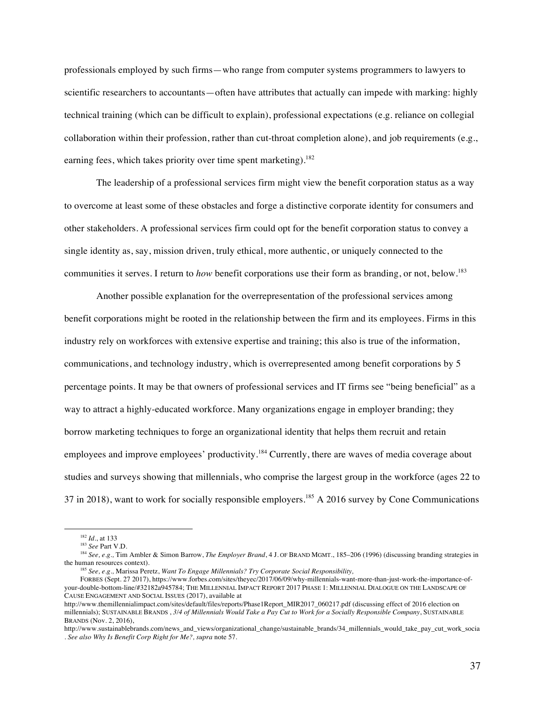professionals employed by such firms—who range from computer systems programmers to lawyers to scientific researchers to accountants—often have attributes that actually can impede with marking: highly technical training (which can be difficult to explain), professional expectations (e.g. reliance on collegial collaboration within their profession, rather than cut-throat completion alone), and job requirements (e.g., earning fees, which takes priority over time spent marketing).<sup>182</sup>

The leadership of a professional services firm might view the benefit corporation status as a way to overcome at least some of these obstacles and forge a distinctive corporate identity for consumers and other stakeholders. A professional services firm could opt for the benefit corporation status to convey a single identity as, say, mission driven, truly ethical, more authentic, or uniquely connected to the communities it serves. I return to *how* benefit corporations use their form as branding, or not, below.<sup>183</sup>

Another possible explanation for the overrepresentation of the professional services among benefit corporations might be rooted in the relationship between the firm and its employees. Firms in this industry rely on workforces with extensive expertise and training; this also is true of the information, communications, and technology industry, which is overrepresented among benefit corporations by 5 percentage points. It may be that owners of professional services and IT firms see "being beneficial" as a way to attract a highly-educated workforce. Many organizations engage in employer branding; they borrow marketing techniques to forge an organizational identity that helps them recruit and retain employees and improve employees' productivity.<sup>184</sup> Currently, there are waves of media coverage about studies and surveys showing that millennials, who comprise the largest group in the workforce (ages 22 to 37 in 2018), want to work for socially responsible employers.<sup>185</sup> A 2016 survey by Cone Communications

<sup>182</sup> *Id.*, at 133

<sup>183</sup> *See* Part V.D.

<sup>184</sup> *See, e.g.,* Tim Ambler & Simon Barrow, *The Employer Brand*, 4 J. OF BRAND MGMT., 185–206 (1996) (discussing branding strategies in the human resources context).

<sup>185</sup> *See, e.g.,* Marissa Peretz, *Want To Engage Millennials? Try Corporate Social Responsibility,*

FORBES (Sept. 27 2017), https://www.forbes.com/sites/theyec/2017/06/09/why-millennials-want-more-than-just-work-the-importance-ofyour-double-bottom-line/#32182a945784; THE MILLENNIAL IMPACT REPORT 2017 PHASE 1: MILLENNIAL DIALOGUE ON THE LANDSCAPE OF CAUSE ENGAGEMENT AND SOCIAL ISSUES (2017), available at

http://www.themillennialimpact.com/sites/default/files/reports/Phase1Report\_MIR2017\_060217.pdf (discussing effect of 2016 election on millennials); SUSTAINABLE BRANDS , *3/4 of Millennials Would Take a Pay Cut to Work for a Socially Responsible Company*, SUSTAINABLE BRANDS (Nov. 2, 2016),

http://www.sustainablebrands.com/news\_and\_views/organizational\_change/sustainable\_brands/34\_millennials\_would\_take\_pay\_cut\_work\_socia . *See also Why Is Benefit Corp Right for Me?, supra* note 57.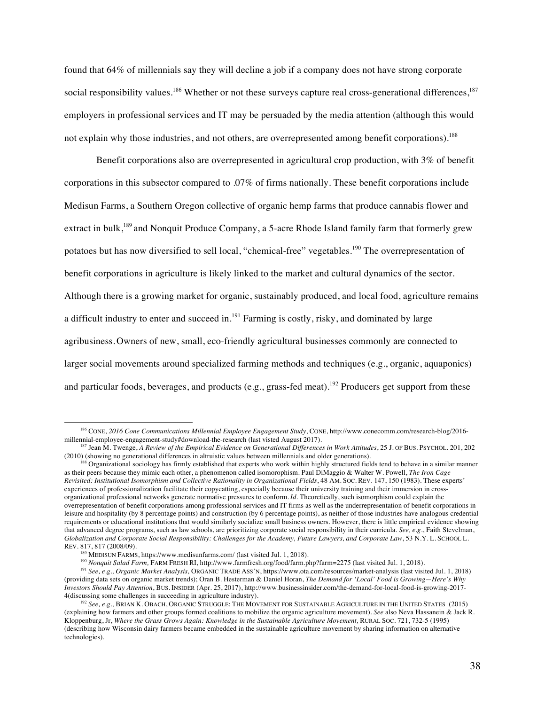found that 64% of millennials say they will decline a job if a company does not have strong corporate social responsibility values.<sup>186</sup> Whether or not these surveys capture real cross-generational differences,<sup>187</sup> employers in professional services and IT may be persuaded by the media attention (although this would not explain why those industries, and not others, are overrepresented among benefit corporations).<sup>188</sup>

Benefit corporations also are overrepresented in agricultural crop production, with 3% of benefit corporations in this subsector compared to .07% of firms nationally. These benefit corporations include Medisun Farms, a Southern Oregon collective of organic hemp farms that produce cannabis flower and extract in bulk,<sup>189</sup> and Nonquit Produce Company, a 5-acre Rhode Island family farm that formerly grew potatoes but has now diversified to sell local, "chemical-free" vegetables.<sup>190</sup> The overrepresentation of benefit corporations in agriculture is likely linked to the market and cultural dynamics of the sector. Although there is a growing market for organic, sustainably produced, and local food, agriculture remains a difficult industry to enter and succeed in.<sup>191</sup> Farming is costly, risky, and dominated by large agribusiness. Owners of new, small, eco-friendly agricultural businesses commonly are connected to larger social movements around specialized farming methods and techniques (e.g., organic, aquaponics) and particular foods, beverages, and products (e.g., grass-fed meat).<sup>192</sup> Producers get support from these

<sup>186</sup> CONE, *2016 Cone Communications Millennial Employee Engagement Study*, CONE, http://www.conecomm.com/research-blog/2016 millennial-employee-engagement-study#download-the-research (last visted August 2017).

<sup>&</sup>lt;sup>187</sup> Jean M. Twenge, *A Review of the Empirical Evidence on Generational Differences in Work Attitudes, 25 J. OF BUS. PSYCHOL. 201, 202* (2010) (showing no generational differences in altruistic values between millennials and older generations).

<sup>188</sup> Organizational sociology has firmly established that experts who work within highly structured fields tend to behave in a similar manner as their peers because they mimic each other, a phenomenon called isomorophism. Paul DiMaggio & Walter W. Powell, *The Iron Cage Revisited: Institutional Isomorphism and Collective Rationality in Organizational Fields*, 48 AM. SOC. REV. 147, 150 (1983). These experts' experiences of professionalization facilitate their copycatting, especially because their university training and their immersion in crossorganizational professional networks generate normative pressures to conform.*Id.* Theoretically, such isomorphism could explain the overrepresentation of benefit corporations among professional services and IT firms as well as the underrepresentation of benefit corporations in leisure and hospitality (by 8 percentage points) and construction (by 6 percentage points), as neither of those industries have analogous credential requirements or educational institutions that would similarly socialize small business owners. However, there is little empirical evidence showing that advanced degree programs, such as law schools, are prioritizing corporate social responsibility in their curricula. *See, e.g.*, Faith Stevelman, *Globalization and Corporate Social Responsibility: Challenges for the Academy, Future Lawyers, and Corporate Law*, 53 N.Y. L. SCHOOL L. REV. 817, 817 (2008/09).

<sup>&</sup>lt;sup>189</sup> MEDISUN FARMS, https://www.medisunfarms.com/ (last visited Jul. 1, 2018).

<sup>&</sup>lt;sup>190</sup> *Nonquit Salad Farm*, FARM FRESH RI, http://www.farmfresh.org/food/farm.php?farm=2275 (last visited Jul. 1, 2018).

<sup>191</sup> *See, e.g., Organic Market Analysis,* ORGANIC TRADE ASS'N, https://www.ota.com/resources/market-analysis (last visited Jul. 1, 2018) (providing data sets on organic market trends); Oran B. Hesterman & Daniel Horan, *The Demand for 'Local' Food is Growing—Here's Why Investors Should Pay Attention*, BUS. INSIDER (Apr. 25, 2017), http://www.businessinsider.com/the-demand-for-local-food-is-growing-2017-

<sup>&</sup>lt;sup>192</sup> See, e.g., BRIAN K. OBACH, ORGANIC STRUGGLE: THE MOVEMENT FOR SUSTAINABLE AGRICULTURE IN THE UNITED STATES (2015) (explaining how farmers and other groups formed coalitions to mobilize the organic agriculture movement). *See* also Neva Hassanein & Jack R. Kloppenburg, Jr, Where the Grass Grows Again: Knowledge in the Sustainable Agriculture Movement, RURAL Soc. 721, 732-5 (1995) (describing how Wisconsin dairy farmers became embedded in the sustainable agriculture movement by sharing information on alternative technologies).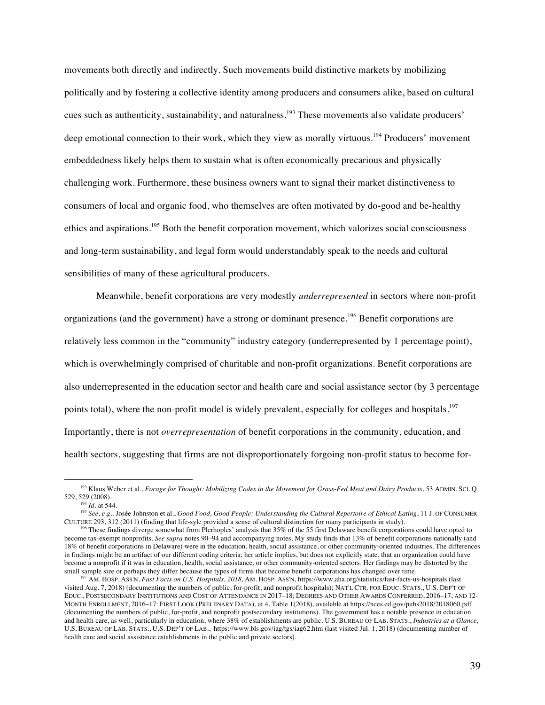movements both directly and indirectly. Such movements build distinctive markets by mobilizing politically and by fostering a collective identity among producers and consumers alike, based on cultural cues such as authenticity, sustainability, and naturalness.<sup>193</sup> These movements also validate producers' deep emotional connection to their work, which they view as morally virtuous.<sup>194</sup> Producers' movement embeddedness likely helps them to sustain what is often economically precarious and physically challenging work. Furthermore, these business owners want to signal their market distinctiveness to consumers of local and organic food, who themselves are often motivated by do-good and be-healthy ethics and aspirations.<sup>195</sup> Both the benefit corporation movement, which valorizes social consciousness and long-term sustainability, and legal form would understandably speak to the needs and cultural sensibilities of many of these agricultural producers.

Meanwhile, benefit corporations are very modestly *underrepresented* in sectors where non-profit organizations (and the government) have a strong or dominant presence.<sup>196</sup> Benefit corporations are relatively less common in the "community" industry category (underrepresented by 1 percentage point), which is overwhelmingly comprised of charitable and non-profit organizations. Benefit corporations are also underrepresented in the education sector and health care and social assistance sector (by 3 percentage points total), where the non-profit model is widely prevalent, especially for colleges and hospitals.<sup>197</sup> Importantly, there is not *overrepresentation* of benefit corporations in the community, education, and health sectors, suggesting that firms are not disproportionately forgoing non-profit status to become for-

<sup>193</sup> Klaus Weber et al., *Forage for Thought: Mobilizing Codes in the Movement for Grass-Fed Meat and Dairy Products*, 53 ADMIN. SCI. Q. 529, 529 (2008).<br> $\frac{194}{194}$  *Id.* at 544.

<sup>&</sup>lt;sup>195</sup> See, e.g., Josée Johnston et al., *Good Food, Good People: Understanding the Cultural Repertoire of Ethical Eating*, 11 J. OF CONSUMER CULTURE 293, 312 (2011) (finding that life-syle provided a sense of cultural distinction for many participants in study).

<sup>&</sup>lt;sup>196</sup> These findings diverge somewhat from Plerhoples' analysis that 35% of the 55 first Delaware benefit corporations could have opted to become tax-exempt nonprofits. *See supra* notes 90–94 and accompanying notes. My study finds that 13% of benefit corporations nationally (and 18% of benefit corporations in Delaware) were in the education, health, social assistance, or other community-oriented industries. The differences in findings might be an artifact of our different coding criteria; her article implies, but does not explicitly state, that an organization could have become a nonprofit if it was in education, health, social assistance, or other community-oriented sectors. Her findings may be distorted by the small sample size or perhaps they differ because the types of firms that become benefit corporations has changed over time.

<sup>197</sup> AM. HOSP. ASS'N, *Fast Facts on U.S. Hospitals, 2018,* AM. HOSP. ASS'N, https://www.aha.org/statistics/fast-facts-us-hospitals (last visited Aug. 7, 2018) (documenting the numbers of public, for-profit, and nonprofit hospitals); NAT'L CTR. FOR EDUC. STATS., U.S. DEP'T OF EDUC., POSTSECONDARY INSTITUTIONS AND COST OF ATTENDANCE IN 2017–18; DEGREES AND OTHER AWARDS CONFERRED, 2016–17; AND 12- MONTH ENROLLMENT, 2016–17: FIRST LOOK (PRELIINARY DATA), at 4, Table 1(2018), available at https://nces.ed.gov/pubs2018/2018060.pdf (documenting the numbers of public, for-profit, and nonprofit postsecondary institutions). The government has a notable presence in education and health care, as well, particularly in education, where 38% of establishments are public. U.S. BUREAU OF LAB. STATS., *Industries at a Glance,* U.S. BUREAU OF LAB. STATS., U.S. DEP'T OF LAB., https://www.bls.gov/iag/tgs/iag62.htm (last visited Jul. 1, 2018) (documenting number of health care and social assistance establishments in the public and private sectors).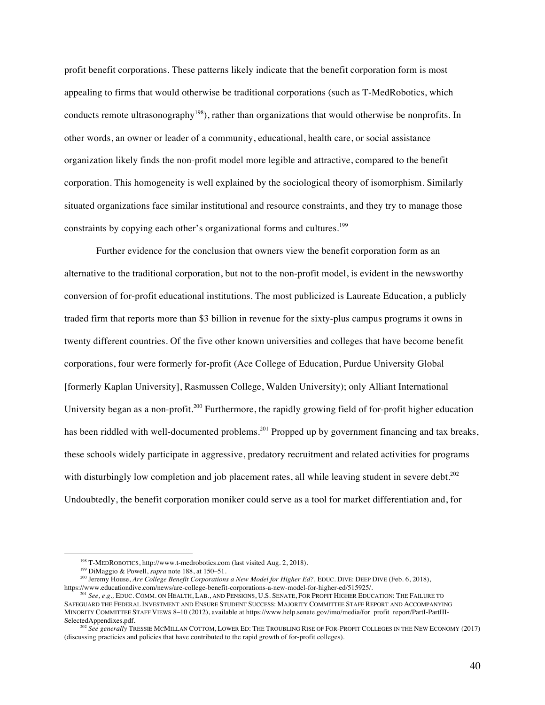profit benefit corporations. These patterns likely indicate that the benefit corporation form is most appealing to firms that would otherwise be traditional corporations (such as T-MedRobotics, which conducts remote ultrasonography<sup>198</sup>), rather than organizations that would otherwise be nonprofits. In other words, an owner or leader of a community, educational, health care, or social assistance organization likely finds the non-profit model more legible and attractive, compared to the benefit corporation. This homogeneity is well explained by the sociological theory of isomorphism. Similarly situated organizations face similar institutional and resource constraints, and they try to manage those constraints by copying each other's organizational forms and cultures.<sup>199</sup>

Further evidence for the conclusion that owners view the benefit corporation form as an alternative to the traditional corporation, but not to the non-profit model, is evident in the newsworthy conversion of for-profit educational institutions. The most publicized is Laureate Education, a publicly traded firm that reports more than \$3 billion in revenue for the sixty-plus campus programs it owns in twenty different countries. Of the five other known universities and colleges that have become benefit corporations, four were formerly for-profit (Ace College of Education, Purdue University Global [formerly Kaplan University], Rasmussen College, Walden University); only Alliant International University began as a non-profit.<sup>200</sup> Furthermore, the rapidly growing field of for-profit higher education has been riddled with well-documented problems.<sup>201</sup> Propped up by government financing and tax breaks, these schools widely participate in aggressive, predatory recruitment and related activities for programs with disturbingly low completion and job placement rates, all while leaving student in severe debt.<sup>202</sup> Undoubtedly, the benefit corporation moniker could serve as a tool for market differentiation and, for

<sup>198</sup> T-MEDROBOTICS, http://www.t-medrobotics.com (last visited Aug. 2, 2018).

<sup>199</sup> DiMaggio & Powell, *supra* note 188, at 150–51.

<sup>&</sup>lt;sup>200</sup> Jeremy House, *Are College Benefit Corporations a New Model for Higher Ed?*, EDUC. DIVE: DEEP DIVE (Feb. 6, 2018), https://www.educationdive.com/news/are-college-benefit-corporations-a-new-model-for-higher-ed/515925/.

<sup>201</sup> *See, e.g.,* EDUC. COMM. ON HEALTH, LAB., AND PENSIONS, U.S. SENATE, FOR PROFIT HIGHER EDUCATION: THE FAILURE TO SAFEGUARD THE FEDERAL INVESTMENT AND ENSURE STUDENT SUCCESS: MAJORITY COMMITTEE STAFF REPORT AND ACCOMPANYING MINORITY COMMITTEE STAFF VIEWS 8–10 (2012), available at https://www.help.senate.gov/imo/media/for\_profit\_report/PartI-PartIII-SelectedAppendixes.pdf.

<sup>202</sup> *See generally* TRESSIE MCMILLAN COTTOM, LOWER ED: THE TROUBLING RISE OF FOR-PROFIT COLLEGES IN THE NEW ECONOMY (2017) (discussing practicies and policies that have contributed to the rapid growth of for-profit colleges).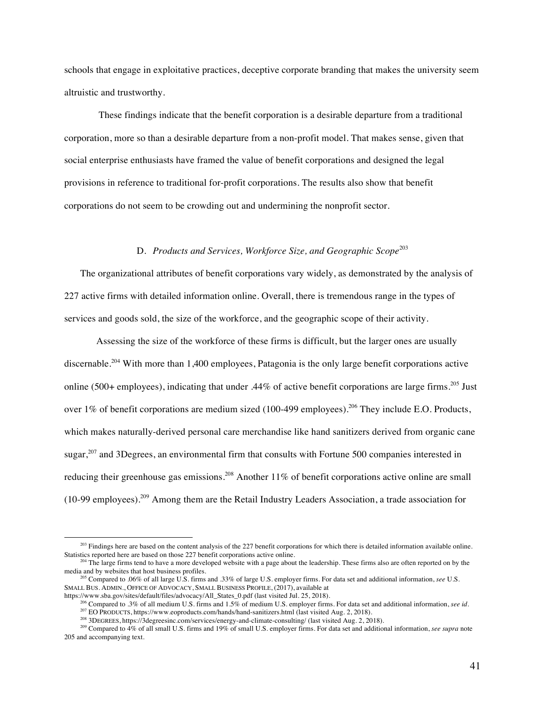schools that engage in exploitative practices, deceptive corporate branding that makes the university seem altruistic and trustworthy.

These findings indicate that the benefit corporation is a desirable departure from a traditional corporation, more so than a desirable departure from a non-profit model. That makes sense, given that social enterprise enthusiasts have framed the value of benefit corporations and designed the legal provisions in reference to traditional for-profit corporations. The results also show that benefit corporations do not seem to be crowding out and undermining the nonprofit sector.

# D. *Products and Services, Workforce Size, and Geographic Scope*<sup>203</sup>

The organizational attributes of benefit corporations vary widely, as demonstrated by the analysis of 227 active firms with detailed information online. Overall, there is tremendous range in the types of services and goods sold, the size of the workforce, and the geographic scope of their activity.

Assessing the size of the workforce of these firms is difficult, but the larger ones are usually discernable. <sup>204</sup> With more than 1,400 employees, Patagonia is the only large benefit corporations active online (500+ employees), indicating that under .44% of active benefit corporations are large firms.<sup>205</sup> Just over 1% of benefit corporations are medium sized (100-499 employees).<sup>206</sup> They include E.O. Products, which makes naturally-derived personal care merchandise like hand sanitizers derived from organic cane sugar,<sup>207</sup> and 3Degrees, an environmental firm that consults with Fortune 500 companies interested in reducing their greenhouse gas emissions.<sup>208</sup> Another 11% of benefit corporations active online are small (10-99 employees).<sup>209</sup> Among them are the Retail Industry Leaders Association, a trade association for

<sup>&</sup>lt;sup>203</sup> Findings here are based on the content analysis of the 227 benefit corporations for which there is detailed information available online. Statistics reported here are based on those 227 benefit corporations active online.

<sup>&</sup>lt;sup>204</sup> The large firms tend to have a more developed website with a page about the leadership. These firms also are often reported on by the media and by websites that host business profiles.

<sup>&</sup>lt;sup>205</sup> Compared to .06% of all large U.S. firms and .33% of large U.S. employer firms. For data set and additional information, *see* U.S. SMALL BUS. ADMIN., OFFICE OF ADVOCACY, SMALL BUSINESS PROFILE, (2017), available at

https://www.sba.gov/sites/default/files/advocacy/All\_States\_0.pdf (last visited Jul. 25, 2018).

<sup>206</sup> Compared to .3% of all medium U.S. firms and 1.5% of medium U.S. employer firms. For data set and additional information, *see id.* <sup>207</sup> EO PRODUCTS, https://www.eoproducts.com/hands/hand-sanitizers.html (last visited Aug. 2, 2018).

<sup>208</sup> 3DEGREES, https://3degreesinc.com/services/energy-and-climate-consulting/ (last visited Aug. 2, 2018).

<sup>209</sup> Compared to 4% of all small U.S. firms and 19% of small U.S. employer firms. For data set and additional information, *see supra* note 205 and accompanying text.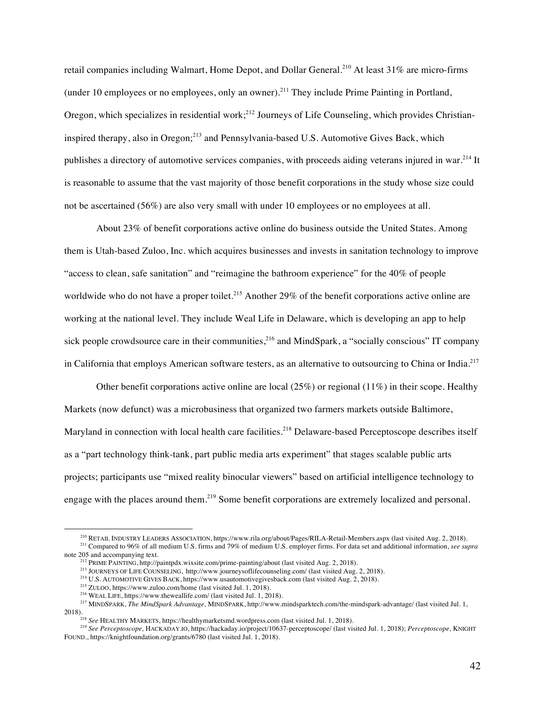retail companies including Walmart, Home Depot, and Dollar General.<sup>210</sup> At least 31% are micro-firms (under 10 employees or no employees, only an owner).<sup>211</sup> They include Prime Painting in Portland, Oregon, which specializes in residential work;<sup>212</sup> Journeys of Life Counseling, which provides Christianinspired therapy, also in Oregon;<sup>213</sup> and Pennsylvania-based U.S. Automotive Gives Back, which publishes a directory of automotive services companies, with proceeds aiding veterans injured in war.<sup>214</sup> It is reasonable to assume that the vast majority of those benefit corporations in the study whose size could not be ascertained (56%) are also very small with under 10 employees or no employees at all.

About 23% of benefit corporations active online do business outside the United States. Among them is Utah-based Zuloo, Inc. which acquires businesses and invests in sanitation technology to improve "access to clean, safe sanitation" and "reimagine the bathroom experience" for the 40% of people worldwide who do not have a proper toilet.<sup>215</sup> Another 29% of the benefit corporations active online are working at the national level. They include Weal Life in Delaware, which is developing an app to help sick people crowdsource care in their communities,<sup>216</sup> and MindSpark, a "socially conscious" IT company in California that employs American software testers, as an alternative to outsourcing to China or India.217

Other benefit corporations active online are local (25%) or regional (11%) in their scope. Healthy Markets (now defunct) was a microbusiness that organized two farmers markets outside Baltimore, Maryland in connection with local health care facilities.<sup>218</sup> Delaware-based Perceptoscope describes itself as a "part technology think-tank, part public media arts experiment" that stages scalable public arts projects; participants use "mixed reality binocular viewers" based on artificial intelligence technology to engage with the places around them.<sup>219</sup> Some benefit corporations are extremely localized and personal.

<sup>210</sup> RETAIL INDUSTRY LEADERS ASSOCIATION, https://www.rila.org/about/Pages/RILA-Retail-Members.aspx (last visited Aug. 2, 2018).

<sup>211</sup> Compared to 96% of all medium U.S. firms and 79% of medium U.S. employer firms. For data set and additional information, *see supra*  note 205 and accompanying text.

<sup>212</sup> PRIME PAINTING, http://paintpdx.wixsite.com/prime-painting/about (last visited Aug. 2, 2018).

<sup>213</sup> JOURNEYS OF LIFE COUNSELING, http://www.journeysoflifecounseling.com/ (last visited Aug. 2, 2018).

<sup>214</sup> U.S. AUTOMOTIVE GIVES BACK, https://www.usautomotivegivesback.com (last visited Aug. 2, 2018).

<sup>215</sup> ZULOO, https://www.zuloo.com/home (last visited Jul. 1, 2018).

<sup>&</sup>lt;sup>216</sup> WEAL LIFE, https://www.theweallife.com/ (last visited Jul. 1, 2018).

<sup>217</sup> MINDSPARK, *The MindSpark Advantage,* MINDSPARK, http://www.mindsparktech.com/the-mindspark-advantage/ (last visited Jul. 1, 2018).218 *See* HEALTHY MARKETS, https://healthymarketsmd.wordpress.com (last visited Jul. 1, 2018).

<sup>219</sup> *See Perceptoscope,* HACKADAY.IO, https://hackaday.io/project/10637-perceptoscope/ (last visited Jul. 1, 2018); *Perceptoscope,* KNIGHT FOUND., https://knightfoundation.org/grants/6780 (last visited Jul. 1, 2018).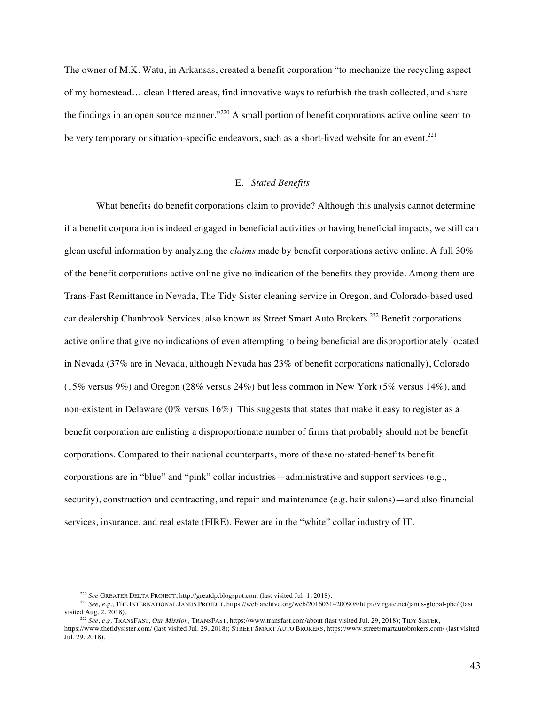The owner of M.K. Watu, in Arkansas, created a benefit corporation "to mechanize the recycling aspect of my homestead… clean littered areas, find innovative ways to refurbish the trash collected, and share the findings in an open source manner."<sup>220</sup> A small portion of benefit corporations active online seem to be very temporary or situation-specific endeavors, such as a short-lived website for an event.<sup>221</sup>

# E. *Stated Benefits*

What benefits do benefit corporations claim to provide? Although this analysis cannot determine if a benefit corporation is indeed engaged in beneficial activities or having beneficial impacts, we still can glean useful information by analyzing the *claims* made by benefit corporations active online. A full 30% of the benefit corporations active online give no indication of the benefits they provide. Among them are Trans-Fast Remittance in Nevada, The Tidy Sister cleaning service in Oregon, and Colorado-based used car dealership Chanbrook Services, also known as Street Smart Auto Brokers.<sup>222</sup> Benefit corporations active online that give no indications of even attempting to being beneficial are disproportionately located in Nevada (37% are in Nevada, although Nevada has 23% of benefit corporations nationally), Colorado (15% versus 9%) and Oregon (28% versus 24%) but less common in New York (5% versus 14%), and non-existent in Delaware (0% versus 16%). This suggests that states that make it easy to register as a benefit corporation are enlisting a disproportionate number of firms that probably should not be benefit corporations. Compared to their national counterparts, more of these no-stated-benefits benefit corporations are in "blue" and "pink" collar industries—administrative and support services (e.g., security), construction and contracting, and repair and maintenance (e.g. hair salons)—and also financial services, insurance, and real estate (FIRE). Fewer are in the "white" collar industry of IT.

<sup>220</sup> *See* GREATER DELTA PROJECT, http://greatdp.blogspot.com (last visited Jul. 1, 2018).

<sup>&</sup>lt;sup>221</sup> *See, e.g.*, THE INTERNATIONAL JANUS PROJECT, https://web.archive.org/web/20160314200908/http://virgate.net/janus-global-pbc/ (last visited Aug. 2, 2018).

visited Aug. 2, 2018). 222 *See, e.g,* TRANSFAST, *Our Mission,* TRANSFAST, https://www.transfast.com/about (last visited Jul. 29, 2018); TIDY SISTER,

https://www.thetidysister.com/ (last visited Jul. 29, 2018); STREET SMART AUTO BROKERS, https://www.streetsmartautobrokers.com/ (last visited Jul. 29, 2018).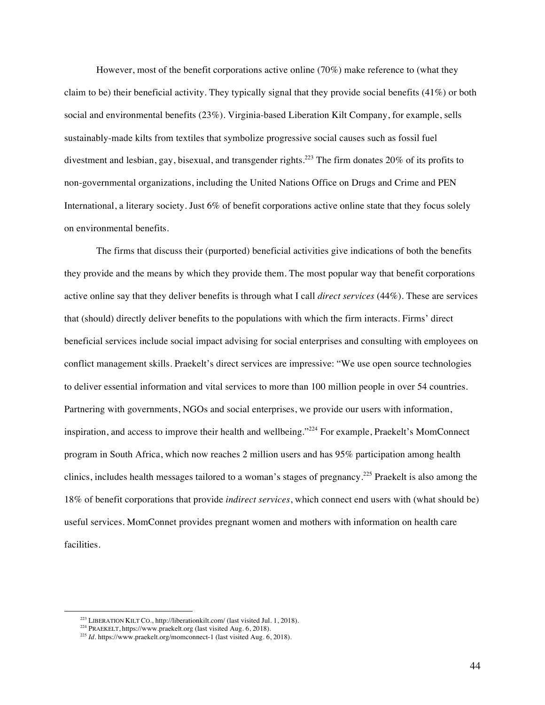However, most of the benefit corporations active online (70%) make reference to (what they claim to be) their beneficial activity. They typically signal that they provide social benefits (41%) or both social and environmental benefits (23%). Virginia-based Liberation Kilt Company, for example, sells sustainably-made kilts from textiles that symbolize progressive social causes such as fossil fuel divestment and lesbian, gay, bisexual, and transgender rights. <sup>223</sup> The firm donates 20% of its profits to non-governmental organizations, including the United Nations Office on Drugs and Crime and PEN International, a literary society. Just 6% of benefit corporations active online state that they focus solely on environmental benefits.

The firms that discuss their (purported) beneficial activities give indications of both the benefits they provide and the means by which they provide them. The most popular way that benefit corporations active online say that they deliver benefits is through what I call *direct services* (44%). These are services that (should) directly deliver benefits to the populations with which the firm interacts. Firms' direct beneficial services include social impact advising for social enterprises and consulting with employees on conflict management skills. Praekelt's direct services are impressive: "We use open source technologies to deliver essential information and vital services to more than 100 million people in over 54 countries. Partnering with governments, NGOs and social enterprises, we provide our users with information, inspiration, and access to improve their health and wellbeing."<sup>224</sup> For example, Praekelt's MomConnect program in South Africa, which now reaches 2 million users and has 95% participation among health clinics, includes health messages tailored to a woman's stages of pregnancy.<sup>225</sup> Praekelt is also among the 18% of benefit corporations that provide *indirect services*, which connect end users with (what should be) useful services. MomConnet provides pregnant women and mothers with information on health care facilities.

<sup>223</sup> LIBERATION KILT CO., http://liberationkilt.com/ (last visited Jul. 1, 2018).

<sup>224</sup> PRAEKELT, https://www.praekelt.org (last visited Aug. 6, 2018).

<sup>&</sup>lt;sup>225</sup> *Id.* https://www.praekelt.org/momconnect-1 (last visited Aug. 6, 2018).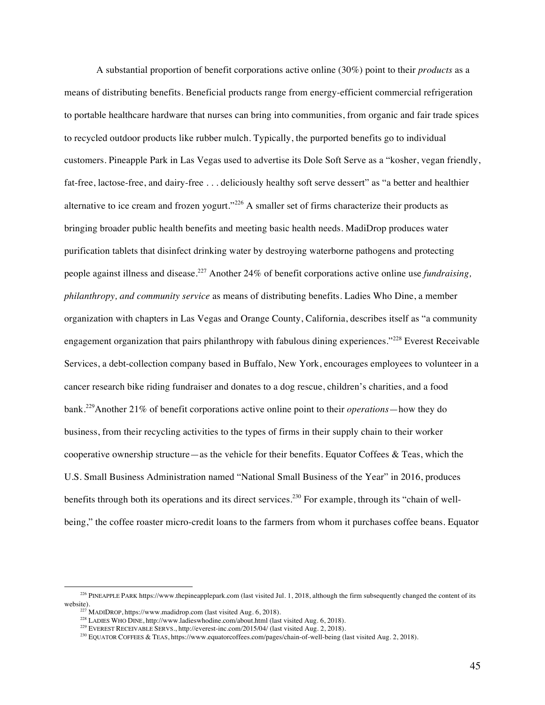A substantial proportion of benefit corporations active online (30%) point to their *products* as a means of distributing benefits. Beneficial products range from energy-efficient commercial refrigeration to portable healthcare hardware that nurses can bring into communities, from organic and fair trade spices to recycled outdoor products like rubber mulch. Typically, the purported benefits go to individual customers. Pineapple Park in Las Vegas used to advertise its Dole Soft Serve as a "kosher, vegan friendly, fat-free, lactose-free, and dairy-free . . . deliciously healthy soft serve dessert" as "a better and healthier alternative to ice cream and frozen yogurt."<sup>226</sup> A smaller set of firms characterize their products as bringing broader public health benefits and meeting basic health needs. MadiDrop produces water purification tablets that disinfect drinking water by destroying waterborne pathogens and protecting people against illness and disease.<sup>227</sup> Another 24% of benefit corporations active online use *fundraising, philanthropy, and community service* as means of distributing benefits. Ladies Who Dine, a member organization with chapters in Las Vegas and Orange County, California, describes itself as "a community engagement organization that pairs philanthropy with fabulous dining experiences."<sup>228</sup> Everest Receivable Services, a debt-collection company based in Buffalo, New York, encourages employees to volunteer in a cancer research bike riding fundraiser and donates to a dog rescue, children's charities, and a food bank.229Another 21% of benefit corporations active online point to their *operations*—how they do business, from their recycling activities to the types of firms in their supply chain to their worker cooperative ownership structure—as the vehicle for their benefits. Equator Coffees  $\&$  Teas, which the U.S. Small Business Administration named "National Small Business of the Year" in 2016, produces benefits through both its operations and its direct services.<sup>230</sup> For example, through its "chain of wellbeing," the coffee roaster micro-credit loans to the farmers from whom it purchases coffee beans. Equator

<sup>&</sup>lt;sup>226</sup> PINEAPPLE PARK https://www.thepineapplepark.com (last visited Jul. 1, 2018, although the firm subsequently changed the content of its website).

 $^{227}$  MADIDROP, https://www.madidrop.com (last visited Aug. 6, 2018).

<sup>&</sup>lt;sup>228</sup> LADIES WHO DINE, http://www.ladieswhodine.com/about.html (last visited Aug. 6, 2018).

<sup>&</sup>lt;sup>229</sup> EVEREST RECEIVABLE SERVS., http://everest-inc.com/2015/04/ (last visited Aug. 2, 2018).

<sup>&</sup>lt;sup>230</sup> EQUATOR COFFEES & TEAS, https://www.equatorcoffees.com/pages/chain-of-well-being (last visited Aug. 2, 2018).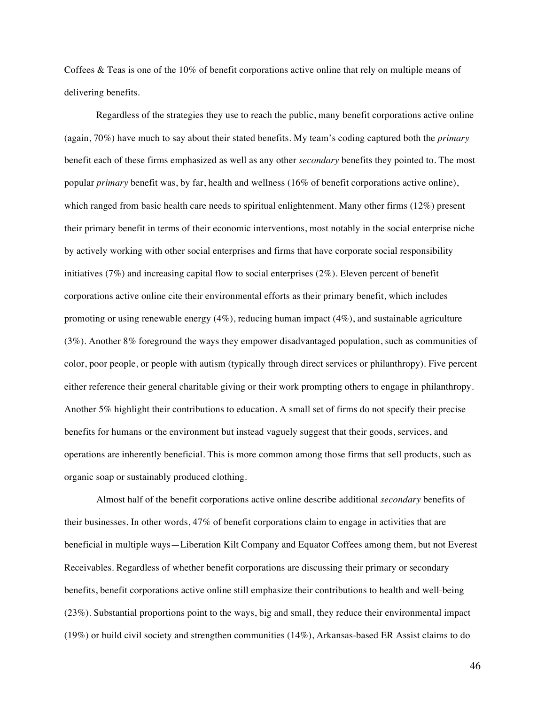Coffees & Teas is one of the 10% of benefit corporations active online that rely on multiple means of delivering benefits.

Regardless of the strategies they use to reach the public, many benefit corporations active online (again, 70%) have much to say about their stated benefits. My team's coding captured both the *primary*  benefit each of these firms emphasized as well as any other *secondary* benefits they pointed to. The most popular *primary* benefit was, by far, health and wellness (16% of benefit corporations active online), which ranged from basic health care needs to spiritual enlightenment. Many other firms (12%) present their primary benefit in terms of their economic interventions, most notably in the social enterprise niche by actively working with other social enterprises and firms that have corporate social responsibility initiatives (7%) and increasing capital flow to social enterprises (2%). Eleven percent of benefit corporations active online cite their environmental efforts as their primary benefit, which includes promoting or using renewable energy (4%), reducing human impact (4%), and sustainable agriculture (3%). Another 8% foreground the ways they empower disadvantaged population, such as communities of color, poor people, or people with autism (typically through direct services or philanthropy). Five percent either reference their general charitable giving or their work prompting others to engage in philanthropy. Another 5% highlight their contributions to education. A small set of firms do not specify their precise benefits for humans or the environment but instead vaguely suggest that their goods, services, and operations are inherently beneficial. This is more common among those firms that sell products, such as organic soap or sustainably produced clothing.

Almost half of the benefit corporations active online describe additional *secondary* benefits of their businesses. In other words, 47% of benefit corporations claim to engage in activities that are beneficial in multiple ways—Liberation Kilt Company and Equator Coffees among them, but not Everest Receivables. Regardless of whether benefit corporations are discussing their primary or secondary benefits, benefit corporations active online still emphasize their contributions to health and well-being (23%). Substantial proportions point to the ways, big and small, they reduce their environmental impact (19%) or build civil society and strengthen communities (14%), Arkansas-based ER Assist claims to do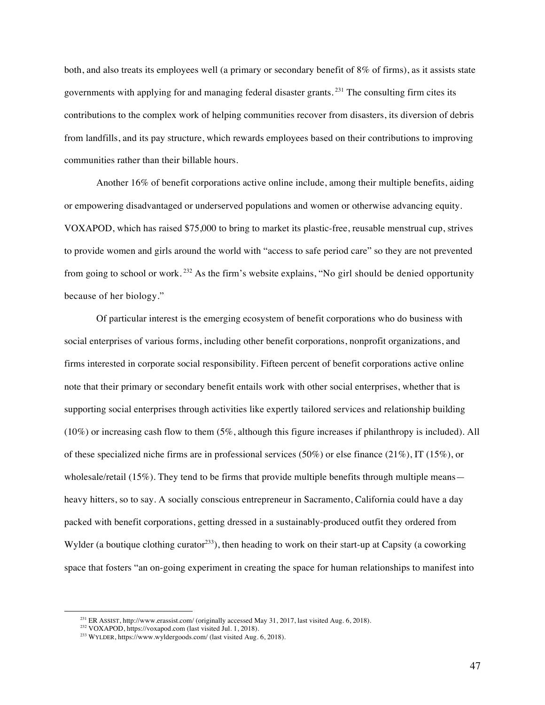both, and also treats its employees well (a primary or secondary benefit of 8% of firms), as it assists state governments with applying for and managing federal disaster grants. <sup>231</sup> The consulting firm cites its contributions to the complex work of helping communities recover from disasters, its diversion of debris from landfills, and its pay structure, which rewards employees based on their contributions to improving communities rather than their billable hours.

Another 16% of benefit corporations active online include, among their multiple benefits, aiding or empowering disadvantaged or underserved populations and women or otherwise advancing equity. VOXAPOD, which has raised \$75,000 to bring to market its plastic-free, reusable menstrual cup, strives to provide women and girls around the world with "access to safe period care" so they are not prevented from going to school or work. <sup>232</sup> As the firm's website explains, "No girl should be denied opportunity because of her biology."

Of particular interest is the emerging ecosystem of benefit corporations who do business with social enterprises of various forms, including other benefit corporations, nonprofit organizations, and firms interested in corporate social responsibility. Fifteen percent of benefit corporations active online note that their primary or secondary benefit entails work with other social enterprises, whether that is supporting social enterprises through activities like expertly tailored services and relationship building (10%) or increasing cash flow to them (5%, although this figure increases if philanthropy is included). All of these specialized niche firms are in professional services (50%) or else finance (21%), IT (15%), or wholesale/retail  $(15\%)$ . They tend to be firms that provide multiple benefits through multiple means heavy hitters, so to say. A socially conscious entrepreneur in Sacramento, California could have a day packed with benefit corporations, getting dressed in a sustainably-produced outfit they ordered from Wylder (a boutique clothing curator<sup>233</sup>), then heading to work on their start-up at Capsity (a coworking space that fosters "an on-going experiment in creating the space for human relationships to manifest into

<sup>231</sup> ER ASSIST, http://www.erassist.com/ (originally accessed May 31, 2017, last visited Aug. 6, 2018).

<sup>&</sup>lt;sup>232</sup> VOXAPOD, https://voxapod.com (last visited Jul. 1, 2018).

 $^{233}$  WYLDER, https://www.wyldergoods.com/ (last visited Aug. 6, 2018).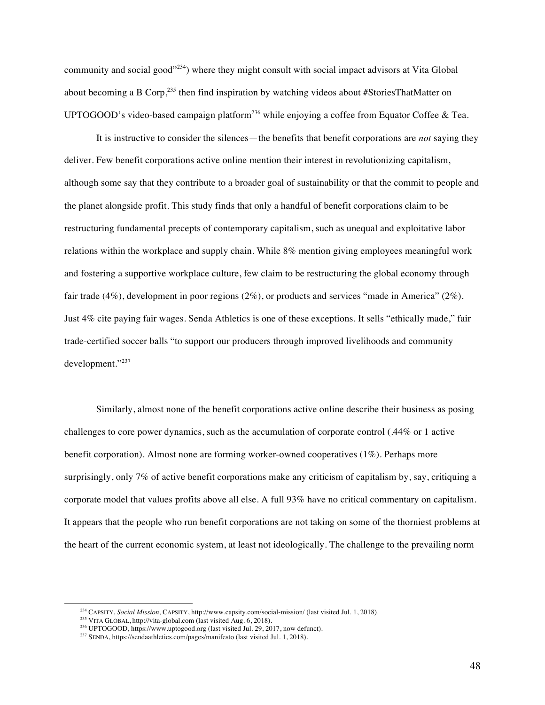community and social good"<sup>234</sup>) where they might consult with social impact advisors at Vita Global about becoming a B Corp,  $235$  then find inspiration by watching videos about #StoriesThatMatter on UPTOGOOD's video-based campaign platform<sup>236</sup> while enjoying a coffee from Equator Coffee & Tea.

It is instructive to consider the silences—the benefits that benefit corporations are *not* saying they deliver. Few benefit corporations active online mention their interest in revolutionizing capitalism, although some say that they contribute to a broader goal of sustainability or that the commit to people and the planet alongside profit. This study finds that only a handful of benefit corporations claim to be restructuring fundamental precepts of contemporary capitalism, such as unequal and exploitative labor relations within the workplace and supply chain. While 8% mention giving employees meaningful work and fostering a supportive workplace culture, few claim to be restructuring the global economy through fair trade (4%), development in poor regions (2%), or products and services "made in America" (2%). Just 4% cite paying fair wages. Senda Athletics is one of these exceptions. It sells "ethically made," fair trade-certified soccer balls "to support our producers through improved livelihoods and community development."<sup>237</sup>

Similarly, almost none of the benefit corporations active online describe their business as posing challenges to core power dynamics, such as the accumulation of corporate control (.44% or 1 active benefit corporation). Almost none are forming worker-owned cooperatives (1%). Perhaps more surprisingly, only 7% of active benefit corporations make any criticism of capitalism by, say, critiquing a corporate model that values profits above all else. A full 93% have no critical commentary on capitalism. It appears that the people who run benefit corporations are not taking on some of the thorniest problems at the heart of the current economic system, at least not ideologically. The challenge to the prevailing norm

<sup>234</sup> CAPSITY, *Social Mission,* CAPSITY, http://www.capsity.com/social-mission/ (last visited Jul. 1, 2018).

<sup>235</sup> VITA GLOBAL, http://vita-global.com (last visited Aug. 6, 2018).

<sup>&</sup>lt;sup>236</sup> UPTOGOOD, https://www.uptogood.org (last visited Jul. 29, 2017, now defunct).

<sup>237</sup> SENDA, https://sendaathletics.com/pages/manifesto (last visited Jul. 1, 2018).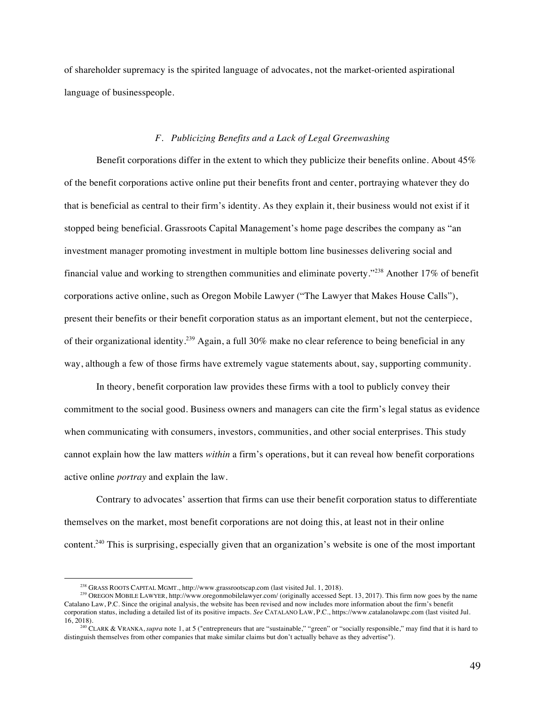of shareholder supremacy is the spirited language of advocates, not the market-oriented aspirational language of businesspeople.

# *F. Publicizing Benefits and a Lack of Legal Greenwashing*

Benefit corporations differ in the extent to which they publicize their benefits online. About 45% of the benefit corporations active online put their benefits front and center, portraying whatever they do that is beneficial as central to their firm's identity. As they explain it, their business would not exist if it stopped being beneficial. Grassroots Capital Management's home page describes the company as "an investment manager promoting investment in multiple bottom line businesses delivering social and financial value and working to strengthen communities and eliminate poverty."<sup>238</sup> Another 17% of benefit corporations active online, such as Oregon Mobile Lawyer ("The Lawyer that Makes House Calls"), present their benefits or their benefit corporation status as an important element, but not the centerpiece, of their organizational identity.239 Again, a full 30% make no clear reference to being beneficial in any way, although a few of those firms have extremely vague statements about, say, supporting community.

In theory, benefit corporation law provides these firms with a tool to publicly convey their commitment to the social good. Business owners and managers can cite the firm's legal status as evidence when communicating with consumers, investors, communities, and other social enterprises. This study cannot explain how the law matters *within* a firm's operations, but it can reveal how benefit corporations active online *portray* and explain the law.

Contrary to advocates' assertion that firms can use their benefit corporation status to differentiate themselves on the market, most benefit corporations are not doing this, at least not in their online content.<sup>240</sup> This is surprising, especially given that an organization's website is one of the most important

<sup>238</sup> GRASS ROOTS CAPITAL MGMT., http://www.grassrootscap.com (last visited Jul. 1, 2018).

<sup>239</sup> OREGON MOBILE LAWYER, http://www.oregonmobilelawyer.com/ (originally accessed Sept. 13, 2017). This firm now goes by the name Catalano Law, P.C. Since the original analysis, the website has been revised and now includes more information about the firm's benefit corporation status, including a detailed list of its positive impacts. *See* CATALANO LAW, P.C., https://www.catalanolawpc.com (last visited Jul.

<sup>&</sup>lt;sup>240</sup> CLARK & VRANKA, *supra* note 1, at 5 ("entrepreneurs that are "sustainable," "green" or "socially responsible," may find that it is hard to distinguish themselves from other companies that make similar claims but don't actually behave as they advertise").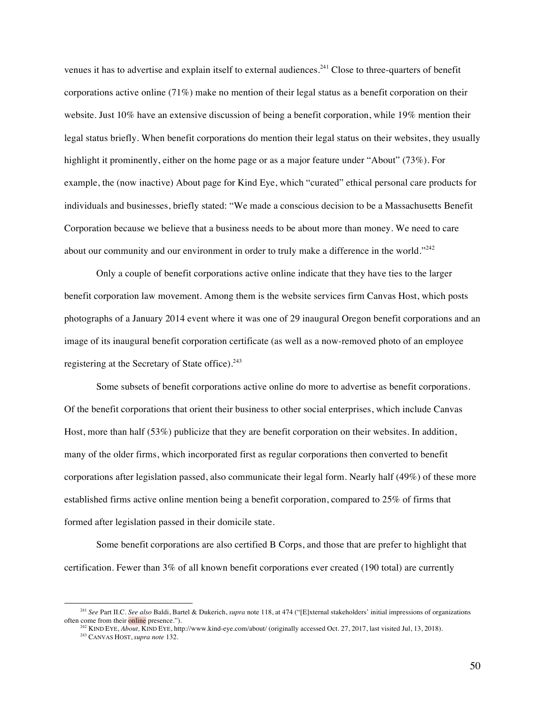venues it has to advertise and explain itself to external audiences.<sup>241</sup> Close to three-quarters of benefit corporations active online (71%) make no mention of their legal status as a benefit corporation on their website. Just 10% have an extensive discussion of being a benefit corporation, while 19% mention their legal status briefly. When benefit corporations do mention their legal status on their websites, they usually highlight it prominently, either on the home page or as a major feature under "About" (73%). For example, the (now inactive) About page for Kind Eye, which "curated" ethical personal care products for individuals and businesses, briefly stated: "We made a conscious decision to be a Massachusetts Benefit Corporation because we believe that a business needs to be about more than money. We need to care about our community and our environment in order to truly make a difference in the world." $242$ 

Only a couple of benefit corporations active online indicate that they have ties to the larger benefit corporation law movement. Among them is the website services firm Canvas Host, which posts photographs of a January 2014 event where it was one of 29 inaugural Oregon benefit corporations and an image of its inaugural benefit corporation certificate (as well as a now-removed photo of an employee registering at the Secretary of State office).<sup>243</sup>

Some subsets of benefit corporations active online do more to advertise as benefit corporations. Of the benefit corporations that orient their business to other social enterprises, which include Canvas Host, more than half (53%) publicize that they are benefit corporation on their websites. In addition, many of the older firms, which incorporated first as regular corporations then converted to benefit corporations after legislation passed, also communicate their legal form. Nearly half (49%) of these more established firms active online mention being a benefit corporation, compared to 25% of firms that formed after legislation passed in their domicile state.

Some benefit corporations are also certified B Corps, and those that are prefer to highlight that certification. Fewer than 3% of all known benefit corporations ever created (190 total) are currently

<sup>241</sup> *See* Part II.C. *See also* Baldi, Bartel & Dukerich, *supra* note 118, at 474 ("[E]xternal stakeholders' initial impressions of organizations often come from their online presence.").

<sup>242</sup> KIND EYE, *About,* KIND EYE, http://www.kind-eye.com/about/ (originally accessed Oct. 27, 2017, last visited Jul, 13, 2018).

<sup>243</sup> CANVAS HOST, *supra note* 132.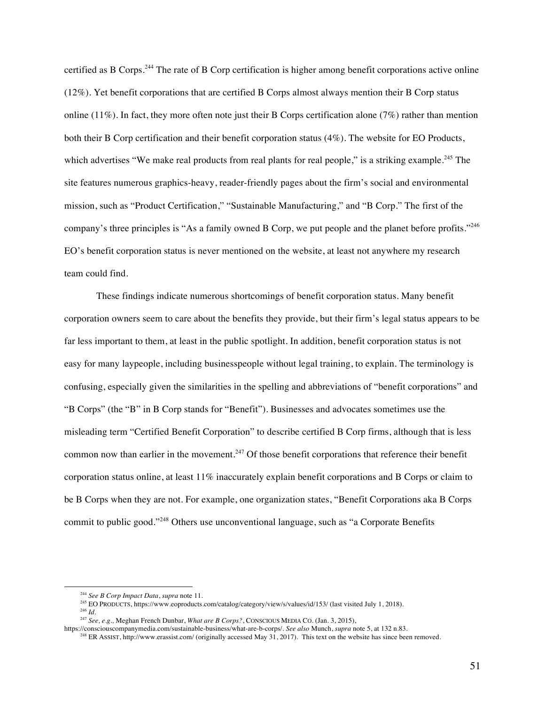certified as B Corps.<sup>244</sup> The rate of B Corp certification is higher among benefit corporations active online (12%). Yet benefit corporations that are certified B Corps almost always mention their B Corp status online  $(11\%)$ . In fact, they more often note just their B Corps certification alone (7%) rather than mention both their B Corp certification and their benefit corporation status (4%). The website for EO Products, which advertises "We make real products from real plants for real people," is a striking example.<sup>245</sup> The site features numerous graphics-heavy, reader-friendly pages about the firm's social and environmental mission, such as "Product Certification," "Sustainable Manufacturing," and "B Corp." The first of the company's three principles is "As a family owned B Corp, we put people and the planet before profits."<sup>246</sup> EO's benefit corporation status is never mentioned on the website, at least not anywhere my research team could find.

These findings indicate numerous shortcomings of benefit corporation status. Many benefit corporation owners seem to care about the benefits they provide, but their firm's legal status appears to be far less important to them, at least in the public spotlight. In addition, benefit corporation status is not easy for many laypeople, including businesspeople without legal training, to explain. The terminology is confusing, especially given the similarities in the spelling and abbreviations of "benefit corporations" and "B Corps" (the "B" in B Corp stands for "Benefit"). Businesses and advocates sometimes use the misleading term "Certified Benefit Corporation" to describe certified B Corp firms, although that is less common now than earlier in the movement.<sup>247</sup> Of those benefit corporations that reference their benefit corporation status online, at least 11% inaccurately explain benefit corporations and B Corps or claim to be B Corps when they are not. For example, one organization states, "Benefit Corporations aka B Corps commit to public good."<sup>248</sup> Others use unconventional language, such as "a Corporate Benefits

<sup>244</sup> *See B Corp Impact Data*, *supra* note 11*.*

<sup>&</sup>lt;sup>245</sup> EO PRODUCTS, https://www.eoproducts.com/catalog/category/view/s/values/id/153/ (last visited July 1, 2018). <sup>246</sup> *Id*.

<sup>247</sup> *See, e.g.,* Meghan French Dunbar, *What are B Corps?*, CONSCIOUS MEDIA CO. (Jan. 3, 2015),

https://consciouscompanymedia.com/sustainable-business/what-are-b-corps/. *See also* Munch, *supra* note 5, at 132 n.83.

<sup>&</sup>lt;sup>248</sup> ER ASSIST, http://www.erassist.com/ (originally accessed May  $31, 2017$ ). This text on the website has since been removed.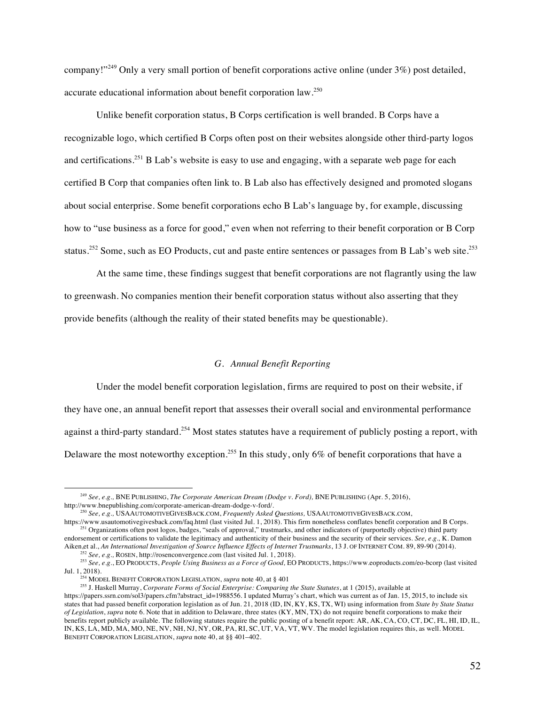company!"<sup>249</sup> Only a very small portion of benefit corporations active online (under 3%) post detailed, accurate educational information about benefit corporation law.<sup>250</sup>

Unlike benefit corporation status, B Corps certification is well branded. B Corps have a recognizable logo, which certified B Corps often post on their websites alongside other third-party logos and certifications.<sup>251</sup> B Lab's website is easy to use and engaging, with a separate web page for each certified B Corp that companies often link to. B Lab also has effectively designed and promoted slogans about social enterprise. Some benefit corporations echo B Lab's language by, for example, discussing how to "use business as a force for good," even when not referring to their benefit corporation or B Corp status.<sup>252</sup> Some, such as EO Products, cut and paste entire sentences or passages from B Lab's web site.<sup>253</sup>

At the same time, these findings suggest that benefit corporations are not flagrantly using the law to greenwash. No companies mention their benefit corporation status without also asserting that they provide benefits (although the reality of their stated benefits may be questionable).

# *G. Annual Benefit Reporting*

Under the model benefit corporation legislation, firms are required to post on their website, if they have one, an annual benefit report that assesses their overall social and environmental performance against a third-party standard.<sup>254</sup> Most states statutes have a requirement of publicly posting a report, with Delaware the most noteworthy exception.<sup>255</sup> In this study, only 6% of benefit corporations that have a

<sup>249</sup> *See, e.g.,* BNE PUBLISHING, *The Corporate American Dream (Dodge v. Ford),* BNE PUBLISHING (Apr. 5, 2016), http://www.bnepublishing.com/corporate-american-dream-dodge-v-ford/.

<sup>&</sup>lt;sup>250</sup> *See, e.g.,* USAAUTOMOTIVEGIVESBACK.COM, *Frequently Asked Questions*, USAAUTOMOTIVEGIVESBACK.COM,<br>https://www.usautomotivegivesback.com/faq.html (last visited Jul. 1, 2018). This firm nonetheless conflates benefit c

<sup>&</sup>lt;sup>251</sup> Organizations often post logos, badges, "seals of approval," trustmarks, and other indicators of (purportedly objective) third party endorsement or certifications to validate the legitimacy and authenticity of their business and the security of their services. *See, e.g.,* K. Damon Aiken,et al., *An International Investigation of Source Influence Effects of Internet Trustmarks*, 13 J. OF INTERNET COM. 89, 89-90 (2014).

<sup>252</sup> *See, e.g.,* ROSEN, http://rosenconvergence.com (last visited Jul. 1, 2018).

<sup>253</sup> *See, e.g.*, EO PRODUCTS, *People Using Business as a Force of Good,* EO PRODUCTS, https://www.eoproducts.com/eo-bcorp (last visited Jul. 1, 2018).

<sup>254</sup> MODEL BENEFIT CORPORATION LEGISLATION, *supra* note 40, at § 401

<sup>255</sup> J. Haskell Murray, *Corporate Forms of Social Enterprise: Comparing the State Statutes*, at 1 (2015), available at https://papers.ssrn.com/sol3/papers.cfm?abstract\_id=1988556. I updated Murray's chart, which was current as of Jan. 15, 2015, to include six states that had passed benefit corporation legislation as of Jun. 21, 2018 (ID, IN, KY, KS, TX, WI) using information from *State by State Status of Legislation*, *supra* note 6. Note that in addition to Delaware, three states (KY, MN, TX) do not require benefit corporations to make their benefits report publicly available. The following statutes require the public posting of a benefit report: AR, AK, CA, CO, CT, DC, FL, HI, ID, IL, IN, KS, LA, MD, MA, MO, NE, NV, NH, NJ, NY, OR, PA, RI, SC, UT, VA, VT, WV. The model legislation requires this, as well. MODEL BENEFIT CORPORATION LEGISLATION, *supra* note 40, at §§ 401–402.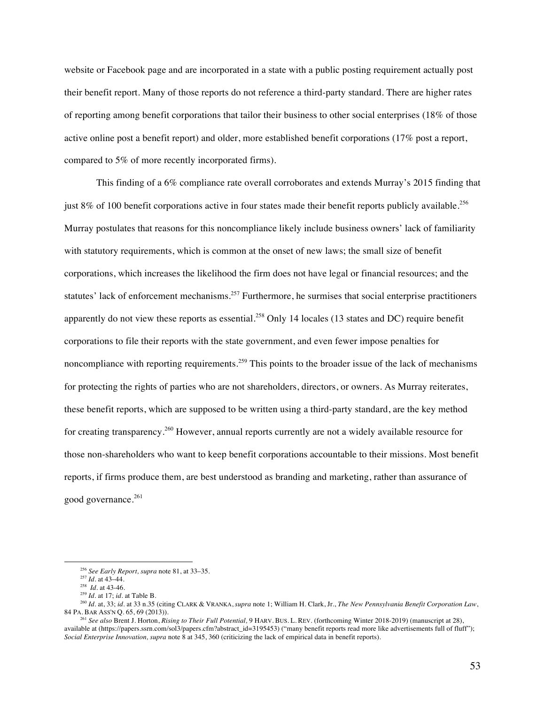website or Facebook page and are incorporated in a state with a public posting requirement actually post their benefit report. Many of those reports do not reference a third-party standard. There are higher rates of reporting among benefit corporations that tailor their business to other social enterprises (18% of those active online post a benefit report) and older, more established benefit corporations (17% post a report, compared to 5% of more recently incorporated firms).

This finding of a 6% compliance rate overall corroborates and extends Murray's 2015 finding that just 8% of 100 benefit corporations active in four states made their benefit reports publicly available.<sup>256</sup> Murray postulates that reasons for this noncompliance likely include business owners' lack of familiarity with statutory requirements, which is common at the onset of new laws; the small size of benefit corporations, which increases the likelihood the firm does not have legal or financial resources; and the statutes' lack of enforcement mechanisms.<sup>257</sup> Furthermore, he surmises that social enterprise practitioners apparently do not view these reports as essential.<sup>258</sup> Only 14 locales (13 states and DC) require benefit corporations to file their reports with the state government, and even fewer impose penalties for noncompliance with reporting requirements.<sup>259</sup> This points to the broader issue of the lack of mechanisms for protecting the rights of parties who are not shareholders, directors, or owners. As Murray reiterates, these benefit reports, which are supposed to be written using a third-party standard, are the key method for creating transparency.<sup>260</sup> However, annual reports currently are not a widely available resource for those non-shareholders who want to keep benefit corporations accountable to their missions. Most benefit reports, if firms produce them, are best understood as branding and marketing, rather than assurance of good governance. 261

<sup>256</sup> *See Early Report, supra* note 81, at 33–35.

<sup>257</sup> *Id.* at 43–44.

<sup>&</sup>lt;sup>258</sup> *Id.* at 43-46.<br><sup>259</sup> *Id.* at 17; *id.* at Table B.

<sup>&</sup>lt;sup>260</sup> *Id.* at, 33; *id.* at 33 n.35 (citing CLARK & VRANKA, *supra* note 1; William H. Clark, Jr., *The New Pennsylvania Benefit Corporation Law*, 84 PA. BAR ASS'N Q. 65, 69 (2013)).

<sup>261</sup> *See also* Brent J. Horton, *Rising to Their Full Potential,* 9 HARV. BUS. L. REV. (forthcoming Winter 2018-2019) (manuscript at 28), available at (https://papers.ssrn.com/sol3/papers.cfm?abstract\_id=3195453) ("many benefit reports read more like advertisements full of fluff"); *Social Enterprise Innovation, supra* note 8 at 345, 360 (criticizing the lack of empirical data in benefit reports).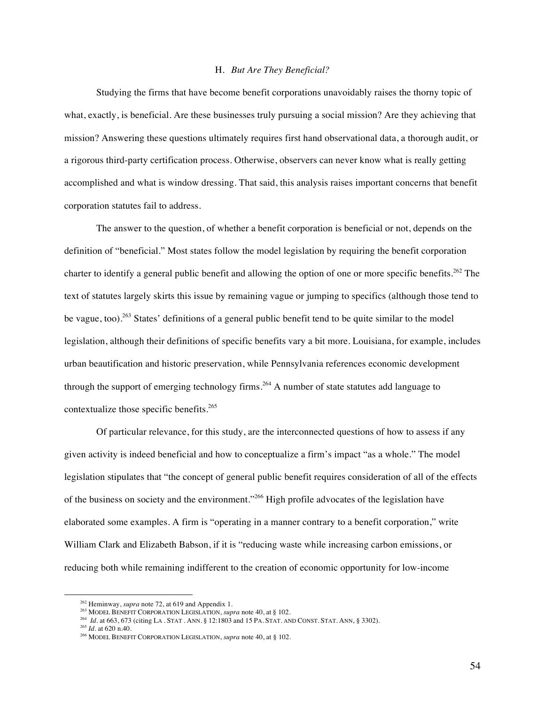# H. *But Are They Beneficial?*

Studying the firms that have become benefit corporations unavoidably raises the thorny topic of what, exactly, is beneficial. Are these businesses truly pursuing a social mission? Are they achieving that mission? Answering these questions ultimately requires first hand observational data, a thorough audit, or a rigorous third-party certification process. Otherwise, observers can never know what is really getting accomplished and what is window dressing. That said, this analysis raises important concerns that benefit corporation statutes fail to address.

The answer to the question, of whether a benefit corporation is beneficial or not, depends on the definition of "beneficial." Most states follow the model legislation by requiring the benefit corporation charter to identify a general public benefit and allowing the option of one or more specific benefits.<sup>262</sup> The text of statutes largely skirts this issue by remaining vague or jumping to specifics (although those tend to be vague, too).<sup>263</sup> States' definitions of a general public benefit tend to be quite similar to the model legislation, although their definitions of specific benefits vary a bit more. Louisiana, for example, includes urban beautification and historic preservation, while Pennsylvania references economic development through the support of emerging technology firms.<sup>264</sup> A number of state statutes add language to contextualize those specific benefits.<sup>265</sup>

Of particular relevance, for this study, are the interconnected questions of how to assess if any given activity is indeed beneficial and how to conceptualize a firm's impact "as a whole." The model legislation stipulates that "the concept of general public benefit requires consideration of all of the effects of the business on society and the environment."<sup>266</sup> High profile advocates of the legislation have elaborated some examples. A firm is "operating in a manner contrary to a benefit corporation," write William Clark and Elizabeth Babson, if it is "reducing waste while increasing carbon emissions, or reducing both while remaining indifferent to the creation of economic opportunity for low-income

<sup>&</sup>lt;sup>262</sup> Heminway, *supra* note 72, at 619 and Appendix 1.<br><sup>263</sup> MODEL BENEFIT CORPORATION LEGISLATION, *supra* note 40, at § 102.

<sup>264</sup> *Id.* at 663, 673 (citing LA . STAT . ANN. § 12:1803 and 15 PA. STAT. AND CONST. STAT. ANN, § 3302).

<sup>265</sup> *Id.* at 620 n.40.

<sup>266</sup> MODEL BENEFIT CORPORATION LEGISLATION, *supra* note 40, at § 102.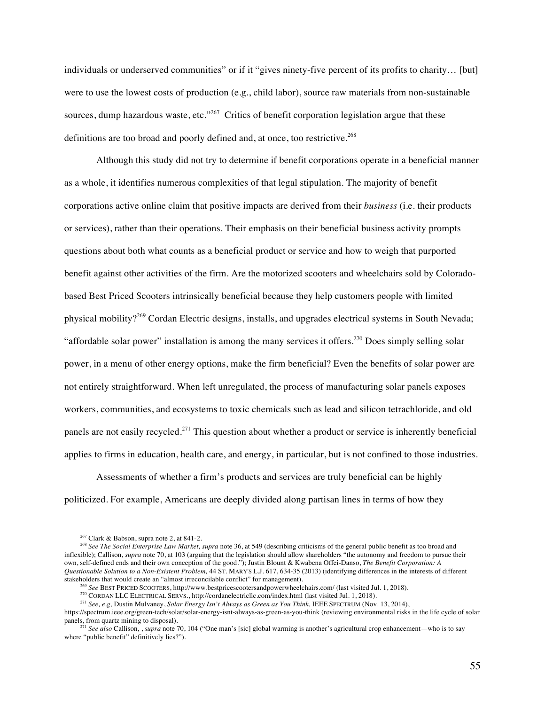individuals or underserved communities" or if it "gives ninety-five percent of its profits to charity… [but] were to use the lowest costs of production (e.g., child labor), source raw materials from non-sustainable sources, dump hazardous waste, etc."<sup>267</sup> Critics of benefit corporation legislation argue that these definitions are too broad and poorly defined and, at once, too restrictive.<sup>268</sup>

Although this study did not try to determine if benefit corporations operate in a beneficial manner as a whole, it identifies numerous complexities of that legal stipulation. The majority of benefit corporations active online claim that positive impacts are derived from their *business* (i.e. their products or services), rather than their operations. Their emphasis on their beneficial business activity prompts questions about both what counts as a beneficial product or service and how to weigh that purported benefit against other activities of the firm. Are the motorized scooters and wheelchairs sold by Coloradobased Best Priced Scooters intrinsically beneficial because they help customers people with limited physical mobility?<sup>269</sup> Cordan Electric designs, installs, and upgrades electrical systems in South Nevada; "affordable solar power" installation is among the many services it offers.<sup>270</sup> Does simply selling solar power, in a menu of other energy options, make the firm beneficial? Even the benefits of solar power are not entirely straightforward. When left unregulated, the process of manufacturing solar panels exposes workers, communities, and ecosystems to toxic chemicals such as lead and silicon tetrachloride, and old panels are not easily recycled.<sup>271</sup> This question about whether a product or service is inherently beneficial applies to firms in education, health care, and energy, in particular, but is not confined to those industries.

Assessments of whether a firm's products and services are truly beneficial can be highly politicized. For example, Americans are deeply divided along partisan lines in terms of how they

 $267$  Clark & Babson, supra note 2, at 841-2.

<sup>&</sup>lt;sup>268</sup> See The Social Enterprise Law Market, supra note 36, at 549 (describing criticisms of the general public benefit as too broad and inflexible); Callison, *supra* note 70, at 103 (arguing that the legislation should allow shareholders "the autonomy and freedom to pursue their own, self-defined ends and their own conception of the good."); Justin Blount & Kwabena Offei-Danso, *The Benefit Corporation: A Questionable Solution to a Non-Existent Problem,* 44 ST. MARY'S L.J. 617, 634-35 (2013) (identifying differences in the interests of different stakeholders that would create an "almost irreconcilable conflict" for management).

<sup>269</sup> *See* BEST PRICED SCOOTERS, http://www.bestpricescootersandpowerwheelchairs.com/ (last visited Jul. 1, 2018).

<sup>270</sup> CORDAN LLC ELECTRICAL SERVS., http://cordanelectricllc.com/index.html (last visited Jul. 1, 2018).

<sup>271</sup> *See, e.g,* Dustin Mulvaney, *Solar Energy Isn't Always as Green as You Think,* IEEE SPECTRUM (Nov. 13, 2014),

https://spectrum.ieee.org/green-tech/solar/solar-energy-isnt-always-as-green-as-you-think (reviewing environmental risks in the life cycle of solar panels, from quartz mining to disposal).

<sup>&</sup>lt;sup>271</sup> See also Callison, , *supra* note 70, 104 ("One man's [sic] global warming is another's agricultural crop enhancement—who is to say where "public benefit" definitively lies?").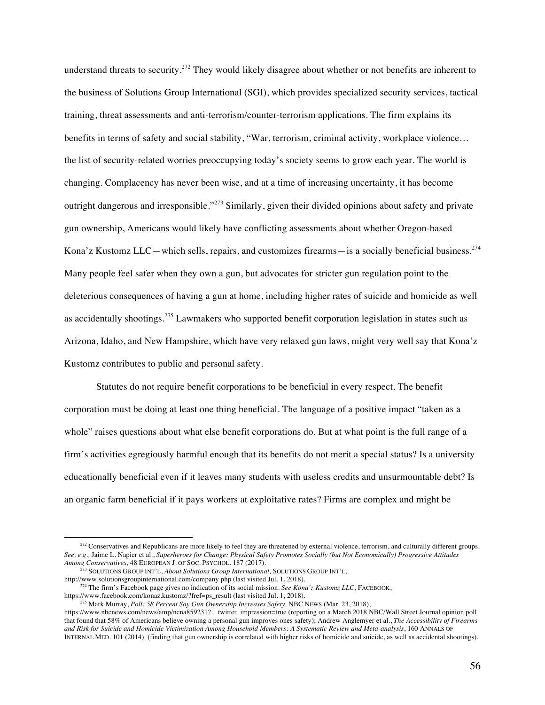understand threats to security.<sup>272</sup> They would likely disagree about whether or not benefits are inherent to the business of Solutions Group International (SGI), which provides specialized security services, tactical training, threat assessments and anti-terrorism/counter-terrorism applications. The firm explains its benefits in terms of safety and social stability, "War, terrorism, criminal activity, workplace violence… the list of security-related worries preoccupying today's society seems to grow each year. The world is changing. Complacency has never been wise, and at a time of increasing uncertainty, it has become outright dangerous and irresponsible."<sup>273</sup> Similarly, given their divided opinions about safety and private gun ownership, Americans would likely have conflicting assessments about whether Oregon-based Kona'z Kustomz LLC—which sells, repairs, and customizes firearms—is a socially beneficial business.<sup>274</sup> Many people feel safer when they own a gun, but advocates for stricter gun regulation point to the deleterious consequences of having a gun at home, including higher rates of suicide and homicide as well as accidentally shootings.<sup>275</sup> Lawmakers who supported benefit corporation legislation in states such as Arizona, Idaho, and New Hampshire, which have very relaxed gun laws, might very well say that Kona'z Kustomz contributes to public and personal safety.

Statutes do not require benefit corporations to be beneficial in every respect. The benefit corporation must be doing at least one thing beneficial. The language of a positive impact "taken as a whole" raises questions about what else benefit corporations do. But at what point is the full range of a firm's activities egregiously harmful enough that its benefits do not merit a special status? Is a university educationally beneficial even if it leaves many students with useless credits and unsurmountable debt? Is an organic farm beneficial if it pays workers at exploitative rates? Firms are complex and might be

 $272$  Conservatives and Republicans are more likely to feel they are threatened by external violence, terrorism, and culturally different groups. *See, e.g.,* Jaime L. Napier et al., *Superheroes for Change: Physical Safety Promotes Socially (but Not Economically) Progressive Attitudes Among Conservatives*, 48 EUROPEAN J. OF SOC. PSYCHOL. 187 (2017).

<sup>273</sup> SOLUTIONS GROUP INT'L, *About Solutions Group International,* SOLUTIONS GROUP INT'L, http://www.solutionsgroupinternational.com/company.php (last visited Jul. 1, 2018).

<sup>&</sup>lt;sup>274</sup> The firm's Facebook page gives no indication of its social mission. *See Kona'z Kustomz LLC*, FACEBOOK, https://www.facebook.com/konaz.kustomz/?fref=ps\_result (last visited Jul. 1, 2018).

<sup>&</sup>lt;sup>275</sup> Mark Murray, *Poll: 58 Percent Say Gun Ownership Increases Safety*, NBC NEWS (Mar. 23, 2018),

https://www.nbcnews.com/news/amp/ncna859231?\_\_twitter\_impression=true (reporting on a March 2018 NBC/Wall Street Journal opinion poll that found that 58% of Americans believe owning a personal gun improves ones safety); Andrew Anglemyer et al., *The Accessibility of Firearms and Risk for Suicide and Homicide Victimization Among Household Members: A Systematic Review and Meta-analysis*, 160 ANNALS OF INTERNAL MED. 101 (2014) (finding that gun ownership is correlated with higher risks of homicide and suicide, as well as accidental shootings).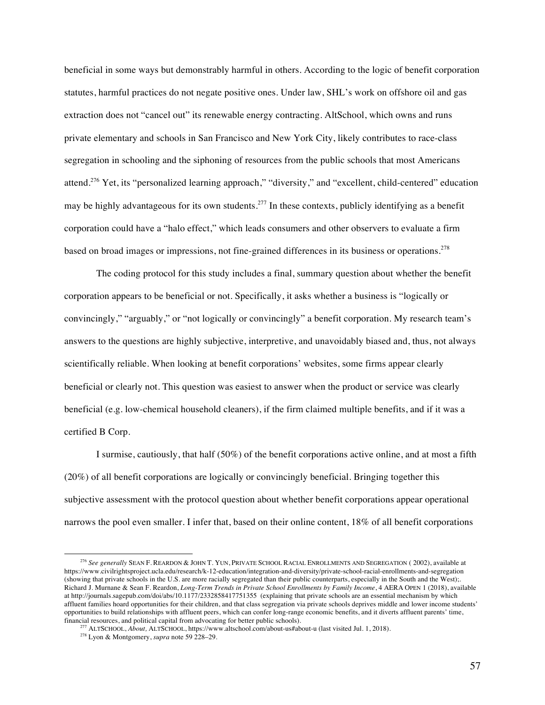beneficial in some ways but demonstrably harmful in others. According to the logic of benefit corporation statutes, harmful practices do not negate positive ones. Under law, SHL's work on offshore oil and gas extraction does not "cancel out" its renewable energy contracting. AltSchool, which owns and runs private elementary and schools in San Francisco and New York City, likely contributes to race-class segregation in schooling and the siphoning of resources from the public schools that most Americans attend.<sup>276</sup> Yet, its "personalized learning approach," "diversity," and "excellent, child-centered" education may be highly advantageous for its own students.<sup>277</sup> In these contexts, publicly identifying as a benefit corporation could have a "halo effect," which leads consumers and other observers to evaluate a firm based on broad images or impressions, not fine-grained differences in its business or operations.<sup>278</sup>

The coding protocol for this study includes a final, summary question about whether the benefit corporation appears to be beneficial or not. Specifically, it asks whether a business is "logically or convincingly," "arguably," or "not logically or convincingly" a benefit corporation. My research team's answers to the questions are highly subjective, interpretive, and unavoidably biased and, thus, not always scientifically reliable. When looking at benefit corporations' websites, some firms appear clearly beneficial or clearly not. This question was easiest to answer when the product or service was clearly beneficial (e.g. low-chemical household cleaners), if the firm claimed multiple benefits, and if it was a certified B Corp.

I surmise, cautiously, that half (50%) of the benefit corporations active online, and at most a fifth (20%) of all benefit corporations are logically or convincingly beneficial. Bringing together this subjective assessment with the protocol question about whether benefit corporations appear operational narrows the pool even smaller. I infer that, based on their online content, 18% of all benefit corporations

<sup>276</sup> *See generally* SEAN F. REARDON & JOHN T. YUN, PRIVATE SCHOOL RACIAL ENROLLMENTS AND SEGREGATION ( 2002), available at https://www.civilrightsproject.ucla.edu/research/k-12-education/integration-and-diversity/private-school-racial-enrollments-and-segregation (showing that private schools in the U.S. are more racially segregated than their public counterparts, especially in the South and the West);. Richard J. Murnane & Sean F. Reardon, *Long-Term Trends in Private School Enrollments by Family Income*, 4 AERA OPEN 1 (2018), available at http://journals.sagepub.com/doi/abs/10.1177/2332858417751355 (explaining that private schools are an essential mechanism by which affluent families hoard opportunities for their children, and that class segregation via private schools deprives middle and lower income students' opportunities to build relationships with affluent peers, which can confer long-range economic benefits, and it diverts affluent parents' time, financial resources, and political capital from advocating for better public schools).

<sup>&</sup>lt;sup>277</sup> ALTSCHOOL, *About*, *ALTSCHOOL*, https://www.altschool.com/about-us#about-u (last visited Jul. 1, 2018).

<sup>278</sup> Lyon & Montgomery, *supra* note 59 228–29.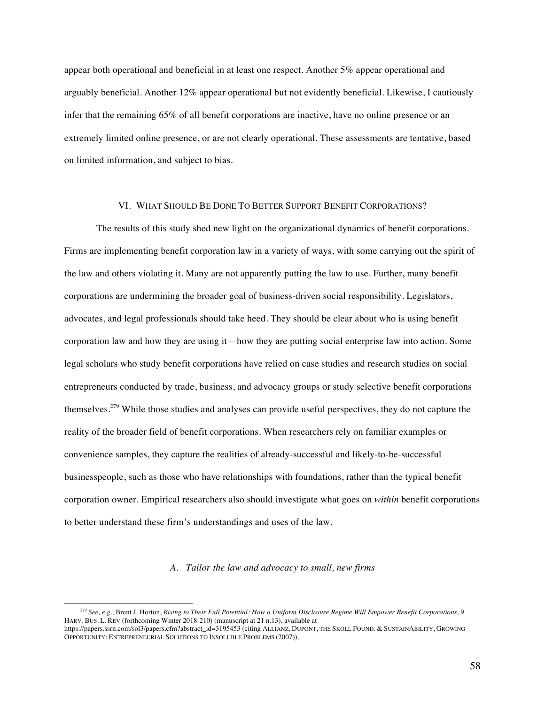appear both operational and beneficial in at least one respect. Another 5% appear operational and arguably beneficial. Another 12% appear operational but not evidently beneficial. Likewise, I cautiously infer that the remaining 65% of all benefit corporations are inactive, have no online presence or an extremely limited online presence, or are not clearly operational. These assessments are tentative, based on limited information, and subject to bias.

# VI. WHAT SHOULD BE DONE TO BETTER SUPPORT BENEFIT CORPORATIONS?

The results of this study shed new light on the organizational dynamics of benefit corporations. Firms are implementing benefit corporation law in a variety of ways, with some carrying out the spirit of the law and others violating it. Many are not apparently putting the law to use. Further, many benefit corporations are undermining the broader goal of business-driven social responsibility. Legislators, advocates, and legal professionals should take heed. They should be clear about who is using benefit corporation law and how they are using it—how they are putting social enterprise law into action. Some legal scholars who study benefit corporations have relied on case studies and research studies on social entrepreneurs conducted by trade, business, and advocacy groups or study selective benefit corporations themselves.<sup>279</sup> While those studies and analyses can provide useful perspectives, they do not capture the reality of the broader field of benefit corporations. When researchers rely on familiar examples or convenience samples, they capture the realities of already-successful and likely-to-be-successful businesspeople, such as those who have relationships with foundations, rather than the typical benefit corporation owner. Empirical researchers also should investigate what goes on *within* benefit corporations to better understand these firm's understandings and uses of the law.

# *A. Tailor the law and advocacy to small, new firms*

<sup>279</sup> *See, e.g.,* Brent J. Horton, *Rising to Their Full Potential: How a Uniform Disclosure Regime Will Empower Benefit Corporations,* 9 HARV. BUS. L. REV (forthcoming Winter 2018-210) (manuscript at 21 n.13), available at

https://papers.ssrn.com/sol3/papers.cfm?abstract\_id=3195453 (citing ALLIANZ, DUPONT, THE SKOLL FOUND. & SUSTAINABILITY, GROWING OPPORTUNITY: ENTREPRENEURIAL SOLUTIONS TO INSOLUBLE PROBLEMS (2007)).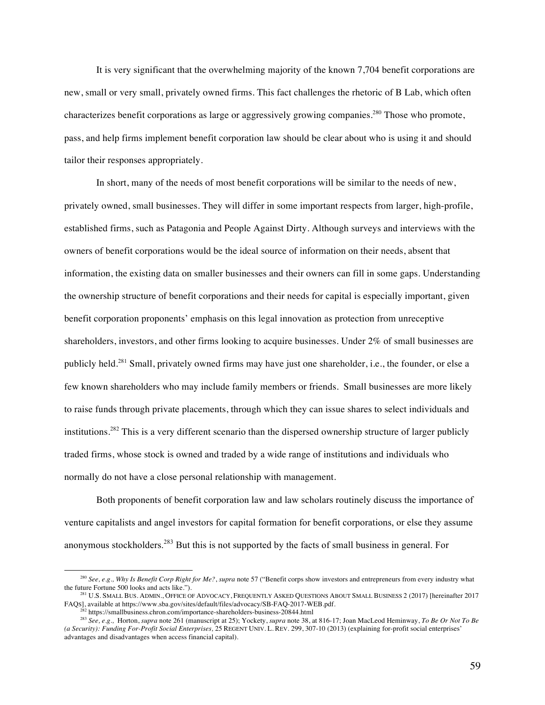It is very significant that the overwhelming majority of the known 7,704 benefit corporations are new, small or very small, privately owned firms. This fact challenges the rhetoric of B Lab, which often characterizes benefit corporations as large or aggressively growing companies.<sup>280</sup> Those who promote, pass, and help firms implement benefit corporation law should be clear about who is using it and should tailor their responses appropriately.

In short, many of the needs of most benefit corporations will be similar to the needs of new, privately owned, small businesses. They will differ in some important respects from larger, high-profile, established firms, such as Patagonia and People Against Dirty. Although surveys and interviews with the owners of benefit corporations would be the ideal source of information on their needs, absent that information, the existing data on smaller businesses and their owners can fill in some gaps. Understanding the ownership structure of benefit corporations and their needs for capital is especially important, given benefit corporation proponents' emphasis on this legal innovation as protection from unreceptive shareholders, investors, and other firms looking to acquire businesses. Under 2% of small businesses are publicly held.<sup>281</sup> Small, privately owned firms may have just one shareholder, i.e., the founder, or else a few known shareholders who may include family members or friends. Small businesses are more likely to raise funds through private placements, through which they can issue shares to select individuals and institutions.<sup>282</sup> This is a very different scenario than the dispersed ownership structure of larger publicly traded firms, whose stock is owned and traded by a wide range of institutions and individuals who normally do not have a close personal relationship with management.

Both proponents of benefit corporation law and law scholars routinely discuss the importance of venture capitalists and angel investors for capital formation for benefit corporations, or else they assume anonymous stockholders.<sup>283</sup> But this is not supported by the facts of small business in general. For

<sup>&</sup>lt;sup>280</sup> *See, e.g., Why Is Benefit Corp Right for Me?, supra* note 57 ("Benefit corps show investors and entrepreneurs from every industry what the future Fortune 500 looks and acts like.").

<sup>&</sup>lt;sup>281</sup> U.S. SMALL BUS. ADMIN., OFFICE OF ADVOCACY, FREQUENTLY ASKED QUESTIONS ABOUT SMALL BUSINESS 2 (2017) [hereinafter 2017 FAQS], available at https://www.sba.gov/sites/default/files/advocacy/SB-FAQ-2017-WEB.pdf.

<sup>282</sup> https://smallbusiness.chron.com/importance-shareholders-business-20844.html

<sup>283</sup> *See, e.g.,* Horton, *supra* note 261 (manuscript at 25); Yockety, *supra* note 38, at 816-17; Joan MacLeod Heminway, *To Be Or Not To Be (a Security): Funding For-Profit Social Enterprises,* 25 REGENT UNIV. L. REV. 299, 307-10 (2013) (explaining for-profit social enterprises' advantages and disadvantages when access financial capital).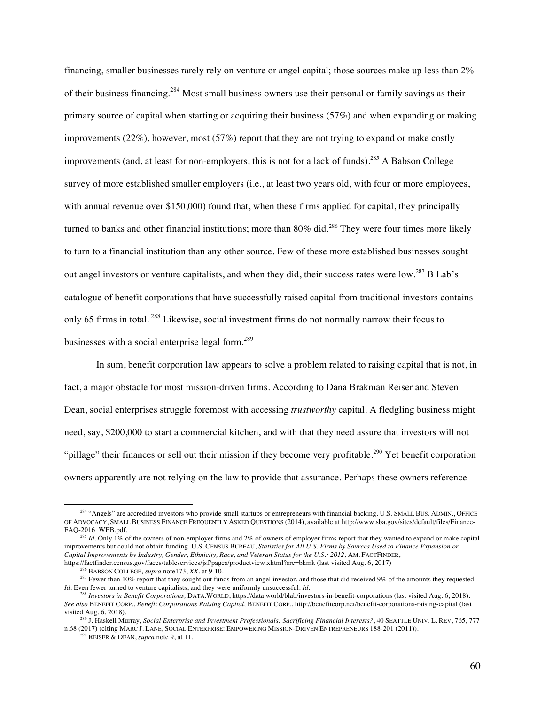financing, smaller businesses rarely rely on venture or angel capital; those sources make up less than 2% of their business financing.<sup>284</sup> Most small business owners use their personal or family savings as their primary source of capital when starting or acquiring their business (57%) and when expanding or making improvements (22%), however, most (57%) report that they are not trying to expand or make costly improvements (and, at least for non-employers, this is not for a lack of funds). <sup>285</sup> A Babson College survey of more established smaller employers (i.e., at least two years old, with four or more employees, with annual revenue over \$150,000) found that, when these firms applied for capital, they principally turned to banks and other financial institutions; more than 80% did.<sup>286</sup> They were four times more likely to turn to a financial institution than any other source. Few of these more established businesses sought out angel investors or venture capitalists, and when they did, their success rates were low.<sup>287</sup> B Lab's catalogue of benefit corporations that have successfully raised capital from traditional investors contains only 65 firms in total. <sup>288</sup> Likewise, social investment firms do not normally narrow their focus to businesses with a social enterprise legal form.<sup>289</sup>

In sum, benefit corporation law appears to solve a problem related to raising capital that is not, in fact, a major obstacle for most mission-driven firms. According to Dana Brakman Reiser and Steven Dean, social enterprises struggle foremost with accessing *trustworthy* capital. A fledgling business might need, say, \$200,000 to start a commercial kitchen, and with that they need assure that investors will not "pillage" their finances or sell out their mission if they become very profitable.<sup>290</sup> Yet benefit corporation owners apparently are not relying on the law to provide that assurance. Perhaps these owners reference

<sup>&</sup>lt;sup>284</sup> "Angels" are accredited investors who provide small startups or entrepreneurs with financial backing. U.S. SMALL BUS. ADMIN., OFFICE OF ADVOCACY, SMALL BUSINESS FINANCE FREQUENTLY ASKED QUESTIONS (2014), available at http://www.sba.gov/sites/default/files/Finance-FAQ-2016\_WEB.pdf.

<sup>285</sup> *Id.* Only 1% of the owners of non-employer firms and 2% of owners of employer firms report that they wanted to expand or make capital improvements but could not obtain funding. U.S. CENSUS BUREAU, *Statistics for All U.S. Firms by Sources Used to Finance Expansion or Capital Improvements by Industry, Gender, Ethnicity, Race, and Veteran Status for the U.S.: 2012, AM. FACTFINDER,* https://factfinder.census.gov/faces/tableservices/jsf/pages/productview.xhtml?src=bkmk (last visited Aug. 6, 2017)<br><sup>286</sup> BABSON COLLEGE, *supra* note 173, XX. at 9-10.

<sup>&</sup>lt;sup>287</sup> Fewer than 10% report that they sought out funds from an angel investor, and those that did received 9% of the amounts they requested. *Id.* Even fewer turned to venture capitalists, and they were uniformly unsuccessful. *Id.* 

<sup>288</sup> *Investors in Benefit Corporations,* DATA.WORLD, https://data.world/blab/investors-in-benefit-corporations (last visited Aug. 6, 2018). *See also* BENEFIT CORP., *Benefit Corporations Raising Capital,* BENEFIT CORP., http://benefitcorp.net/benefit-corporations-raising-capital (last visited Aug. 6, 2018).

<sup>289</sup> J. Haskell Murray, *Social Enterprise and Investment Professionals: Sacrificing Financial Interests?*, 40 SEATTLE UNIV. L. REV, 765, 777 n.68 (2017) (citing MARC J. LANE, SOCIAL ENTERPRISE: EMPOWERING MISSION-DRIVEN ENTREPRENEURS 188-201 (2011)). 290 REISER & DEAN, *supra* note 9, at 11.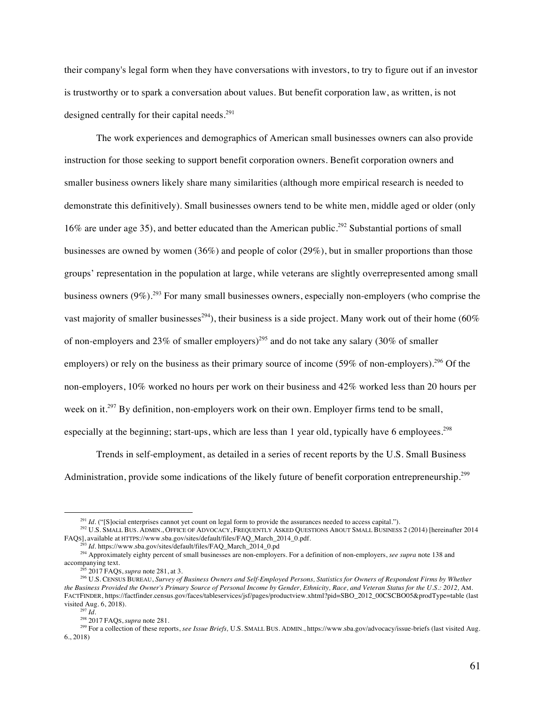their company's legal form when they have conversations with investors, to try to figure out if an investor is trustworthy or to spark a conversation about values. But benefit corporation law, as written, is not designed centrally for their capital needs.<sup>291</sup>

The work experiences and demographics of American small businesses owners can also provide instruction for those seeking to support benefit corporation owners. Benefit corporation owners and smaller business owners likely share many similarities (although more empirical research is needed to demonstrate this definitively). Small businesses owners tend to be white men, middle aged or older (only 16% are under age 35), and better educated than the American public.<sup>292</sup> Substantial portions of small businesses are owned by women (36%) and people of color (29%), but in smaller proportions than those groups' representation in the population at large, while veterans are slightly overrepresented among small business owners  $(9\%)$ <sup>293</sup>. For many small businesses owners, especially non-employers (who comprise the vast majority of smaller businesses<sup>294</sup>), their business is a side project. Many work out of their home (60% of non-employers and 23% of smaller employers)<sup>295</sup> and do not take any salary (30% of smaller employers) or rely on the business as their primary source of income (59% of non-employers).<sup>296</sup> Of the non-employers, 10% worked no hours per work on their business and 42% worked less than 20 hours per week on it.<sup>297</sup> By definition, non-employers work on their own. Employer firms tend to be small, especially at the beginning; start-ups, which are less than 1 year old, typically have 6 employees.<sup>298</sup>

Trends in self-employment, as detailed in a series of recent reports by the U.S. Small Business Administration, provide some indications of the likely future of benefit corporation entrepreneurship.<sup>299</sup>

<sup>&</sup>lt;sup>291</sup> *Id.* ("[S]ocial enterprises cannot yet count on legal form to provide the assurances needed to access capital.").

<sup>292</sup> U.S. SMALL BUS. ADMIN., OFFICE OF ADVOCACY, FREQUENTLY ASKED QUESTIONS ABOUT SMALL BUSINESS 2 (2014) [hereinafter 2014 FAQS], available at HTTPS://www.sba.gov/sites/default/files/FAQ\_March\_2014\_0.pdf.

<sup>&</sup>lt;sup>3</sup> *Id.* https://www.sba.gov/sites/default/files/FAQ\_March\_2014\_0.pd

<sup>294</sup> Approximately eighty percent of small businesses are non-employers. For a definition of non-employers, *see supra* note 138 and accompanying text.

<sup>295</sup> 2017 FAQS, *supra* note 281, at 3.

<sup>296</sup> U.S. CENSUS BUREAU, *Survey of Business Owners and Self-Employed Persons, Statistics for Owners of Respondent Firms by Whether*  the Business Provided the Owner's Primary Source of Personal Income by Gender, Ethnicity, Race, and Veteran Status for the U.S.: 2012, AM. FACTFINDER, https://factfinder.census.gov/faces/tableservices/jsf/pages/productview.xhtml?pid=SBO\_2012\_00CSCBO05&prodType=table (last visited Aug. 6, 2018).

<sup>297</sup> *Id.* 

<sup>298</sup> 2017 FAQS, *supra* note 281.

<sup>&</sup>lt;sup>299</sup> For a collection of these reports, *see Issue Briefs*, U.S. SMALL BUS. ADMIN., https://www.sba.gov/advocacy/issue-briefs (last visited Aug. 6., 2018)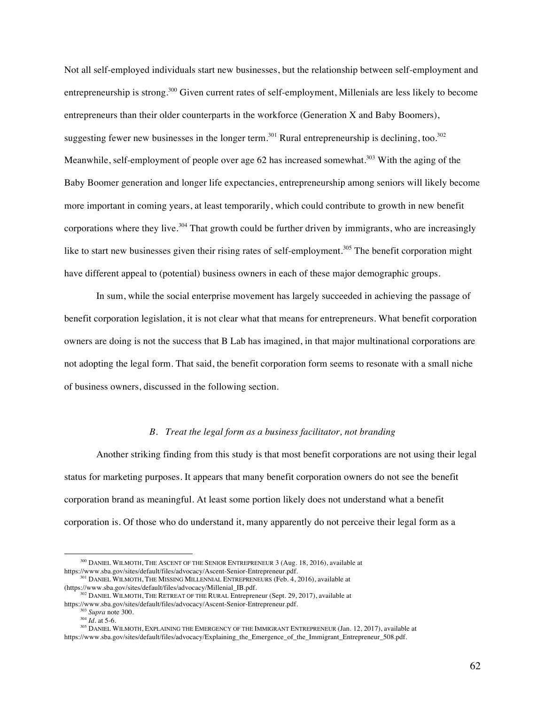Not all self-employed individuals start new businesses, but the relationship between self-employment and entrepreneurship is strong.300 Given current rates of self-employment, Millenials are less likely to become entrepreneurs than their older counterparts in the workforce (Generation X and Baby Boomers), suggesting fewer new businesses in the longer term.<sup>301</sup> Rural entrepreneurship is declining, too.<sup>302</sup> Meanwhile, self-employment of people over age 62 has increased somewhat.<sup>303</sup> With the aging of the Baby Boomer generation and longer life expectancies, entrepreneurship among seniors will likely become more important in coming years, at least temporarily, which could contribute to growth in new benefit corporations where they live.<sup>304</sup> That growth could be further driven by immigrants, who are increasingly like to start new businesses given their rising rates of self-employment.<sup>305</sup> The benefit corporation might have different appeal to (potential) business owners in each of these major demographic groups.

In sum, while the social enterprise movement has largely succeeded in achieving the passage of benefit corporation legislation, it is not clear what that means for entrepreneurs. What benefit corporation owners are doing is not the success that B Lab has imagined, in that major multinational corporations are not adopting the legal form. That said, the benefit corporation form seems to resonate with a small niche of business owners, discussed in the following section.

# *B. Treat the legal form as a business facilitator, not branding*

Another striking finding from this study is that most benefit corporations are not using their legal status for marketing purposes. It appears that many benefit corporation owners do not see the benefit corporation brand as meaningful. At least some portion likely does not understand what a benefit corporation is. Of those who do understand it, many apparently do not perceive their legal form as a

<sup>&</sup>lt;sup>300</sup> DANIEL WILMOTH, THE ASCENT OF THE SENIOR ENTREPRENEUR 3 (Aug. 18, 2016), available at https://www.sba.gov/sites/default/files/advocacy/Ascent-Senior-Entrepreneur.pdf.

 $301$  DANIEL WILMOTH, THE MISSING MILLENNIAL ENTREPRENEURS (Feb. 4, 2016), available at (https://www.sba.gov/sites/default/files/advocacy/Millenial\_IB.pdf.

 $^{302}$  DANIEL WILMOTH, THE RETREAT OF THE RURAL Entrepreneur (Sept. 29, 2017), available at https://www.sba.gov/sites/default/files/advocacy/Ascent-Senior-Entrepreneur.pdf.

<sup>303</sup> *Supra* note 300.

 $^{304}$  *Id.* at 5-6.

<sup>305</sup> DANIEL WILMOTH, EXPLAINING THE EMERGENCY OF THE IMMIGRANT ENTREPRENEUR (Jan. 12, 2017), available at https://www.sba.gov/sites/default/files/advocacy/Explaining\_the\_Emergence\_of\_the\_Immigrant\_Entrepreneur\_508.pdf.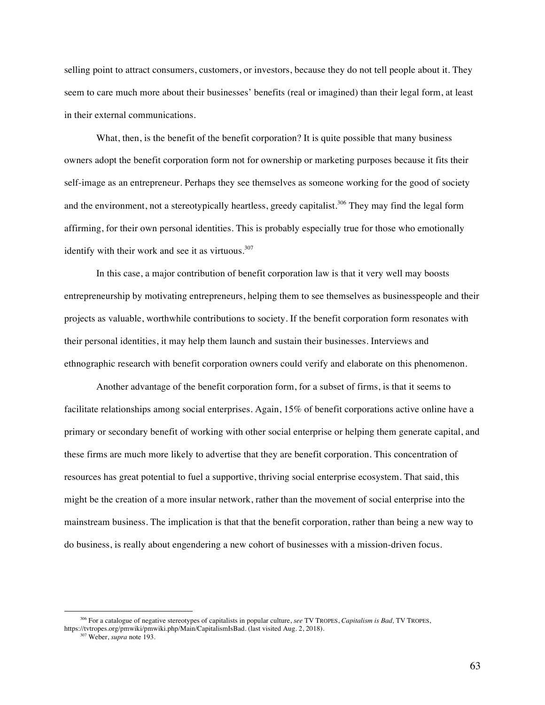selling point to attract consumers, customers, or investors, because they do not tell people about it. They seem to care much more about their businesses' benefits (real or imagined) than their legal form, at least in their external communications.

What, then, is the benefit of the benefit corporation? It is quite possible that many business owners adopt the benefit corporation form not for ownership or marketing purposes because it fits their self-image as an entrepreneur. Perhaps they see themselves as someone working for the good of society and the environment, not a stereotypically heartless, greedy capitalist.<sup>306</sup> They may find the legal form affirming, for their own personal identities. This is probably especially true for those who emotionally identify with their work and see it as virtuous. $307$ 

In this case, a major contribution of benefit corporation law is that it very well may boosts entrepreneurship by motivating entrepreneurs, helping them to see themselves as businesspeople and their projects as valuable, worthwhile contributions to society. If the benefit corporation form resonates with their personal identities, it may help them launch and sustain their businesses. Interviews and ethnographic research with benefit corporation owners could verify and elaborate on this phenomenon.

Another advantage of the benefit corporation form, for a subset of firms, is that it seems to facilitate relationships among social enterprises. Again, 15% of benefit corporations active online have a primary or secondary benefit of working with other social enterprise or helping them generate capital, and these firms are much more likely to advertise that they are benefit corporation. This concentration of resources has great potential to fuel a supportive, thriving social enterprise ecosystem. That said, this might be the creation of a more insular network, rather than the movement of social enterprise into the mainstream business. The implication is that that the benefit corporation, rather than being a new way to do business, is really about engendering a new cohort of businesses with a mission-driven focus.

<sup>306</sup> For a catalogue of negative stereotypes of capitalists in popular culture, *see* TV TROPES, *Capitalism is Bad,* TV TROPES,

https://tvtropes.org/pmwiki/pmwiki.php/Main/CapitalismIsBad. (last visited Aug. 2, 2018).

<sup>307</sup> Weber, *supra* note 193.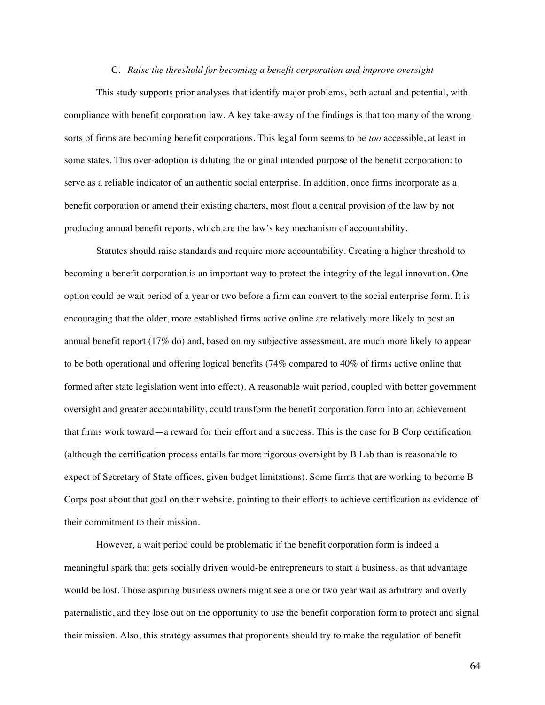## C. *Raise the threshold for becoming a benefit corporation and improve oversight*

This study supports prior analyses that identify major problems, both actual and potential, with compliance with benefit corporation law. A key take-away of the findings is that too many of the wrong sorts of firms are becoming benefit corporations. This legal form seems to be *too* accessible, at least in some states. This over-adoption is diluting the original intended purpose of the benefit corporation: to serve as a reliable indicator of an authentic social enterprise. In addition, once firms incorporate as a benefit corporation or amend their existing charters, most flout a central provision of the law by not producing annual benefit reports, which are the law's key mechanism of accountability.

Statutes should raise standards and require more accountability. Creating a higher threshold to becoming a benefit corporation is an important way to protect the integrity of the legal innovation. One option could be wait period of a year or two before a firm can convert to the social enterprise form. It is encouraging that the older, more established firms active online are relatively more likely to post an annual benefit report (17% do) and, based on my subjective assessment, are much more likely to appear to be both operational and offering logical benefits (74% compared to 40% of firms active online that formed after state legislation went into effect). A reasonable wait period, coupled with better government oversight and greater accountability, could transform the benefit corporation form into an achievement that firms work toward—a reward for their effort and a success. This is the case for B Corp certification (although the certification process entails far more rigorous oversight by B Lab than is reasonable to expect of Secretary of State offices, given budget limitations). Some firms that are working to become B Corps post about that goal on their website, pointing to their efforts to achieve certification as evidence of their commitment to their mission.

However, a wait period could be problematic if the benefit corporation form is indeed a meaningful spark that gets socially driven would-be entrepreneurs to start a business, as that advantage would be lost. Those aspiring business owners might see a one or two year wait as arbitrary and overly paternalistic, and they lose out on the opportunity to use the benefit corporation form to protect and signal their mission. Also, this strategy assumes that proponents should try to make the regulation of benefit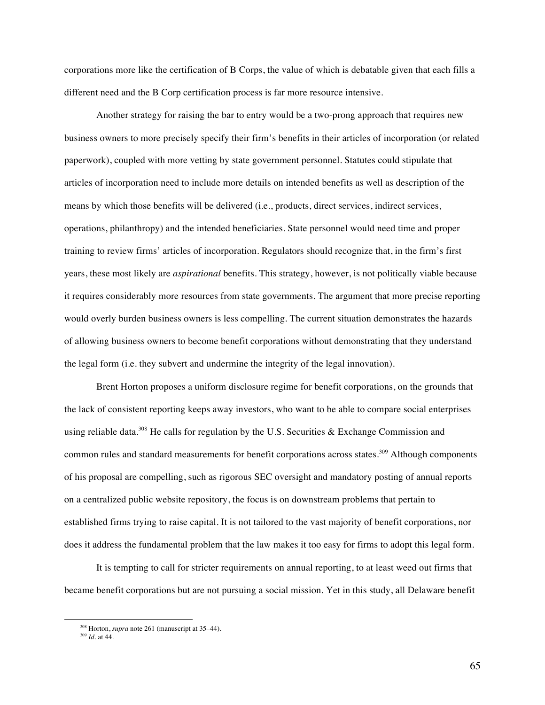corporations more like the certification of B Corps, the value of which is debatable given that each fills a different need and the B Corp certification process is far more resource intensive.

Another strategy for raising the bar to entry would be a two-prong approach that requires new business owners to more precisely specify their firm's benefits in their articles of incorporation (or related paperwork), coupled with more vetting by state government personnel. Statutes could stipulate that articles of incorporation need to include more details on intended benefits as well as description of the means by which those benefits will be delivered (i.e., products, direct services, indirect services, operations, philanthropy) and the intended beneficiaries. State personnel would need time and proper training to review firms' articles of incorporation. Regulators should recognize that, in the firm's first years, these most likely are *aspirational* benefits. This strategy, however, is not politically viable because it requires considerably more resources from state governments. The argument that more precise reporting would overly burden business owners is less compelling. The current situation demonstrates the hazards of allowing business owners to become benefit corporations without demonstrating that they understand the legal form (i.e. they subvert and undermine the integrity of the legal innovation).

Brent Horton proposes a uniform disclosure regime for benefit corporations, on the grounds that the lack of consistent reporting keeps away investors, who want to be able to compare social enterprises using reliable data.<sup>308</sup> He calls for regulation by the U.S. Securities & Exchange Commission and common rules and standard measurements for benefit corporations across states.<sup>309</sup> Although components of his proposal are compelling, such as rigorous SEC oversight and mandatory posting of annual reports on a centralized public website repository, the focus is on downstream problems that pertain to established firms trying to raise capital. It is not tailored to the vast majority of benefit corporations, nor does it address the fundamental problem that the law makes it too easy for firms to adopt this legal form.

It is tempting to call for stricter requirements on annual reporting, to at least weed out firms that became benefit corporations but are not pursuing a social mission. Yet in this study, all Delaware benefit

<sup>308</sup> Horton, *supra* note 261 (manuscript at 35–44)*.*

<sup>309</sup> *Id.* at 44.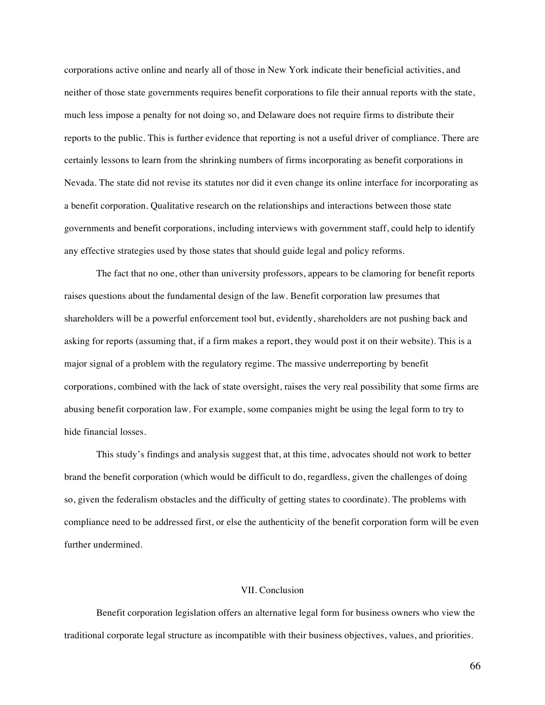corporations active online and nearly all of those in New York indicate their beneficial activities, and neither of those state governments requires benefit corporations to file their annual reports with the state, much less impose a penalty for not doing so, and Delaware does not require firms to distribute their reports to the public. This is further evidence that reporting is not a useful driver of compliance. There are certainly lessons to learn from the shrinking numbers of firms incorporating as benefit corporations in Nevada. The state did not revise its statutes nor did it even change its online interface for incorporating as a benefit corporation. Qualitative research on the relationships and interactions between those state governments and benefit corporations, including interviews with government staff, could help to identify any effective strategies used by those states that should guide legal and policy reforms.

The fact that no one, other than university professors, appears to be clamoring for benefit reports raises questions about the fundamental design of the law. Benefit corporation law presumes that shareholders will be a powerful enforcement tool but, evidently, shareholders are not pushing back and asking for reports (assuming that, if a firm makes a report, they would post it on their website). This is a major signal of a problem with the regulatory regime. The massive underreporting by benefit corporations, combined with the lack of state oversight, raises the very real possibility that some firms are abusing benefit corporation law. For example, some companies might be using the legal form to try to hide financial losses.

This study's findings and analysis suggest that, at this time, advocates should not work to better brand the benefit corporation (which would be difficult to do, regardless, given the challenges of doing so, given the federalism obstacles and the difficulty of getting states to coordinate). The problems with compliance need to be addressed first, or else the authenticity of the benefit corporation form will be even further undermined.

# VII. Conclusion

Benefit corporation legislation offers an alternative legal form for business owners who view the traditional corporate legal structure as incompatible with their business objectives, values, and priorities.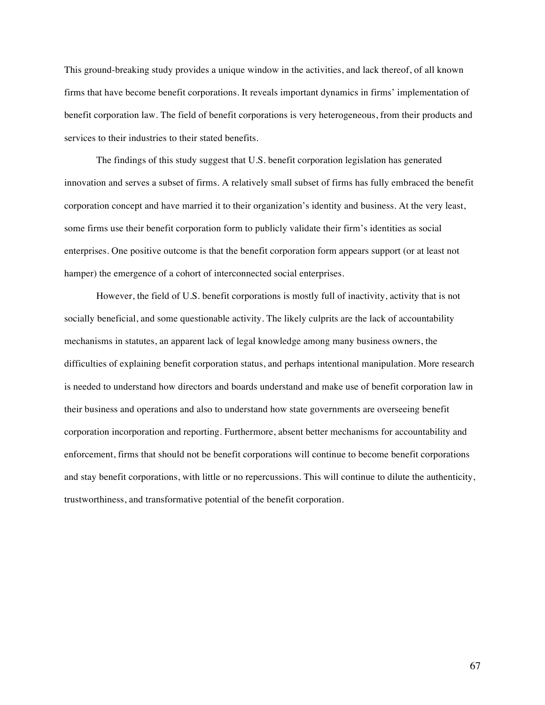This ground-breaking study provides a unique window in the activities, and lack thereof, of all known firms that have become benefit corporations. It reveals important dynamics in firms' implementation of benefit corporation law. The field of benefit corporations is very heterogeneous, from their products and services to their industries to their stated benefits.

The findings of this study suggest that U.S. benefit corporation legislation has generated innovation and serves a subset of firms. A relatively small subset of firms has fully embraced the benefit corporation concept and have married it to their organization's identity and business. At the very least, some firms use their benefit corporation form to publicly validate their firm's identities as social enterprises. One positive outcome is that the benefit corporation form appears support (or at least not hamper) the emergence of a cohort of interconnected social enterprises.

However, the field of U.S. benefit corporations is mostly full of inactivity, activity that is not socially beneficial, and some questionable activity. The likely culprits are the lack of accountability mechanisms in statutes, an apparent lack of legal knowledge among many business owners, the difficulties of explaining benefit corporation status, and perhaps intentional manipulation. More research is needed to understand how directors and boards understand and make use of benefit corporation law in their business and operations and also to understand how state governments are overseeing benefit corporation incorporation and reporting. Furthermore, absent better mechanisms for accountability and enforcement, firms that should not be benefit corporations will continue to become benefit corporations and stay benefit corporations, with little or no repercussions. This will continue to dilute the authenticity, trustworthiness, and transformative potential of the benefit corporation.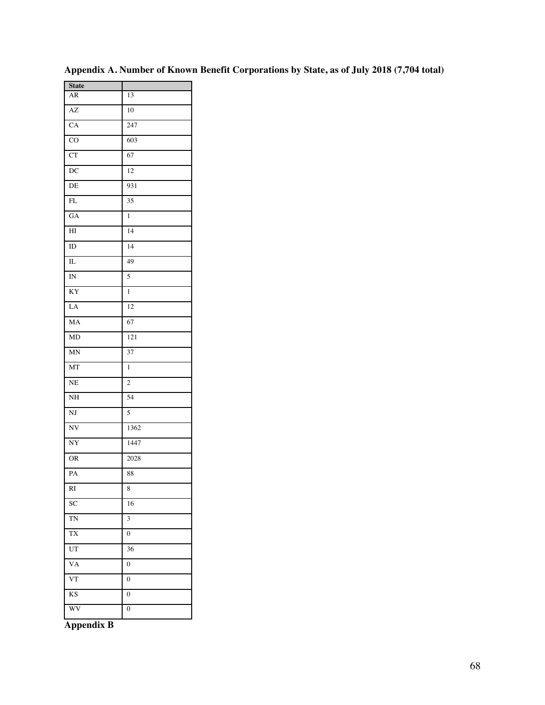| <b>State</b>           |                  |
|------------------------|------------------|
| ${\sf AR}$             | 13               |
| AZ                     | 10               |
| CA                     | 247              |
| $\overline{C}O$        | 603              |
| $\overline{\text{CT}}$ | 67               |
| $\overline{DC}$        | 12               |
| DE                     | 931              |
| FL                     | 35               |
| GA                     | $\mathbf{1}$     |
| HI                     | 14               |
| ID                     | 14               |
| IL                     | 49               |
| IN                     | 5                |
| KY                     | 1                |
| LA                     | 12               |
| MA                     | 67               |
| MD                     | 121              |
| MN                     | 37               |
| MT                     | 1                |
| $\rm NE$               | $\overline{c}$   |
| $\rm NH$               | 54               |
| NJ                     | 5                |
| $\overline{\text{NV}}$ | 1362             |
| NY                     | 1447             |
| <b>OR</b>              | 2028             |
| PA                     | 88               |
| RI                     | 8                |
| SC                     | 16               |
| <b>TN</b>              | 3                |
| TX                     | 0                |
| UT                     | 36               |
| VA                     | $\boldsymbol{0}$ |
| $\overline{\text{VT}}$ | $\boldsymbol{0}$ |
| KS                     | $\boldsymbol{0}$ |
| WV                     | $\overline{0}$   |
|                        |                  |

**Appendix A. Number of Known Benefit Corporations by State, as of July 2018 (7,704 total)**

**Appendix B**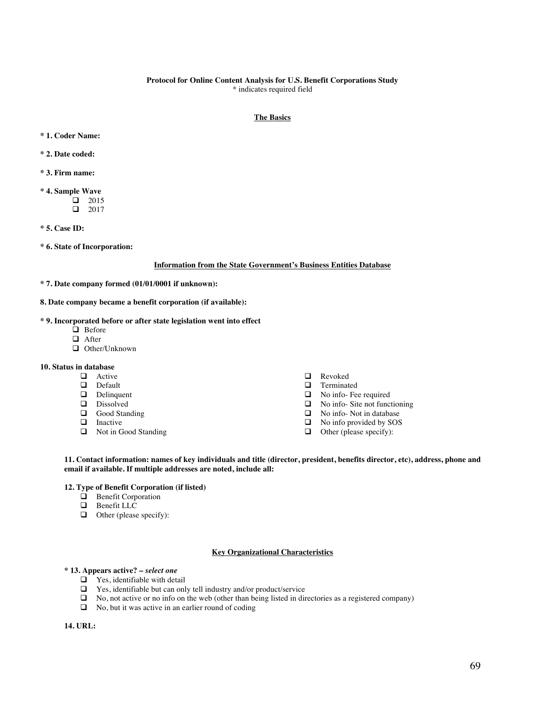#### **Protocol for Online Content Analysis for U.S. Benefit Corporations Study** \* indicates required field

## **The Basics**

- **\* 1. Coder Name:**
- **\* 2. Date coded:**
- **\* 3. Firm name:**
- **\* 4. Sample Wave**  $\Box$  2015  $\Box$  2017
- **\* 5. Case ID:**
- **\* 6. State of Incorporation:**

#### **Information from the State Government's Business Entities Database**

- **\* 7. Date company formed (01/01/0001 if unknown):**
- **8. Date company became a benefit corporation (if available):**

### **\* 9. Incorporated before or after state legislation went into effect**

- $\Box$  Before
- $\Box$  After
- □ Other/Unknown

# **10. Status in database**

- $\Box$  Active
- $\Box$  Default
- Delinquent
- **Q** Dissolved
- $\Box$  Good Standing
- $\Box$  Inactive
- Not in Good Standing
- **Q** Revoked
- $\Box$  Terminated<br> $\Box$  No info-Fee
- $\Box$  No info- Fee required<br> $\Box$  No info- Site not func
- $\Box$  No info- Site not functioning<br> $\Box$  No info- Not in database
- No info- Not in database
- $\Box$  No info provided by SOS
- $\Box$  Other (please specify):

**11. Contact information: names of key individuals and title (director, president, benefits director, etc), address, phone and email if available. If multiple addresses are noted, include all:**

### **12. Type of Benefit Corporation (if listed)**

- $\Box$  Benefit Corporation
- $\Box$  Benefit LLC
- $\Box$  Other (please specify):

#### **Key Organizational Characteristics**

#### **\* 13. Appears active? –** *select one*

- $\Box$  Yes, identifiable with detail
- $\Box$  Yes, identifiable but can only tell industry and/or product/service
- $\Box$  No, not active or no info on the web (other than being listed in directories as a registered company)
- $\Box$  No, but it was active in an earlier round of coding

# **14. URL:**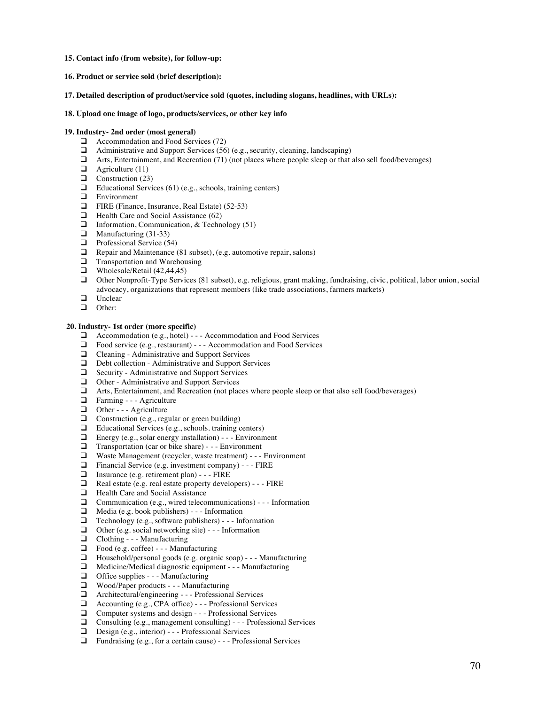- **15. Contact info (from website), for follow-up:**
- **16. Product or service sold (brief description):**
- **17. Detailed description of product/service sold (quotes, including slogans, headlines, with URLs):**

### **18. Upload one image of logo, products/services, or other key info**

### **19. Industry- 2nd order (most general)**

- $\Box$  Accommodation and Food Services (72)
- $\Box$  Administrative and Support Services (56) (e.g., security, cleaning, landscaping)
- $\Box$  Arts, Entertainment, and Recreation (71) (not places where people sleep or that also sell food/beverages)
- $\Box$  Agriculture (11)
- $\Box$  Construction (23)
- $\Box$  Educational Services (61) (e.g., schools, training centers)
- **Q** Environment
- $\Box$  FIRE (Finance, Insurance, Real Estate) (52-53)
- $\Box$  Health Care and Social Assistance (62)
- $\Box$  Information, Communication, & Technology (51)
- $\Box$  Manufacturing (31-33)
- $\Box$  Professional Service (54)
- $\Box$  Repair and Maintenance (81 subset), (e.g. automotive repair, salons)
- $\Box$  Transportation and Warehousing
- $\Box$  Wholesale/Retail (42,44,45)
- $\Box$  Other Nonprofit-Type Services (81 subset), e.g. religious, grant making, fundraising, civic, political, labor union, social advocacy, organizations that represent members (like trade associations, farmers markets)
- $\Box$  Unclear
- Other:

### **20. Industry- 1st order (more specific)**

- $\Box$  Accommodation (e.g., hotel) - Accommodation and Food Services
- $\Box$  Food service (e.g., restaurant) - Accommodation and Food Services
- $\Box$  Cleaning Administrative and Support Services
- $\Box$  Debt collection Administrative and Support Services
- $\Box$  Security Administrative and Support Services
- $\Box$  Other Administrative and Support Services
- q Arts, Entertainment, and Recreation (not places where people sleep or that also sell food/beverages)
- **Q** Farming - Agriculture
- $\Box$  Other - Agriculture<br> $\Box$  Construction (e.g. reg)
- $\Box$  Construction (e.g., regular or green building)<br> $\Box$  Educational Services (e.g., schools, training c
- □ Educational Services (e.g., schools. training centers)<br>□ Energy (e.g., solar energy installation) - Environn
- $\Box$  Energy (e.g., solar energy installation) - Environment  $\Box$  Transportation (car or bike share) - Environment
- Transportation (car or bike share) - Environment
- $\Box$  Waste Management (recycler, waste treatment) - Environment  $\Box$  Financial Service (e.g. investment company) - FIRE
- Financial Service (e.g. investment company) - FIRE
- □ Insurance (e.g. retirement plan) - FIRE<br>□ Real estate (e.g. real estate property develocity
- $\Box$  Real estate (e.g. real estate property developers) - FIRE  $\Box$  Health Care and Social Assistance
- $\Box$  Health Care and Social Assistance<br> $\Box$  Communication (e.g., wired telecore
- Communication (e.g., wired telecommunications) - Information
- $\Box$  Media (e.g. book publishers) - Information
- **Q** Technology (e.g., software publishers) - Information <br> **Q** Other (e.g. social networking site) - Information
- $\Box$  Other (e.g. social networking site) - Information<br> $\Box$  Clothing - Manufacturing
- $\Box$  Clothing - Manufacturing<br> $\Box$  Food (e.g. coffee) - Manuf
- $\Box$  Food (e.g. coffee) - Manufacturing<br> $\Box$  Household/nersonal goods (e.g. organi
- $\Box$  Household/personal goods (e.g. organic soap) - Manufacturing  $\Box$  Medicine/Medical diagnostic equipment - Manufacturing
- $\Box$  Medicine/Medical diagnostic equipment - Manufacturing<br> $\Box$  Office supplies - Manufacturing
- Office supplies - Manufacturing
- $\Box$  Wood/Paper products - Manufacturing
- $\Box$  Architectural/engineering - Professional Services
- $\Box$  Accounting (e.g., CPA office) - Professional Services
- $\Box$  Computer systems and design - Professional Services
- **Q** Consulting (e.g., management consulting) - Professional Services
- $\Box$  Design (e.g., interior) - Professional Services
- $\Box$  Fundraising (e.g., for a certain cause) - Professional Services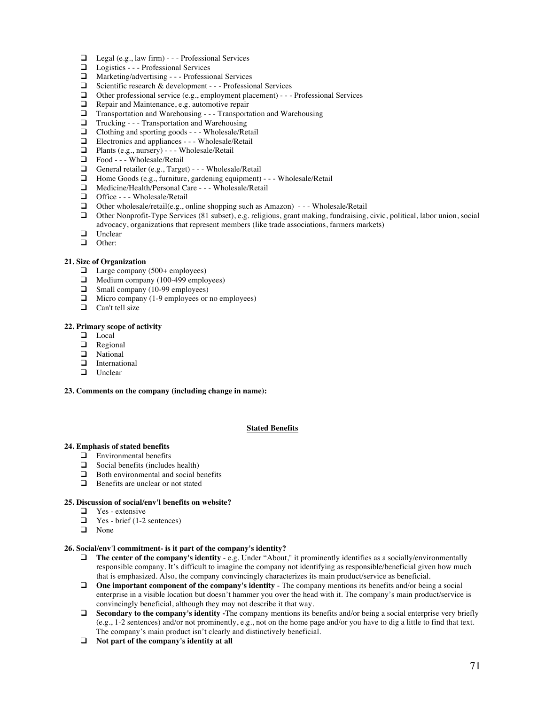- $\Box$  Legal (e.g., law firm) - Professional Services
- **Q** Logistics - Professional Services
- $\Box$  Marketing/advertising - Professional Services
- $\Box$  Scientific research & development - Professional Services
- $\Box$  Other professional service (e.g., employment placement) - Professional Services
- $\Box$  Repair and Maintenance, e.g. automotive repair  $\Box$  Transportation and Warehousing - Transportation
- $\Box$  Transportation and Warehousing - Transportation and Warehousing
- $\Box$  Trucking - Transportation and Warehousing<br> $\Box$  Clothing and sporting goods - Wholesale/Re
- Clothing and sporting goods - Wholesale/Retail
- $\Box$  Electronics and appliances - Wholesale/Retail
- $\Box$  Plants (e.g., nursery) - Wholesale/Retail
- $\Box$  Food - Wholesale/Retail<br> $\Box$  General retailer (e.g., Targe
- General retailer (e.g., Target) - Wholesale/Retail
- $\Box$  Home Goods (e.g., furniture, gardening equipment) - Wholesale/Retail
- □ Medicine/Health/Personal Care - Wholesale/Retail
- □ Office - Wholesale/Retail
- $\Box$  Other wholesale/retail(e.g., online shopping such as Amazon) - Wholesale/Retail
- □ Other Nonprofit-Type Services (81 subset), e.g. religious, grant making, fundraising, civic, political, labor union, social advocacy, organizations that represent members (like trade associations, farmers markets)
- $\Box$  Unclear
- □ Other:

## **21. Size of Organization**

- $\Box$  Large company (500+ employees)
- $\Box$  Medium company (100-499 employees)
- $\Box$  Small company (10-99 employees)
- $\Box$  Micro company (1-9 employees or no employees)
- $\Box$  Can't tell size

#### **22. Primary scope of activity**

- **Q** Local
- $\Box$  Regional
- **Q** National
- $\Box$  International
- $\Box$  Unclear

#### **23. Comments on the company (including change in name):**

### **Stated Benefits**

- **24. Emphasis of stated benefits**
	- $\Box$  Environmental benefits<br> $\Box$  Social benefits (include
	- $\Box$  Social benefits (includes health)<br> $\Box$  Both environmental and social b
	- Both environmental and social benefits
	- $\Box$  Benefits are unclear or not stated

#### **25. Discussion of social/env'l benefits on website?**

- $\Box$  Yes extensive
- $\Box$  Yes brief (1-2 sentences)
- **q** None

## **26. Social/env'l commitment- is it part of the company's identity?**

- $\Box$  **The center of the company's identity** e.g. Under "About," it prominently identifies as a socially/environmentally responsible company. It's difficult to imagine the company not identifying as responsible/beneficial given how much that is emphasized. Also, the company convincingly characterizes its main product/service as beneficial.
- $\Box$  One important component of the company's identity The company mentions its benefits and/or being a social enterprise in a visible location but doesn't hammer you over the head with it. The company's main product/service is convincingly beneficial, although they may not describe it that way.
- **Q** Secondary to the company's identity -The company mentions its benefits and/or being a social enterprise very briefly (e.g., 1-2 sentences) and/or not prominently, e.g., not on the home page and/or you have to dig a little to find that text. The company's main product isn't clearly and distinctively beneficial.
- q **Not part of the company's identity at all**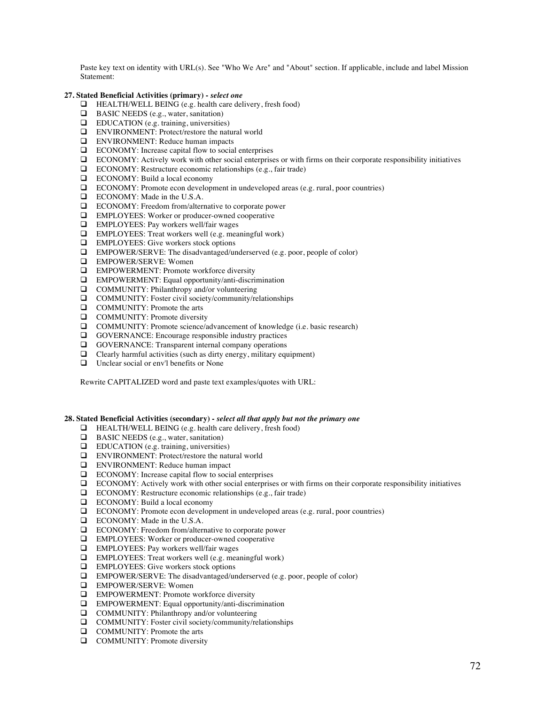Paste key text on identity with URL(s). See "Who We Are" and "About" section. If applicable, include and label Mission Statement:

### **27. Stated Beneficial Activities (primary) -** *select one*

- $\Box$  HEALTH/WELL BEING (e.g. health care delivery, fresh food)
- $\Box$  BASIC NEEDS (e.g., water, sanitation)
- $\Box$  EDUCATION (e.g. training, universities)
- **Q** ENVIRONMENT: Protect/restore the natural world
- **Q** ENVIRONMENT: Reduce human impacts
- $\Box$  ECONOMY: Increase capital flow to social enterprises
- $\Box$  ECONOMY: Actively work with other social enterprises or with firms on their corporate responsibility initiatives
- $\Box$  ECONOMY: Restructure economic relationships (e.g., fair trade)
- $\Box$  ECONOMY: Build a local economy
- $\Box$  ECONOMY: Promote econ development in undeveloped areas (e.g. rural, poor countries)
- **Q** ECONOMY: Made in the U.S.A.
- **Q** ECONOMY: Freedom from/alternative to corporate power
- **Q** EMPLOYEES: Worker or producer-owned cooperative
- $\Box$  EMPLOYEES: Pay workers well/fair wages
- $\Box$  EMPLOYEES: Treat workers well (e.g. meaningful work)
- $\Box$  EMPLOYEES: Give workers stock options
- $\Box$  EMPOWER/SERVE: The disadvantaged/underserved (e.g. poor, people of color)
- **Q** EMPOWER/SERVE: Women
- $\Box$  EMPOWERMENT: Promote workforce diversity
- $\Box$  EMPOWERMENT: Equal opportunity/anti-discrimination
- $\Box$  COMMUNITY: Philanthropy and/or volunteering
- $\Box$  COMMUNITY: Foster civil society/community/relationships
- **Q** COMMUNITY: Promote the arts
- **Q** COMMUNITY: Promote diversity
- $\Box$  COMMUNITY: Promote science/advancement of knowledge (i.e. basic research)
- $\Box$  GOVERNANCE: Encourage responsible industry practices
- $\Box$  GOVERNANCE: Transparent internal company operations
- $\Box$  Clearly harmful activities (such as dirty energy, military equipment)
- $\Box$  Unclear social or env'l benefits or None

Rewrite CAPITALIZED word and paste text examples/quotes with URL:

**28. Stated Beneficial Activities (secondary) -** *select all that apply but not the primary one*

- $\Box$  HEALTH/WELL BEING (e.g. health care delivery, fresh food)
- $\Box$  BASIC NEEDS (e.g., water, sanitation)
- $\Box$  EDUCATION (e.g. training, universities)
- **Q** ENVIRONMENT: Protect/restore the natural world
- $\Box$  ENVIRONMENT: Reduce human impact  $\Box$  ECONOMY: Increase capital flow to social
- ECONOMY: Increase capital flow to social enterprises
- q ECONOMY: Actively work with other social enterprises or with firms on their corporate responsibility initiatives
- $\Box$  ECONOMY: Restructure economic relationships (e.g., fair trade)
- $\Box$  ECONOMY: Build a local economy
- $\Box$  ECONOMY: Promote econ development in undeveloped areas (e.g. rural, poor countries)
- **Q** ECONOMY: Made in the U.S.A.
- □ ECONOMY: Freedom from/alternative to corporate power
- **Q** EMPLOYEES: Worker or producer-owned cooperative
- $\Box$  EMPLOYEES: Pay workers well/fair wages
- $\Box$  EMPLOYEES: Treat workers well (e.g. meaningful work)
- $\Box$  EMPLOYEES: Give workers stock options
- $\Box$  EMPOWER/SERVE: The disadvantaged/underserved (e.g. poor, people of color)
- **Q** EMPOWER/SERVE: Women
- $\Box$  EMPOWERMENT: Promote workforce diversity
- $\Box$  EMPOWERMENT: Equal opportunity/anti-discrimination
- $\Box$  COMMUNITY: Philanthropy and/or volunteering
- $\Box$  COMMUNITY: Foster civil society/community/relationships
- **Q** COMMUNITY: Promote the arts
- **Q** COMMUNITY: Promote diversity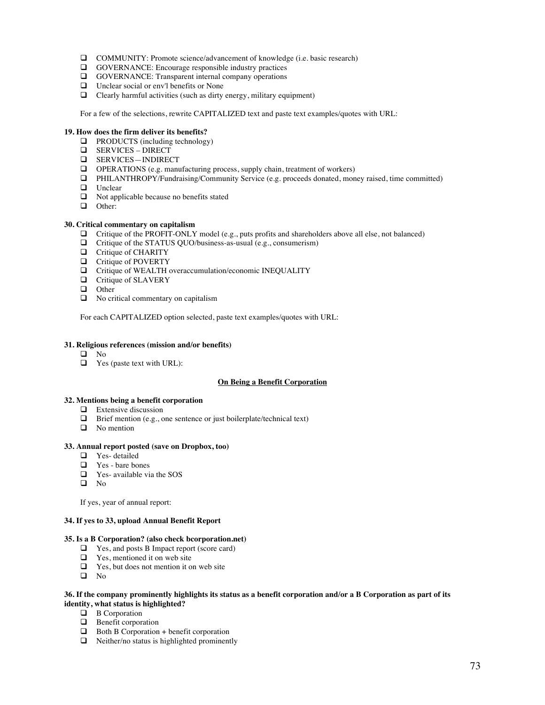- □ COMMUNITY: Promote science/advancement of knowledge (i.e. basic research)
- $\Box$  GOVERNANCE: Encourage responsible industry practices
- **Q GOVERNANCE:** Transparent internal company operations
- $\Box$  Unclear social or env'l benefits or None
- $\Box$  Clearly harmful activities (such as dirty energy, military equipment)

For a few of the selections, rewrite CAPITALIZED text and paste text examples/quotes with URL:

# **19. How does the firm deliver its benefits?**

- $\Box$  PRODUCTS (including technology)
- **Q** SERVICES DIRECT
- **Q** SERVICES-INDIRECT
- $\Box$  OPERATIONS (e.g. manufacturing process, supply chain, treatment of workers)
- q PHILANTHROPY/Fundraising/Community Service (e.g. proceeds donated, money raised, time committed)
- **Q** Unclear
- $\Box$  Not applicable because no benefits stated
- **Q** Other:

# **30. Critical commentary on capitalism**

- $\Box$  Critique of the PROFIT-ONLY model (e.g., puts profits and shareholders above all else, not balanced)
- $\Box$  Critique of the STATUS QUO/business-as-usual (e.g., consumerism)
- $\Box$  Critique of CHARITY
- $\Box$  Critique of POVERTY
- **Q** Critique of WEALTH overaccumulation/economic INEQUALITY
- **Q** Critique of SLAVERY
- **Q** Other
- $\Box$  No critical commentary on capitalism

For each CAPITALIZED option selected, paste text examples/quotes with URL:

# **31. Religious references (mission and/or benefits)**

- $\square$  No
- $\Box$  Yes (paste text with URL):

# **On Being a Benefit Corporation**

# **32. Mentions being a benefit corporation**

- $\Box$  Extensive discussion
- $\Box$  Brief mention (e.g., one sentence or just boilerplate/technical text)
- $\Box$  No mention

## **33. Annual report posted (save on Dropbox, too)**

- $\Box$  Yes- detailed<br> $\Box$  Yes- bare bo
- Yes bare bones
- $\Box$  Yes- available via the SOS
- $\Box$  No

If yes, year of annual report:

## **34. If yes to 33, upload Annual Benefit Report**

# **35. Is a B Corporation? (also check bcorporation.net)**

- **Q** Yes, and posts B Impact report (score card)
- $\Box$  Yes, mentioned it on web site
- $\Box$  Yes, but does not mention it on web site
- $\Box$  No

# **36. If the company prominently highlights its status as a benefit corporation and/or a B Corporation as part of its identity, what status is highlighted?**

- $\Box$  B Corporation
- $\Box$  Benefit corporation
- $\Box$  Both B Corporation + benefit corporation
- $\Box$  Neither/no status is highlighted prominently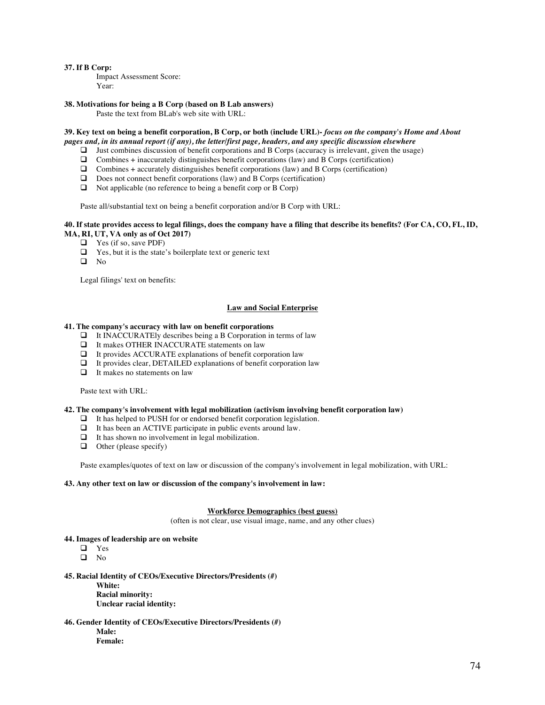### **37. If B Corp:**

Impact Assessment Score: Year:

### **38. Motivations for being a B Corp (based on B Lab answers)**

Paste the text from BLab's web site with URL:

## **39. Key text on being a benefit corporation, B Corp, or both (include URL)-** *focus on the company's Home and About pages and, in its annual report (if any), the letter/first page, headers, and any specific discussion elsewhere*

- $\Box$  Just combines discussion of benefit corporations and B Corps (accuracy is irrelevant, given the usage)
- $\Box$  Combines + inaccurately distinguishes benefit corporations (law) and B Corps (certification)
- $\Box$  Combines + accurately distinguishes benefit corporations (law) and B Corps (certification)
- $\Box$  Does not connect benefit corporations (law) and B Corps (certification)
- $\Box$  Not applicable (no reference to being a benefit corp or B Corp)

Paste all/substantial text on being a benefit corporation and/or B Corp with URL:

## **40. If state provides access to legal filings, does the company have a filing that describe its benefits? (For CA, CO, FL, ID, MA, RI, UT, VA only as of Oct 2017)**

- $\Box$  Yes (if so, save PDF)
- $\Box$  Yes, but it is the state's boilerplate text or generic text
- $\Box$  No

Legal filings' text on benefits:

## **Law and Social Enterprise**

#### **41. The company's accuracy with law on benefit corporations**

- $\Box$  It INACCURATEly describes being a B Corporation in terms of law
- $\Box$  It makes OTHER INACCURATE statements on law
- $\Box$  It provides ACCURATE explanations of benefit corporation law
- $\Box$  It provides clear, DETAILED explanations of benefit corporation law
- $\Box$  It makes no statements on law

Paste text with URL:

#### **42. The company's involvement with legal mobilization (activism involving benefit corporation law)**

- $\Box$  It has helped to PUSH for or endorsed benefit corporation legislation.<br> $\Box$  It has been an ACTIVE participate in public events around law.
- It has been an ACTIVE participate in public events around law.
- $\Box$  It has shown no involvement in legal mobilization.
- $\Box$  Other (please specify)

Paste examples/quotes of text on law or discussion of the company's involvement in legal mobilization, with URL:

# **43. Any other text on law or discussion of the company's involvement in law:**

## **Workforce Demographics (best guess)**

(often is not clear, use visual image, name, and any other clues)

#### **44. Images of leadership are on website**

- **q** Yes
- $\Box$  No

## **45. Racial Identity of CEOs/Executive Directors/Presidents (#)**

**White: Racial minority: Unclear racial identity:**

**46. Gender Identity of CEOs/Executive Directors/Presidents (#) Male: Female:**